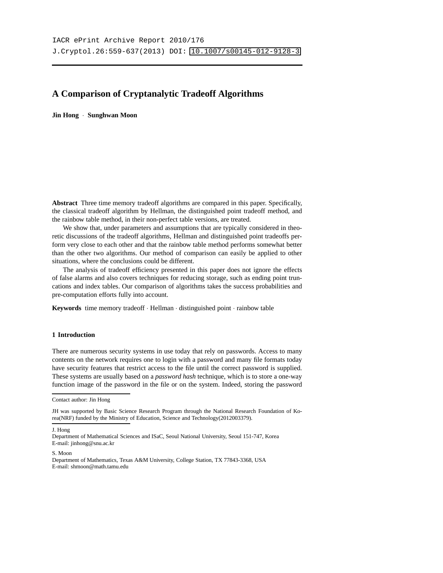# **A Comparison of Cryptanalytic Tradeoff Algorithms**

**Jin Hong** · **Sunghwan Moon**

**Abstract** Three time memory tradeoff algorithms are compared in this paper. Specifically, the classical tradeoff algorithm by Hellman, the distinguished point tradeoff method, and the rainbow table method, in their non-perfect table versions, are treated.

We show that, under parameters and assumptions that are typically considered in theoretic discussions of the tradeoff algorithms, Hellman and distinguished point tradeoffs perform very close to each other and that the rainbow table method performs somewhat better than the other two algorithms. Our method of comparison can easily be applied to other situations, where the conclusions could be different.

The analysis of tradeoff efficiency presented in this paper does not ignore the effects of false alarms and also covers techniques for reducing storage, such as ending point truncations and index tables. Our comparison of algorithms takes the success probabilities and pre-computation efforts fully into account.

**Keywords** time memory tradeoff · Hellman · distinguished point · rainbow table

# **1 Introduction**

There are numerous security systems in use today that rely on passwords. Access to many contents on the network requires one to login with a password and many file formats today have security features that restrict access to the file until the correct password is supplied. These systems are usually based on a *password hash* technique, which is to store a one-way function image of the password in the file or on the system. Indeed, storing the password

J. Hong

S. Moon

Department of Mathematics, Texas A&M University, College Station, TX 77843-3368, USA E-mail: shmoon@math.tamu.edu

Contact author: Jin Hong

JH was supported by Basic Science Research Program through the National Research Foundation of Korea(NRF) funded by the Ministry of Education, Science and Technology(2012003379).

Department of Mathematical Sciences and ISaC, Seoul National University, Seoul 151-747, Korea E-mail: jinhong@snu.ac.kr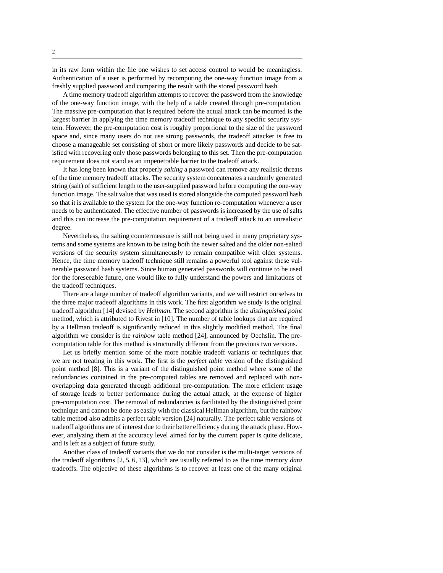in its raw form within the file one wishes to set access control to would be meaningless. Authentication of a user is performed by recomputing the one-way function image from a freshly supplied password and comparing the result with the stored password hash.

A time memory tradeoff algorithm attempts to recover the password from the knowledge of the one-way function image, with the help of a table created through pre-computation. The massive pre-computation that is required before the actual attack can be mounted is the largest barrier in applying the time memory tradeoff technique to any specific security system. However, the pre-computation cost is roughly proportional to the size of the password space and, since many users do not use strong passwords, the tradeoff attacker is free to choose a manageable set consisting of short or more likely passwords and decide to be satisfied with recovering only those passwords belonging to this set. Then the pre-computation requirement does not stand as an impenetrable barrier to the tradeoff attack.

It has long been known that properly *salting* a password can remove any realistic threats of the time memory tradeoff attacks. The security system concatenates a randomly generated string (salt) of sufficient length to the user-supplied password before computing the one-way function image. The salt value that was used is stored alongside the computed password hash so that it is available to the system for the one-way function re-computation whenever a user needs to be authenticated. The effective number of passwords is increased by the use of salts and this can increase the pre-computation requirement of a tradeoff attack to an unrealistic degree.

Nevertheless, the salting countermeasure is still not being used in many proprietary systems and some systems are known to be using both the newer salted and the older non-salted versions of the security system simultaneously to remain compatible with older systems. Hence, the time memory tradeoff technique still remains a powerful tool against these vulnerable password hash systems. Since human generated passwords will continue to be used for the foreseeable future, one would like to fully understand the powers and limitations of the tradeoff techniques.

There are a large number of tradeoff algorithm variants, and we will restrict ourselves to the three major tradeoff algorithms in this work. The first algorithm we study is the original tradeoff algorithm [14] devised by *Hellman*. The second algorithm is the *distinguished point* method, which is attributed to Rivest in [10]. The number of table lookups that are required by a Hellman tradeoff is significantly reduced in this slightly modified method. The final algorithm we consider is the *rainbow* table method [24], announced by Oechslin. The precomputation table for this method is structurally different from the previous two versions.

Let us briefly mention some of the more notable tradeoff variants or techniques that we are not treating in this work. The first is the *perfect table* version of the distinguished point method [8]. This is a variant of the distinguished point method where some of the redundancies contained in the pre-computed tables are removed and replaced with nonoverlapping data generated through additional pre-computation. The more efficient usage of storage leads to better performance during the actual attack, at the expense of higher pre-computation cost. The removal of redundancies is facilitated by the distinguished point technique and cannot be done as easily with the classical Hellman algorithm, but the rainbow table method also admits a perfect table version [24] naturally. The perfect table versions of tradeoff algorithms are of interest due to their better efficiency during the attack phase. However, analyzing them at the accuracy level aimed for by the current paper is quite delicate, and is left as a subject of future study.

Another class of tradeoff variants that we do not consider is the multi-target versions of the tradeoff algorithms [2, 5, 6, 13], which are usually referred to as the time memory *data* tradeoffs. The objective of these algorithms is to recover at least one of the many original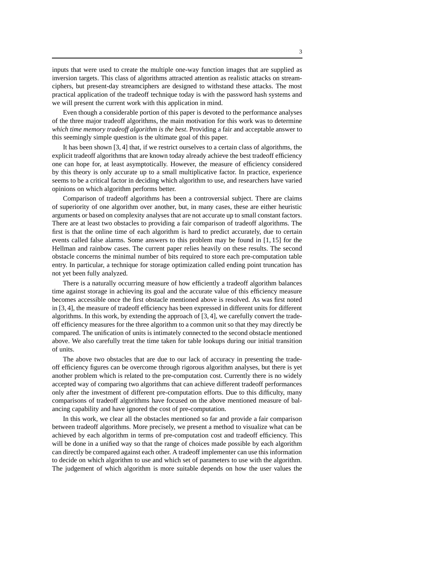inputs that were used to create the multiple one-way function images that are supplied as inversion targets. This class of algorithms attracted attention as realistic attacks on streamciphers, but present-day streamciphers are designed to withstand these attacks. The most practical application of the tradeoff technique today is with the password hash systems and we will present the current work with this application in mind.

Even though a considerable portion of this paper is devoted to the performance analyses of the three major tradeoff algorithms, the main motivation for this work was to determine *which time memory tradeoff algorithm is the best*. Providing a fair and acceptable answer to this seemingly simple question is the ultimate goal of this paper.

It has been shown [3, 4] that, if we restrict ourselves to a certain class of algorithms, the explicit tradeoff algorithms that are known today already achieve the best tradeoff efficiency one can hope for, at least asymptotically. However, the measure of efficiency considered by this theory is only accurate up to a small multiplicative factor. In practice, experience seems to be a critical factor in deciding which algorithm to use, and researchers have varied opinions on which algorithm performs better.

Comparison of tradeoff algorithms has been a controversial subject. There are claims of superiority of one algorithm over another, but, in many cases, these are either heuristic arguments or based on complexity analyses that are not accurate up to small constant factors. There are at least two obstacles to providing a fair comparison of tradeoff algorithms. The first is that the online time of each algorithm is hard to predict accurately, due to certain events called false alarms. Some answers to this problem may be found in [1, 15] for the Hellman and rainbow cases. The current paper relies heavily on these results. The second obstacle concerns the minimal number of bits required to store each pre-computation table entry. In particular, a technique for storage optimization called ending point truncation has not yet been fully analyzed.

There is a naturally occurring measure of how efficiently a tradeoff algorithm balances time against storage in achieving its goal and the accurate value of this efficiency measure becomes accessible once the first obstacle mentioned above is resolved. As was first noted in [3, 4], the measure of tradeoff efficiency has been expressed in different units for different algorithms. In this work, by extending the approach of [3, 4], we carefully convert the tradeoff efficiency measures for the three algorithm to a common unit so that they may directly be compared. The unification of units is intimately connected to the second obstacle mentioned above. We also carefully treat the time taken for table lookups during our initial transition of units.

The above two obstacles that are due to our lack of accuracy in presenting the tradeoff efficiency figures can be overcome through rigorous algorithm analyses, but there is yet another problem which is related to the pre-computation cost. Currently there is no widely accepted way of comparing two algorithms that can achieve different tradeoff performances only after the investment of different pre-computation efforts. Due to this difficulty, many comparisons of tradeoff algorithms have focused on the above mentioned measure of balancing capability and have ignored the cost of pre-computation.

In this work, we clear all the obstacles mentioned so far and provide a fair comparison between tradeoff algorithms. More precisely, we present a method to visualize what can be achieved by each algorithm in terms of pre-computation cost and tradeoff efficiency. This will be done in a unified way so that the range of choices made possible by each algorithm can directly be compared against each other. A tradeoff implementer can use this information to decide on which algorithm to use and which set of parameters to use with the algorithm. The judgement of which algorithm is more suitable depends on how the user values the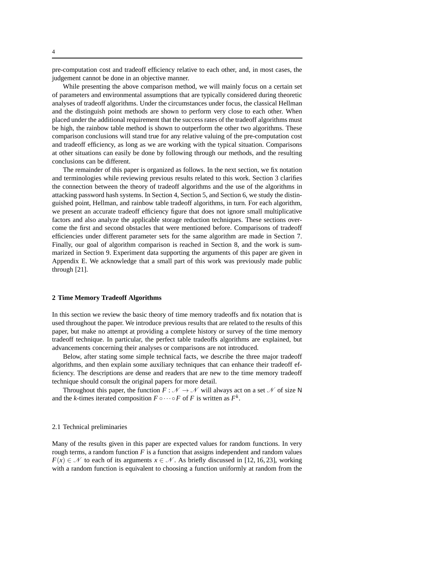pre-computation cost and tradeoff efficiency relative to each other, and, in most cases, the judgement cannot be done in an objective manner.

While presenting the above comparison method, we will mainly focus on a certain set of parameters and environmental assumptions that are typically considered during theoretic analyses of tradeoff algorithms. Under the circumstances under focus, the classical Hellman and the distinguish point methods are shown to perform very close to each other. When placed under the additional requirement that the success rates of the tradeoff algorithms must be high, the rainbow table method is shown to outperform the other two algorithms. These comparison conclusions will stand true for any relative valuing of the pre-computation cost and tradeoff efficiency, as long as we are working with the typical situation. Comparisons at other situations can easily be done by following through our methods, and the resulting conclusions can be different.

The remainder of this paper is organized as follows. In the next section, we fix notation and terminologies while reviewing previous results related to this work. Section 3 clarifies the connection between the theory of tradeoff algorithms and the use of the algorithms in attacking password hash systems. In Section 4, Section 5, and Section 6, we study the distinguished point, Hellman, and rainbow table tradeoff algorithms, in turn. For each algorithm, we present an accurate tradeoff efficiency figure that does not ignore small multiplicative factors and also analyze the applicable storage reduction techniques. These sections overcome the first and second obstacles that were mentioned before. Comparisons of tradeoff efficiencies under different parameter sets for the same algorithm are made in Section 7. Finally, our goal of algorithm comparison is reached in Section 8, and the work is summarized in Section 9. Experiment data supporting the arguments of this paper are given in Appendix E. We acknowledge that a small part of this work was previously made public through [21].

# **2 Time Memory Tradeoff Algorithms**

In this section we review the basic theory of time memory tradeoffs and fix notation that is used throughout the paper. We introduce previous results that are related to the results of this paper, but make no attempt at providing a complete history or survey of the time memory tradeoff technique. In particular, the perfect table tradeoffs algorithms are explained, but advancements concerning their analyses or comparisons are not introduced.

Below, after stating some simple technical facts, we describe the three major tradeoff algorithms, and then explain some auxiliary techniques that can enhance their tradeoff efficiency. The descriptions are dense and readers that are new to the time memory tradeoff technique should consult the original papers for more detail.

Throughout this paper, the function  $F : \mathcal{N} \to \mathcal{N}$  will always act on a set N of size N and the *k*-times iterated composition  $F \circ \cdots \circ F$  of *F* is written as  $F^k$ .

#### 2.1 Technical preliminaries

Many of the results given in this paper are expected values for random functions. In very rough terms, a random function *F* is a function that assigns independent and random values  $F(x) \in \mathcal{N}$  to each of its arguments  $x \in \mathcal{N}$ . As briefly discussed in [12, 16, 23], working with a random function is equivalent to choosing a function uniformly at random from the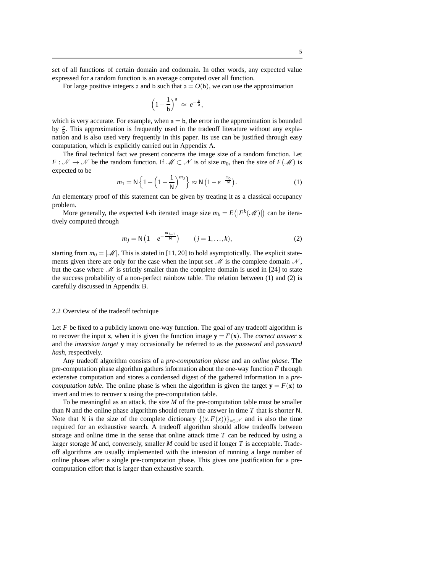set of all functions of certain domain and codomain. In other words, any expected value expressed for a random function is an average computed over all function.

For large positive integers a and b such that  $a = O(b)$ , we can use the approximation

$$
\left(1-\frac{1}{b}\right)^a \; \approx \; e^{-\frac{a}{b}},
$$

which is very accurate. For example, when  $a = b$ , the error in the approximation is bounded by  $\frac{e}{b}$ . This approximation is frequently used in the tradeoff literature without any explanation and is also used very frequently in this paper. Its use can be justified through easy computation, which is explicitly carried out in Appendix A.

The final technical fact we present concerns the image size of a random function. Let *F* :  $\mathcal{N} \to \mathcal{N}$  be the random function. If  $\mathcal{M} \subset \mathcal{N}$  is of size  $m_0$ , then the size of  $F(\mathcal{M})$  is expected to be

$$
m_1 = \mathsf{N} \left\{ 1 - \left( 1 - \frac{1}{\mathsf{N}} \right)^{m_0} \right\} \approx \mathsf{N} \left( 1 - e^{-\frac{m_0}{\mathsf{N}}} \right). \tag{1}
$$

An elementary proof of this statement can be given by treating it as a classical occupancy problem.

More generally, the expected *k*-th iterated image size  $m_k = E(|F^k(\mathcal{M})|)$  can be iteratively computed through

$$
m_j = N\left(1 - e^{-\frac{m_{j-1}}{N}}\right)
$$
  $(j = 1, ..., k),$  (2)

starting from  $m_0 = |\mathcal{M}|$ . This is stated in [11, 20] to hold asymptotically. The explicit statements given there are only for the case when the input set  $\mathcal M$  is the complete domain  $\mathcal N$ , but the case where  $\mathcal M$  is strictly smaller than the complete domain is used in [24] to state the success probability of a non-perfect rainbow table. The relation between (1) and (2) is carefully discussed in Appendix B.

## 2.2 Overview of the tradeoff technique

Let *F* be fixed to a publicly known one-way function. The goal of any tradeoff algorithm is to recover the input **x**, when it is given the function image  $y = F(x)$ . The *correct answer* **x** and the *inversion target* **y** may occasionally be referred to as the *password* and *password hash*, respectively.

Any tradeoff algorithm consists of a *pre-computation phase* and an *online phase*. The pre-computation phase algorithm gathers information about the one-way function *F* through extensive computation and stores a condensed digest of the gathered information in a *precomputation table*. The online phase is when the algorithm is given the target  $\mathbf{y} = F(\mathbf{x})$  to invert and tries to recover **x** using the pre-computation table.

To be meaningful as an attack, the size *M* of the pre-computation table must be smaller than N and the online phase algorithm should return the answer in time *T* that is shorter N. Note that N is the size of the complete dictionary  $\{(x, F(x))\}_{x \in \mathcal{N}}$  and is also the time required for an exhaustive search. A tradeoff algorithm should allow tradeoffs between storage and online time in the sense that online attack time *T* can be reduced by using a larger storage *M* and, conversely, smaller *M* could be used if longer *T* is acceptable. Tradeoff algorithms are usually implemented with the intension of running a large number of online phases after a single pre-computation phase. This gives one justification for a precomputation effort that is larger than exhaustive search.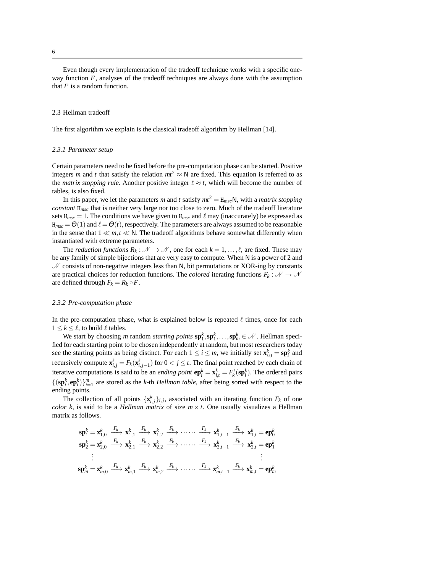Even though every implementation of the tradeoff technique works with a specific oneway function *F*, analyses of the tradeoff techniques are always done with the assumption that *F* is a random function.

# 2.3 Hellman tradeoff

The first algorithm we explain is the classical tradeoff algorithm by Hellman [14].

## *2.3.1 Parameter setup*

Certain parameters need to be fixed before the pre-computation phase can be started. Positive integers *m* and *t* that satisfy the relation  $mt^2 \approx N$  are fixed. This equation is referred to as the *matrix stopping rule*. Another positive integer  $\ell \approx t$ , which will become the number of tables, is also fixed.

In this paper, we let the parameters *m* and *t* satisfy  $mt^2 = H_{msc}N$ , with a *matrix stopping constant* H*msc* that is neither very large nor too close to zero. Much of the tradeoff literature sets  $H_{msc} = 1$ . The conditions we have given to  $H_{msc}$  and  $\ell$  may (inaccurately) be expressed as  $H_{\text{msc}} = \Theta(1)$  and  $\ell = \Theta(t)$ , respectively. The parameters are always assumed to be reasonable in the sense that  $1 \ll m$ ,  $t \ll N$ . The tradeoff algorithms behave somewhat differently when instantiated with extreme parameters.

The *reduction functions*  $R_k$ :  $\mathcal{N} \to \mathcal{N}$ , one for each  $k = 1, ..., \ell$ , are fixed. These may be any family of simple bijections that are very easy to compute. When N is a power of 2 and  $\mathcal N$  consists of non-negative integers less than N, bit permutations or XOR-ing by constants are practical choices for reduction functions. The *colored* iterating functions  $F_k: \mathcal{N} \to \mathcal{N}$ are defined through  $F_k = R_k \circ F$ .

#### *2.3.2 Pre-computation phase*

In the pre-computation phase, what is explained below is repeated  $\ell$  times, once for each  $1 \leq k \leq \ell$ , to build  $\ell$  tables.

We start by choosing *m* random *starting points*  $\mathbf{sp}_1^k, \mathbf{sp}_1^k, \ldots, \mathbf{sp}_m^k \in \mathcal{N}$ . Hellman specified for each starting point to be chosen independently at random, but most researchers today see the starting points as being distinct. For each  $1 \le i \le m$ , we initially set  $\mathbf{x}_{i,0}^k = \mathbf{sp}_i^k$  and recursively compute  $\mathbf{x}_{i,j}^k = F_k(\mathbf{x}_{i,j-1}^k)$  for  $0 < j \le t$ . The final point reached by each chain of iterative computations is said to be an *ending point*  $\mathbf{ep}_i^k = \mathbf{x}_{i,t}^k = F_k^t(\mathbf{sp}_i^k)$ . The ordered pairs  $\{(\mathbf{s}\mathbf{p}_i^k, \mathbf{e}\mathbf{p}_i^k)\}_{i=1}^m$  are stored as the *k*-th *Hellman table*, after being sorted with respect to the ending points.

The collection of all points  $\{x_{i,j}^k\}_{i,j}$ , associated with an iterating function  $F_k$  of one *color k*, is said to be a *Hellman matrix* of size  $m \times t$ . One usually visualizes a Hellman matrix as follows.

$$
\mathbf{s}\mathbf{p}_{1}^{k} = \mathbf{x}_{1,0}^{k} \xrightarrow{F_{k}} \mathbf{x}_{1,1}^{k} \xrightarrow{F_{k}} \mathbf{x}_{1,2}^{k} \xrightarrow{F_{k}} \cdots \cdots \xrightarrow{F_{k}} \mathbf{x}_{1,t-1}^{k} \xrightarrow{F_{k}} \mathbf{x}_{1,t}^{k} = \mathbf{e}\mathbf{p}_{0}^{k}
$$
\n
$$
\mathbf{s}\mathbf{p}_{2}^{k} = \mathbf{x}_{2,0}^{k} \xrightarrow{F_{k}} \mathbf{x}_{2,1}^{k} \xrightarrow{F_{k}} \mathbf{x}_{2,2}^{k} \xrightarrow{F_{k}} \cdots \cdots \xrightarrow{F_{k}} \mathbf{x}_{2,t-1}^{k} \xrightarrow{F_{k}} \mathbf{x}_{2,t}^{k} = \mathbf{e}\mathbf{p}_{1}^{k}
$$
\n
$$
\vdots \qquad \vdots
$$
\n
$$
\mathbf{s}\mathbf{p}_{m}^{k} = \mathbf{x}_{m,0}^{k} \xrightarrow{F_{k}} \mathbf{x}_{m,1}^{k} \xrightarrow{F_{k}} \mathbf{x}_{m,2}^{k} \xrightarrow{F_{k}} \cdots \cdots \xrightarrow{F_{k}} \mathbf{x}_{m,t-1}^{k} \xrightarrow{F_{k}} \mathbf{x}_{m,t}^{k} = \mathbf{e}\mathbf{p}_{m}^{k}
$$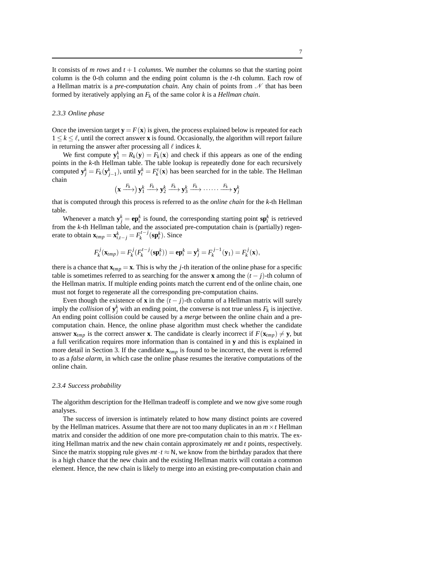It consists of *m rows* and  $t + 1$  *columns*. We number the columns so that the starting point column is the 0-th column and the ending point column is the *t*-th column. Each row of a Hellman matrix is a *pre-computation chain*. Any chain of points from  $N$  that has been formed by iteratively applying an *F<sup>k</sup>* of the same color *k* is a *Hellman chain*.

#### *2.3.3 Online phase*

 $\left($ 

Once the inversion target  $\mathbf{y} = F(\mathbf{x})$  is given, the process explained below is repeated for each  $1 \leq k \leq \ell$ , until the correct answer **x** is found. Occasionally, the algorithm will report failure in returning the answer after processing all  $\ell$  indices  $k$ .

We first compute  $y_1^k = R_k(y) = F_k(x)$  and check if this appears as one of the ending points in the *k*-th Hellman table. The table lookup is repeatedly done for each recursively computed  $\mathbf{y}_j^k = F_k(\mathbf{y}_{j-1}^k)$ , until  $\mathbf{y}_t^k = F_k^t(\mathbf{x})$  has been searched for in the table. The Hellman chain

$$
\mathbf{x} \xrightarrow{F_k} \mathbf{y}_1^k \xrightarrow{F_k} \mathbf{y}_2^k \xrightarrow{F_k} \mathbf{y}_3^k \xrightarrow{F_k} \cdots \cdots \xrightarrow{F_k} \mathbf{y}_j^k
$$

that is computed through this process is referred to as the *online chain* for the *k*-th Hellman table.

Whenever a match  $y_j^k = ep_i^k$  is found, the corresponding starting point  $sp_i^k$  is retrieved from the *k*-th Hellman table, and the associated pre-computation chain is (partially) regenerate to obtain  $\mathbf{x}_{tmp} = \mathbf{x}_{i,t-j}^k = F_k^{t-j}(\mathbf{sp}_i^k)$ . Since

$$
F_k^j(\mathbf{x}_{tmp}) = F_k^j(F_k^{t-j}(\mathbf{sp}_i^k)) = \mathbf{ep}_i^k = \mathbf{y}_j^k = F_k^{j-1}(\mathbf{y}_1) = F_k^j(\mathbf{x}),
$$

there is a chance that  $\mathbf{x}_{tmp} = \mathbf{x}$ . This is why the *j*-th iteration of the online phase for a specific table is sometimes referred to as searching for the answer **x** among the  $(t - j)$ -th column of the Hellman matrix. If multiple ending points match the current end of the online chain, one must not forget to regenerate all the corresponding pre-computation chains.

Even though the existence of **x** in the  $(t - j)$ -th column of a Hellman matrix will surely imply the *collision* of  $y_j^k$  with an ending point, the converse is not true unless  $F_k$  is injective. An ending point collision could be caused by a *merge* between the online chain and a precomputation chain. Hence, the online phase algorithm must check whether the candidate answer  $\mathbf{x}_{\text{rmp}}$  is the correct answer **x**. The candidate is clearly incorrect if  $F(\mathbf{x}_{\text{rmp}}) \neq \mathbf{y}$ , but a full verification requires more information than is contained in **y** and this is explained in more detail in Section 3. If the candidate **x***tmp* is found to be incorrect, the event is referred to as a *false alarm*, in which case the online phase resumes the iterative computations of the online chain.

# *2.3.4 Success probability*

The algorithm description for the Hellman tradeoff is complete and we now give some rough analyses.

The success of inversion is intimately related to how many distinct points are covered by the Hellman matrices. Assume that there are not too many duplicates in an  $m \times t$  Hellman matrix and consider the addition of one more pre-computation chain to this matrix. The exiting Hellman matrix and the new chain contain approximately *mt* and *t* points, respectively. Since the matrix stopping rule gives  $mt \cdot t \approx N$ , we know from the birthday paradox that there is a high chance that the new chain and the existing Hellman matrix will contain a common element. Hence, the new chain is likely to merge into an existing pre-computation chain and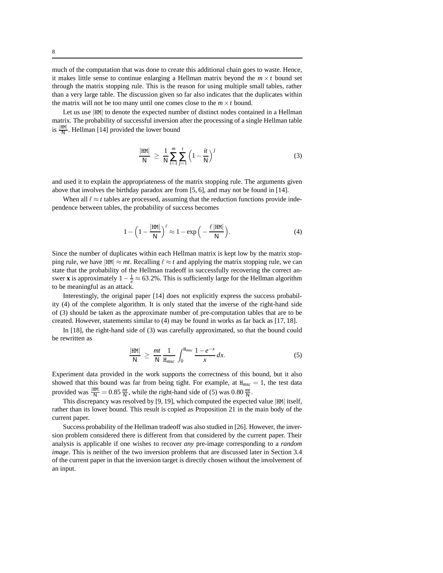much of the computation that was done to create this additional chain goes to waste. Hence, it makes little sense to continue enlarging a Hellman matrix beyond the  $m \times t$  bound set through the matrix stopping rule. This is the reason for using multiple small tables, rather than a very large table. The discussion given so far also indicates that the duplicates within the matrix will not be too many until one comes close to the  $m \times t$  bound.

Let us use  $|HM|$  to denote the expected number of distinct nodes contained in a Hellman matrix. The probability of successful inversion after the processing of a single Hellman table is  $\frac{|\text{HM}|}{N}$ . Hellman [14] provided the lower bound

$$
\frac{|\text{HM}|}{\mathsf{N}} \ge \frac{1}{\mathsf{N}} \sum_{i=1}^{m} \sum_{j=1}^{t} \left(1 - \frac{it}{\mathsf{N}}\right)^{j} \tag{3}
$$

and used it to explain the appropriateness of the matrix stopping rule. The arguments given above that involves the birthday paradox are from [5, 6], and may not be found in [14].

When all  $\ell \approx t$  tables are processed, assuming that the reduction functions provide independence between tables, the probability of success becomes

$$
1 - \left(1 - \frac{|\text{HM}|}{\text{N}}\right)^{\ell} \approx 1 - \exp\left(-\frac{\ell|\text{HM}|}{\text{N}}\right). \tag{4}
$$

Since the number of duplicates within each Hellman matrix is kept low by the matrix stopping rule, we have  $|HM| \approx mt$ . Recalling  $\ell \approx t$  and applying the matrix stopping rule, we can state that the probability of the Hellman tradeoff in successfully recovering the correct answer **x** is approximately  $1 - \frac{1}{e} \approx 63.2\%$ . This is sufficiently large for the Hellman algorithm to be meaningful as an attack.

Interestingly, the original paper [14] does not explicitly express the success probability (4) of the complete algorithm. It is only stated that the inverse of the right-hand side of (3) should be taken as the approximate number of pre-computation tables that are to be created. However, statements similar to (4) may be found in works as far back as [17, 18].

In [18], the right-hand side of (3) was carefully approximated, so that the bound could be rewritten as

$$
\frac{|\text{HM}|}{\text{N}} \ge \frac{mt}{\text{N}} \frac{1}{H_{msc}} \int_0^{H_{msc}} \frac{1 - e^{-x}}{x} dx.
$$
 (5)

Experiment data provided in the work supports the correctness of this bound, but it also showed that this bound was far from being tight. For example, at  $H_{msc} = 1$ , the test data provided was  $\frac{|\mathbb{H}\mathbb{M}|}{N} = 0.85 \frac{mt}{N}$ , while the right-hand side of (5) was  $0.80 \frac{mt}{N}$ .

This discrepancy was resolved by [9, 19], which computed the expected value <sup>|</sup>HM<sup>|</sup> itself, rather than its lower bound. This result is copied as Proposition 21 in the main body of the current paper.

Success probability of the Hellman tradeoff was also studied in [26]. However, the inversion problem considered there is different from that considered by the current paper. Their analysis is applicable if one wishes to recover *any* pre-image corresponding to a *random image*. This is neither of the two inversion problems that are discussed later in Section 3.4 of the current paper in that the inversion target is directly chosen without the involvement of an input.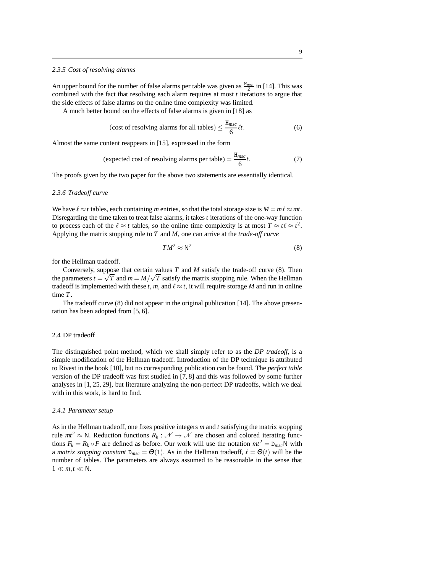# *2.3.5 Cost of resolving alarms*

An upper bound for the number of false alarms per table was given as  $\frac{H_{msc}}{2}$  in [14]. This was combined with the fact that resolving each alarm requires at most *t* iterations to argue that the side effects of false alarms on the online time complexity was limited.

A much better bound on the effects of false alarms is given in [18] as

$$
(\text{cost of resolving alarms for all tables}) \le \frac{H_{msc}}{6} \ell t. \tag{6}
$$

Almost the same content reappears in [15], expressed in the form

(expected cost of resolving alarms per table) = 
$$
\frac{H_{msc}}{6}t
$$
. (7)

The proofs given by the two paper for the above two statements are essentially identical.

## *2.3.6 Tradeoff curve*

We have  $\ell \approx t$  tables, each containing *m* entries, so that the total storage size is  $M = m\ell \approx mt$ . Disregarding the time taken to treat false alarms, it takes *t* iterations of the one-way function to process each of the  $\ell \approx t$  tables, so the online time complexity is at most  $T \approx t \ell \approx t^2$ . Applying the matrix stopping rule to *T* and *M*, one can arrive at the *trade-off curve*

$$
TM^2 \approx N^2 \tag{8}
$$

for the Hellman tradeoff.

Conversely, suppose that certain values *T* and *M* satisfy the trade-off curve (8). Then the parameters  $t = \sqrt{T}$  and  $m = M/\sqrt{T}$  satisfy the matrix stopping rule. When the Hellman tradeoff is implemented with these  $t$ ,  $m$ , and  $l \approx t$ , it will require storage  $M$  and run in online time *T*.

The tradeoff curve (8) did not appear in the original publication [14]. The above presentation has been adopted from [5, 6].

#### 2.4 DP tradeoff

The distinguished point method, which we shall simply refer to as the *DP tradeoff*, is a simple modification of the Hellman tradeoff. Introduction of the DP technique is attributed to Rivest in the book [10], but no corresponding publication can be found. The *perfect table* version of the DP tradeoff was first studied in [7, 8] and this was followed by some further analyses in [1, 25, 29], but literature analyzing the non-perfect DP tradeoffs, which we deal with in this work, is hard to find.

## *2.4.1 Parameter setup*

As in the Hellman tradeoff, one fixes positive integers *m* and *t* satisfying the matrix stopping rule  $mt^2 \approx N$ . Reduction functions  $R_k : \mathcal{N} \to \mathcal{N}$  are chosen and colored iterating functions  $F_k = R_k \circ F$  are defined as before. Our work will use the notation  $mt^2 = D_{\text{msc}}N$  with a *matrix stopping constant*  $D_{\text{mse}} = \Theta(1)$ . As in the Hellman tradeoff,  $\ell = \Theta(t)$  will be the number of tables. The parameters are always assumed to be reasonable in the sense that  $1 \ll m, t \ll N$ .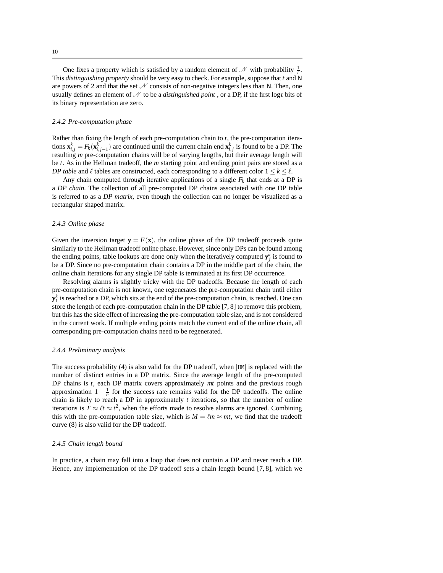One fixes a property which is satisfied by a random element of  $\mathcal N$  with probability  $\frac{1}{t}$ . This *distinguishing property* should be very easy to check. For example, suppose that *t* and N are powers of 2 and that the set  $\mathcal N$  consists of non-negative integers less than N. Then, one usually defines an element of  $\mathcal N$  to be a *distinguished point*, or a DP, if the first logt bits of its binary representation are zero.

## *2.4.2 Pre-computation phase*

Rather than fixing the length of each pre-computation chain to *t*, the pre-computation iterations  $\mathbf{x}_{i,j}^k = F_k(\mathbf{x}_{i,j-1}^k)$  are continued until the current chain end  $\mathbf{x}_{i,j}^k$  is found to be a DP. The resulting *m* pre-computation chains will be of varying lengths, but their average length will be *t*. As in the Hellman tradeoff, the *m* starting point and ending point pairs are stored as a *DP table* and  $\ell$  tables are constructed, each corresponding to a different color  $1 \leq k \leq \ell$ .

Any chain computed through iterative applications of a single  $F_k$  that ends at a DP is a *DP chain*. The collection of all pre-computed DP chains associated with one DP table is referred to as a *DP matrix*, even though the collection can no longer be visualized as a rectangular shaped matrix.

# *2.4.3 Online phase*

Given the inversion target  $y = F(x)$ , the online phase of the DP tradeoff proceeds quite similarly to the Hellman tradeoff online phase. However, since only DPs can be found among the ending points, table lookups are done only when the iteratively computed  $y_j^k$  is found to be a DP. Since no pre-computation chain contains a DP in the middle part of the chain, the online chain iterations for any single DP table is terminated at its first DP occurrence.

Resolving alarms is slightly tricky with the DP tradeoffs. Because the length of each pre-computation chain is not known, one regenerates the pre-computation chain until either  $\mathbf{y}_1^k$  is reached or a DP, which sits at the end of the pre-computation chain, is reached. One can store the length of each pre-computation chain in the DP table [7, 8] to remove this problem, but this has the side effect of increasing the pre-computation table size, and is not considered in the current work. If multiple ending points match the current end of the online chain, all corresponding pre-computation chains need to be regenerated.

#### *2.4.4 Preliminary analysis*

The success probability (4) is also valid for the DP tradeoff, when  $|HM|$  is replaced with the number of distinct entries in a DP matrix. Since the average length of the pre-computed DP chains is *t*, each DP matrix covers approximately *mt* points and the previous rough approximation  $1 - \frac{1}{e}$  for the success rate remains valid for the DP tradeoffs. The online chain is likely to reach a DP in approximately  $t$  iterations, so that the number of online iterations is  $T \approx \ell t \approx t^2$ , when the efforts made to resolve alarms are ignored. Combining this with the pre-computation table size, which is  $M = \ell m \approx m t$ , we find that the tradeoff curve (8) is also valid for the DP tradeoff.

#### *2.4.5 Chain length bound*

In practice, a chain may fall into a loop that does not contain a DP and never reach a DP. Hence, any implementation of the DP tradeoff sets a chain length bound [7, 8], which we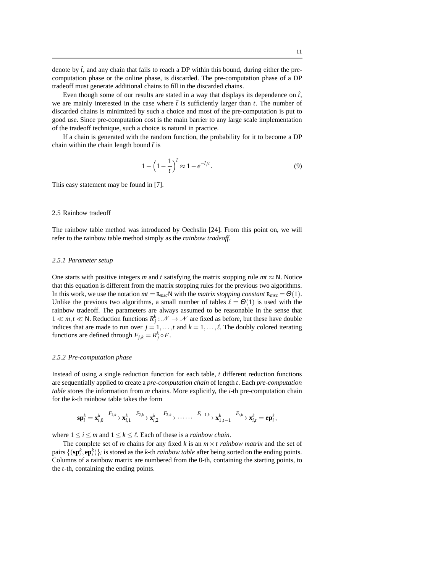denote by  $\hat{t}$ , and any chain that fails to reach a DP within this bound, during either the precomputation phase or the online phase, is discarded. The pre-computation phase of a DP tradeoff must generate additional chains to fill in the discarded chains.

Even though some of our results are stated in a way that displays its dependence on  $\hat{t}$ , we are mainly interested in the case where  $\hat{t}$  is sufficiently larger than  $t$ . The number of discarded chains is minimized by such a choice and most of the pre-computation is put to good use. Since pre-computation cost is the main barrier to any large scale implementation of the tradeoff technique, such a choice is natural in practice.

If a chain is generated with the random function, the probability for it to become a DP chain within the chain length bound  $\hat{t}$  is

$$
1 - \left(1 - \frac{1}{t}\right)^{\hat{t}} \approx 1 - e^{-\hat{t}/t}.\tag{9}
$$

This easy statement may be found in [7].

## 2.5 Rainbow tradeoff

The rainbow table method was introduced by Oechslin [24]. From this point on, we will refer to the rainbow table method simply as the *rainbow tradeoff*.

#### *2.5.1 Parameter setup*

One starts with positive integers *m* and *t* satisfying the matrix stopping rule  $mt \approx N$ . Notice that this equation is different from the matrix stopping rules for the previous two algorithms. In this work, we use the notation  $mt = R_{msc}N$  with the *matrix stopping constant*  $R_{msc} = \Theta(1)$ . Unlike the previous two algorithms, a small number of tables  $\ell = \Theta(1)$  is used with the rainbow tradeoff. The parameters are always assumed to be reasonable in the sense that  $1 \ll m, t \ll N$ . Reduction functions  $R_j^k$ :  $\mathcal{N} \to \mathcal{N}$  are fixed as before, but these have double indices that are made to run over  $j = 1, \ldots, t$  and  $k = 1, \ldots, \ell$ . The doubly colored iterating functions are defined through  $F_{j,k} = R_j^k \circ F$ .

## *2.5.2 Pre-computation phase*

Instead of using a single reduction function for each table, *t* different reduction functions are sequentially applied to create a *pre-computation chain* of length *t*. Each *pre-computation table* stores the information from *m* chains. More explicitly, the *i*-th pre-computation chain for the *k*-th rainbow table takes the form

$$
\mathbf{sp}_i^k = \mathbf{x}_{i,0}^k \xrightarrow{F_{1,k}} \mathbf{x}_{i,1}^k \xrightarrow{F_{2,k}} \mathbf{x}_{i,2}^k \xrightarrow{F_{3,k}} \cdots \cdots \xrightarrow{F_{t-1,k}} \mathbf{x}_{1,t-1}^k \xrightarrow{F_{t,k}} \mathbf{x}_{i,t}^k = \mathbf{ep}_i^k,
$$

where  $1 \le i \le m$  and  $1 \le k \le \ell$ . Each of these is a *rainbow chain*.

The complete set of *m* chains for any fixed *k* is an  $m \times t$  *rainbow matrix* and the set of pairs  $\{(\mathbf{sp}_i^k, \mathbf{ep}_i^k)\}_i$  is stored as the *k*-th *rainbow table* after being sorted on the ending points. Columns of a rainbow matrix are numbered from the 0-th, containing the starting points, to the *t*-th, containing the ending points.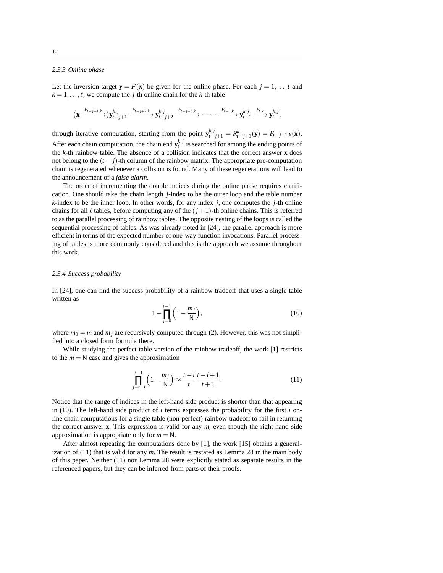# *2.5.3 Online phase*

Let the inversion target  $\mathbf{y} = F(\mathbf{x})$  be given for the online phase. For each  $j = 1, \ldots, t$  and  $k = 1, \ldots, \ell$ , we compute the *j*-th online chain for the *k*-th table

$$
(\mathbf{x} \xrightarrow{F_{t-j+1,k}}) \mathbf{y}_{t-j+1}^{k,j} \xrightarrow{F_{t-j+2,k}} \mathbf{y}_{t-j+2}^{k,j} \xrightarrow{F_{t-j+3,k}} \cdots \cdots \xrightarrow{F_{t-1,k}} \mathbf{y}_{t-1}^{k,j} \xrightarrow{F_{t,k}} \mathbf{y}_{t}^{k,j},
$$

through iterative computation, starting from the point  $\mathbf{y}_{t-j+1}^{k,j} = R_{t-j+1}^k(\mathbf{y}) = F_{t-j+1,k}(\mathbf{x})$ . After each chain computation, the chain end  $y_t^{k,j}$  is searched for among the ending points of the *k*-th rainbow table. The absence of a collision indicates that the correct answer **x** does not belong to the  $(t - j)$ -th column of the rainbow matrix. The appropriate pre-computation chain is regenerated whenever a collision is found. Many of these regenerations will lead to the announcement of a *false alarm*.

The order of incrementing the double indices during the online phase requires clarification. One should take the chain length *j*-index to be the outer loop and the table number *k*-index to be the inner loop. In other words, for any index *j*, one computes the *j*-th online chains for all  $\ell$  tables, before computing any of the  $(j+1)$ -th online chains. This is referred to as the parallel processing of rainbow tables. The opposite nesting of the loops is called the sequential processing of tables. As was already noted in [24], the parallel approach is more efficient in terms of the expected number of one-way function invocations. Parallel processing of tables is more commonly considered and this is the approach we assume throughout this work.

## *2.5.4 Success probability*

In [24], one can find the success probability of a rainbow tradeoff that uses a single table written as

$$
1 - \prod_{j=0}^{t-1} \left( 1 - \frac{m_j}{N} \right),\tag{10}
$$

where  $m_0 = m$  and  $m_i$  are recursively computed through (2). However, this was not simplified into a closed form formula there.

While studying the perfect table version of the rainbow tradeoff, the work [1] restricts to the  $m = N$  case and gives the approximation

$$
\prod_{j=t-i}^{t-1} \left( 1 - \frac{m_j}{N} \right) \approx \frac{t - i}{t} \frac{t - i + 1}{t + 1}.
$$
 (11)

Notice that the range of indices in the left-hand side product is shorter than that appearing in (10). The left-hand side product of *i* terms expresses the probability for the first *i* online chain computations for a single table (non-perfect) rainbow tradeoff to fail in returning the correct answer **x**. This expression is valid for any *m*, even though the right-hand side approximation is appropriate only for  $m = N$ .

After almost repeating the computations done by [1], the work [15] obtains a generalization of (11) that is valid for any *m*. The result is restated as Lemma 28 in the main body of this paper. Neither (11) nor Lemma 28 were explicitly stated as separate results in the referenced papers, but they can be inferred from parts of their proofs.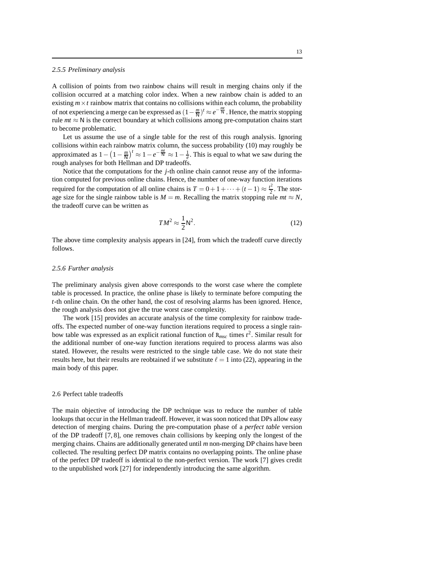#### *2.5.5 Preliminary analysis*

A collision of points from two rainbow chains will result in merging chains only if the collision occurred at a matching color index. When a new rainbow chain is added to an existing  $m \times t$  rainbow matrix that contains no collisions within each column, the probability of not experiencing a merge can be expressed as  $(1 - \frac{m}{N})^t \approx e^{-\frac{m t}{N}}$ . Hence, the matrix stopping rule  $mt \approx N$  is the correct boundary at which collisions among pre-computation chains start to become problematic.

Let us assume the use of a single table for the rest of this rough analysis. Ignoring collisions within each rainbow matrix column, the success probability (10) may roughly be approximated as  $1 - \left(1 - \frac{m}{N}\right)^t \approx 1 - e^{-\frac{mt}{N}} \approx 1 - \frac{1}{e}$ . This is equal to what we saw during the rough analyses for both Hellman and DP tradeoffs.

Notice that the computations for the *j*-th online chain cannot reuse any of the information computed for previous online chains. Hence, the number of one-way function iterations required for the computation of all online chains is  $T = 0 + 1 + \cdots + (t - 1) \approx \frac{t^2}{2}$  $\frac{12}{2}$ . The storage size for the single rainbow table is  $M = m$ . Recalling the matrix stopping rule  $mt \approx N$ , the tradeoff curve can be written as

$$
TM^2 \approx \frac{1}{2}N^2. \tag{12}
$$

The above time complexity analysis appears in [24], from which the tradeoff curve directly follows.

## *2.5.6 Further analysis*

The preliminary analysis given above corresponds to the worst case where the complete table is processed. In practice, the online phase is likely to terminate before computing the *t*-th online chain. On the other hand, the cost of resolving alarms has been ignored. Hence, the rough analysis does not give the true worst case complexity.

The work [15] provides an accurate analysis of the time complexity for rainbow tradeoffs. The expected number of one-way function iterations required to process a single rainbow table was expressed as an explicit rational function of R*msc* times *t* 2 . Similar result for the additional number of one-way function iterations required to process alarms was also stated. However, the results were restricted to the single table case. We do not state their results here, but their results are reobtained if we substitute  $\ell = 1$  into (22), appearing in the main body of this paper.

# 2.6 Perfect table tradeoffs

The main objective of introducing the DP technique was to reduce the number of table lookups that occur in the Hellman tradeoff. However, it was soon noticed that DPs allow easy detection of merging chains. During the pre-computation phase of a *perfect table* version of the DP tradeoff [7, 8], one removes chain collisions by keeping only the longest of the merging chains. Chains are additionally generated until *m* non-merging DP chains have been collected. The resulting perfect DP matrix contains no overlapping points. The online phase of the perfect DP tradeoff is identical to the non-perfect version. The work [7] gives credit to the unpublished work [27] for independently introducing the same algorithm.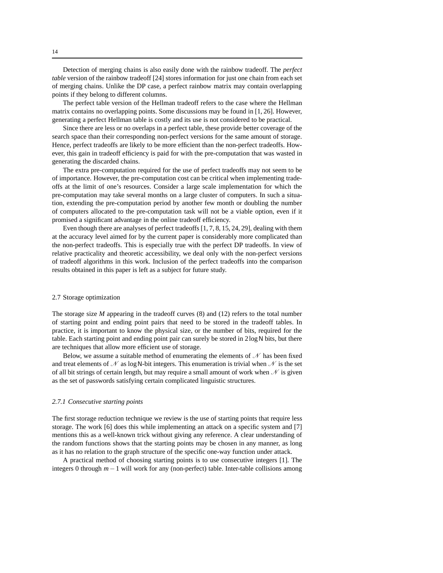Detection of merging chains is also easily done with the rainbow tradeoff. The *perfect table* version of the rainbow tradeoff [24] stores information for just one chain from each set of merging chains. Unlike the DP case, a perfect rainbow matrix may contain overlapping points if they belong to different columns.

The perfect table version of the Hellman tradeoff refers to the case where the Hellman matrix contains no overlapping points. Some discussions may be found in [1, 26]. However, generating a perfect Hellman table is costly and its use is not considered to be practical.

Since there are less or no overlaps in a perfect table, these provide better coverage of the search space than their corresponding non-perfect versions for the same amount of storage. Hence, perfect tradeoffs are likely to be more efficient than the non-perfect tradeoffs. However, this gain in tradeoff efficiency is paid for with the pre-computation that was wasted in generating the discarded chains.

The extra pre-computation required for the use of perfect tradeoffs may not seem to be of importance. However, the pre-computation cost can be critical when implementing tradeoffs at the limit of one's resources. Consider a large scale implementation for which the pre-computation may take several months on a large cluster of computers. In such a situation, extending the pre-computation period by another few month or doubling the number of computers allocated to the pre-computation task will not be a viable option, even if it promised a significant advantage in the online tradeoff efficiency.

Even though there are analyses of perfect tradeoffs [1, 7, 8, 15, 24, 29], dealing with them at the accuracy level aimed for by the current paper is considerably more complicated than the non-perfect tradeoffs. This is especially true with the perfect DP tradeoffs. In view of relative practicality and theoretic accessibility, we deal only with the non-perfect versions of tradeoff algorithms in this work. Inclusion of the perfect tradeoffs into the comparison results obtained in this paper is left as a subject for future study.

#### 2.7 Storage optimization

The storage size *M* appearing in the tradeoff curves (8) and (12) refers to the total number of starting point and ending point pairs that need to be stored in the tradeoff tables. In practice, it is important to know the physical size, or the number of bits, required for the table. Each starting point and ending point pair can surely be stored in 2logN bits, but there are techniques that allow more efficient use of storage.

Below, we assume a suitable method of enumerating the elements of  $\mathcal N$  has been fixed and treat elements of  $\mathcal N$  as log N-bit integers. This enumeration is trivial when  $\mathcal N$  is the set of all bit strings of certain length, but may require a small amount of work when  $\mathcal N$  is given as the set of passwords satisfying certain complicated linguistic structures.

#### *2.7.1 Consecutive starting points*

The first storage reduction technique we review is the use of starting points that require less storage. The work [6] does this while implementing an attack on a specific system and [7] mentions this as a well-known trick without giving any reference. A clear understanding of the random functions shows that the starting points may be chosen in any manner, as long as it has no relation to the graph structure of the specific one-way function under attack.

A practical method of choosing starting points is to use consecutive integers [1]. The integers 0 through *m*−1 will work for any (non-perfect) table. Inter-table collisions among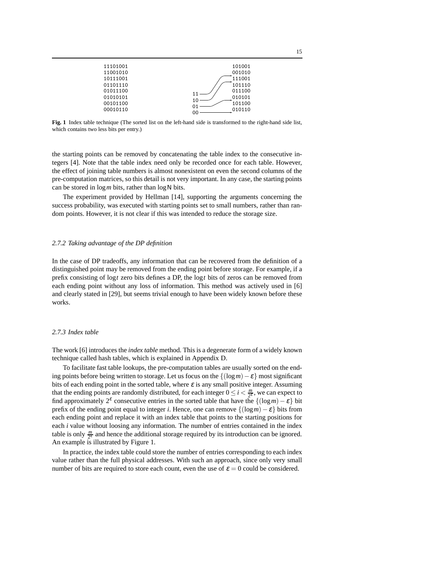| 11101001 | 101001       |
|----------|--------------|
| 11001010 | 001010       |
| 10111001 | 111001       |
| 01101110 | 101110       |
| 01011100 | 011100       |
| 01010101 | 010101<br>10 |
| 00101100 | 101100<br>01 |
| 00010110 | 010110<br>OΟ |
|          |              |

**Fig. 1** Index table technique (The sorted list on the left-hand side is transformed to the right-hand side list, which contains two less bits per entry.)

the starting points can be removed by concatenating the table index to the consecutive integers [4]. Note that the table index need only be recorded once for each table. However, the effect of joining table numbers is almost nonexistent on even the second columns of the pre-computation matrices, so this detail is not very important. In any case, the starting points can be stored in  $\log m$  bits, rather than  $\log N$  bits.

The experiment provided by Hellman [14], supporting the arguments concerning the success probability, was executed with starting points set to small numbers, rather than random points. However, it is not clear if this was intended to reduce the storage size.

## *2.7.2 Taking advantage of the DP definition*

In the case of DP tradeoffs, any information that can be recovered from the definition of a distinguished point may be removed from the ending point before storage. For example, if a prefix consisting of log*t* zero bits defines a DP, the log*t* bits of zeros can be removed from each ending point without any loss of information. This method was actively used in [6] and clearly stated in [29], but seems trivial enough to have been widely known before these works.

## *2.7.3 Index table*

The work [6] introduces the *index table* method. This is a degenerate form of a widely known technique called hash tables, which is explained in Appendix D.

To facilitate fast table lookups, the pre-computation tables are usually sorted on the ending points before being written to storage. Let us focus on the  $\{(log m) - \varepsilon\}$  most significant bits of each ending point in the sorted table, where  $\varepsilon$  is any small positive integer. Assuming that the ending points are randomly distributed, for each integer  $0 \le i < \frac{m}{2^{\epsilon}}$ , we can expect to find approximately  $2^{\varepsilon}$  consecutive entries in the sorted table that have the  $\{(\log m) - \varepsilon\}$  bit prefix of the ending point equal to integer *i*. Hence, one can remove  $\{(\log m) - \varepsilon\}$  bits from each ending point and replace it with an index table that points to the starting positions for each *i* value without loosing any information. The number of entries contained in the index table is only  $\frac{m}{2^{\epsilon}}$  and hence the additional storage required by its introduction can be ignored. An example is illustrated by Figure 1.

In practice, the index table could store the number of entries corresponding to each index value rather than the full physical addresses. With such an approach, since only very small number of bits are required to store each count, even the use of  $\varepsilon = 0$  could be considered.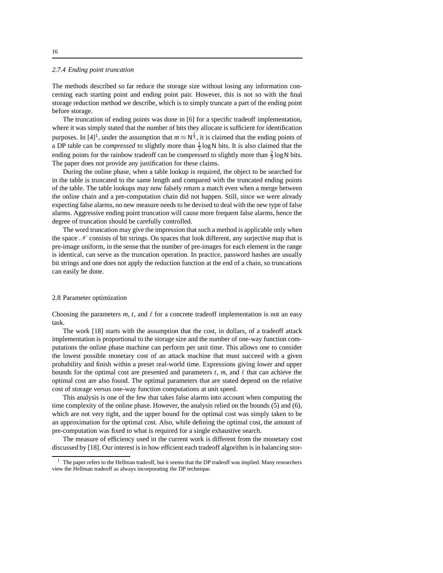#### *2.7.4 Ending point truncation*

The methods described so far reduce the storage size without losing any information concerning each starting point and ending point pair. However, this is not so with the final storage reduction method we describe, which is to simply truncate a part of the ending point before storage.

The truncation of ending points was done in [6] for a specific tradeoff implementation, where it was simply stated that the number of bits they allocate is sufficient for identification purposes. In [4]<sup>1</sup>, under the assumption that  $m \approx N^{\frac{1}{3}}$ , it is claimed that the ending points of a DP table can be *compressed* to slightly more than  $\frac{1}{3} \log N$  bits. It is also claimed that the ending points for the rainbow tradeoff can be compressed to slightly more than  $\frac{2}{3} \log N$  bits. The paper does not provide any justification for these claims.

During the online phase, when a table lookup is required, the object to be searched for in the table is truncated to the same length and compared with the truncated ending points of the table. The table lookups may now falsely return a match even when a merge between the online chain and a pre-computation chain did not happen. Still, since we were already expecting false alarms, no new measure needs to be devised to deal with the new type of false alarms. Aggressive ending point truncation will cause more frequent false alarms, hence the degree of truncation should be carefully controlled.

The word truncation may give the impression that such a method is applicable only when the space  $\mathcal N$  consists of bit strings. On spaces that look different, any surjective map that is pre-image uniform, in the sense that the number of pre-images for each element in the range is identical, can serve as the truncation operation. In practice, password hashes are usually bit strings and one does not apply the reduction function at the end of a chain, so truncations can easily be done.

## 2.8 Parameter optimization

Choosing the parameters  $m$ ,  $t$ , and  $\ell$  for a concrete tradeoff implementation is not an easy task.

The work [18] starts with the assumption that the cost, in dollars, of a tradeoff attack implementation is proportional to the storage size and the number of one-way function computations the online phase machine can perform per unit time. This allows one to consider the lowest possible monetary cost of an attack machine that must succeed with a given probability and finish within a preset real-world time. Expressions giving lower and upper bounds for the optimal cost are presented and parameters  $t$ ,  $m$ , and  $\ell$  that can achieve the optimal cost are also found. The optimal parameters that are stated depend on the relative cost of storage versus one-way function computations at unit speed.

This analysis is one of the few that takes false alarms into account when computing the time complexity of the online phase. However, the analysis relied on the bounds (5) and (6), which are not very tight, and the upper bound for the optimal cost was simply taken to be an approximation for the optimal cost. Also, while defining the optimal cost, the amount of pre-computation was fixed to what is required for a single exhaustive search.

The measure of efficiency used in the current work is different from the monetary cost discussed by [18]. Our interest is in how efficient each tradeoff algorithm is in balancing stor-

<sup>&</sup>lt;sup>1</sup> The paper refers to the Hellman tradeoff, but it seems that the DP tradeoff was implied. Many researchers view the Hellman tradeoff as always incorporating the DP technique.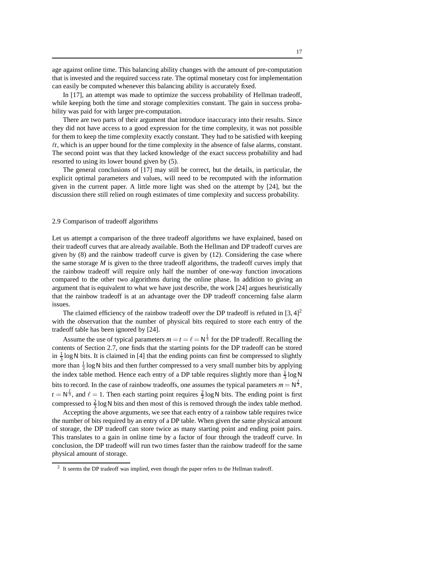age against online time. This balancing ability changes with the amount of pre-computation that is invested and the required success rate. The optimal monetary cost for implementation can easily be computed whenever this balancing ability is accurately fixed.

In [17], an attempt was made to optimize the success probability of Hellman tradeoff, while keeping both the time and storage complexities constant. The gain in success probability was paid for with larger pre-computation.

There are two parts of their argument that introduce inaccuracy into their results. Since they did not have access to a good expression for the time complexity, it was not possible for them to keep the time complexity exactly constant. They had to be satisfied with keeping  $\ell t$ , which is an upper bound for the time complexity in the absence of false alarms, constant. The second point was that they lacked knowledge of the exact success probability and had resorted to using its lower bound given by (5).

The general conclusions of [17] may still be correct, but the details, in particular, the explicit optimal parameters and values, will need to be recomputed with the information given in the current paper. A little more light was shed on the attempt by [24], but the discussion there still relied on rough estimates of time complexity and success probability.

#### 2.9 Comparison of tradeoff algorithms

Let us attempt a comparison of the three tradeoff algorithms we have explained, based on their tradeoff curves that are already available. Both the Hellman and DP tradeoff curves are given by (8) and the rainbow tradeoff curve is given by (12). Considering the case where the same storage *M* is given to the three tradeoff algorithms, the tradeoff curves imply that the rainbow tradeoff will require only half the number of one-way function invocations compared to the other two algorithms during the online phase. In addition to giving an argument that is equivalent to what we have just describe, the work [24] argues heuristically that the rainbow tradeoff is at an advantage over the DP tradeoff concerning false alarm issues.

The claimed efficiency of the rainbow tradeoff over the DP tradeoff is refuted in  $[3, 4]$ <sup>2</sup> with the observation that the number of physical bits required to store each entry of the tradeoff table has been ignored by [24].

Assume the use of typical parameters  $m = t = \ell = N^{\frac{1}{3}}$  for the DP tradeoff. Recalling the contents of Section 2.7, one finds that the starting points for the DP tradeoff can be stored in  $\frac{1}{3}$  log N bits. It is claimed in [4] that the ending points can first be compressed to slightly more than  $\frac{1}{3}$  log N bits and then further compressed to a very small number bits by applying the index table method. Hence each entry of a DP table requires slightly more than  $\frac{1}{3} \log N$ bits to record. In the case of rainbow tradeoffs, one assumes the typical parameters  $m = N^{\frac{2}{3}}$ ,  $t = N^{\frac{1}{3}}$ , and  $\ell = 1$ . Then each starting point requires  $\frac{2}{3}$ log N bits. The ending point is first compressed to  $\frac{2}{3}$  log N bits and then most of this is removed through the index table method.

Accepting the above arguments, we see that each entry of a rainbow table requires twice the number of bits required by an entry of a DP table. When given the same physical amount of storage, the DP tradeoff can store twice as many starting point and ending point pairs. This translates to a gain in online time by a factor of four through the tradeoff curve. In conclusion, the DP tradeoff will run two times faster than the rainbow tradeoff for the same physical amount of storage.

 $2$  It seems the DP tradeoff was implied, even though the paper refers to the Hellman tradeoff.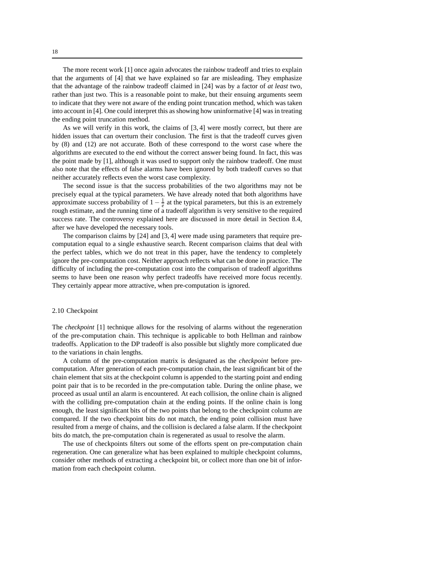The more recent work [1] once again advocates the rainbow tradeoff and tries to explain that the arguments of [4] that we have explained so far are misleading. They emphasize that the advantage of the rainbow tradeoff claimed in [24] was by a factor of *at least* two, rather than just two. This is a reasonable point to make, but their ensuing arguments seem to indicate that they were not aware of the ending point truncation method, which was taken into account in [4]. One could interpret this as showing how uninformative [4] was in treating the ending point truncation method.

As we will verify in this work, the claims of [3, 4] were mostly correct, but there are hidden issues that can overturn their conclusion. The first is that the tradeoff curves given by (8) and (12) are not accurate. Both of these correspond to the worst case where the algorithms are executed to the end without the correct answer being found. In fact, this was the point made by [1], although it was used to support only the rainbow tradeoff. One must also note that the effects of false alarms have been ignored by both tradeoff curves so that neither accurately reflects even the worst case complexity.

The second issue is that the success probabilities of the two algorithms may not be precisely equal at the typical parameters. We have already noted that both algorithms have approximate success probability of  $1 - \frac{1}{e}$  at the typical parameters, but this is an extremely rough estimate, and the running time of a tradeoff algorithm is very sensitive to the required success rate. The controversy explained here are discussed in more detail in Section 8.4, after we have developed the necessary tools.

The comparison claims by [24] and [3, 4] were made using parameters that require precomputation equal to a single exhaustive search. Recent comparison claims that deal with the perfect tables, which we do not treat in this paper, have the tendency to completely ignore the pre-computation cost. Neither approach reflects what can be done in practice. The difficulty of including the pre-computation cost into the comparison of tradeoff algorithms seems to have been one reason why perfect tradeoffs have received more focus recently. They certainly appear more attractive, when pre-computation is ignored.

#### 2.10 Checkpoint

The *checkpoint* [1] technique allows for the resolving of alarms without the regeneration of the pre-computation chain. This technique is applicable to both Hellman and rainbow tradeoffs. Application to the DP tradeoff is also possible but slightly more complicated due to the variations in chain lengths.

A column of the pre-computation matrix is designated as the *checkpoint* before precomputation. After generation of each pre-computation chain, the least significant bit of the chain element that sits at the checkpoint column is appended to the starting point and ending point pair that is to be recorded in the pre-computation table. During the online phase, we proceed as usual until an alarm is encountered. At each collision, the online chain is aligned with the colliding pre-computation chain at the ending points. If the online chain is long enough, the least significant bits of the two points that belong to the checkpoint column are compared. If the two checkpoint bits do not match, the ending point collision must have resulted from a merge of chains, and the collision is declared a false alarm. If the checkpoint bits do match, the pre-computation chain is regenerated as usual to resolve the alarm.

The use of checkpoints filters out some of the efforts spent on pre-computation chain regeneration. One can generalize what has been explained to multiple checkpoint columns, consider other methods of extracting a checkpoint bit, or collect more than one bit of information from each checkpoint column.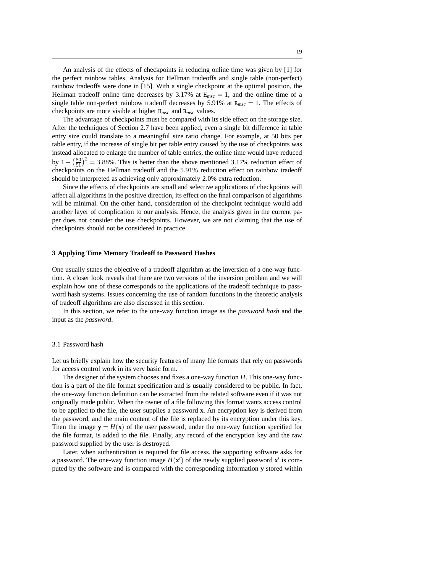An analysis of the effects of checkpoints in reducing online time was given by [1] for the perfect rainbow tables. Analysis for Hellman tradeoffs and single table (non-perfect) rainbow tradeoffs were done in [15]. With a single checkpoint at the optimal position, the Hellman tradeoff online time decreases by  $3.17\%$  at  $H_{msc} = 1$ , and the online time of a single table non-perfect rainbow tradeoff decreases by 5.91% at  $R_{msc} = 1$ . The effects of checkpoints are more visible at higher H*msc* and R*msc* values.

The advantage of checkpoints must be compared with its side effect on the storage size. After the techniques of Section 2.7 have been applied, even a single bit difference in table entry size could translate to a meaningful size ratio change. For example, at 50 bits per table entry, if the increase of single bit per table entry caused by the use of checkpoints was instead allocated to enlarge the number of table entries, the online time would have reduced by  $1 - \left(\frac{50}{51}\right)^2 = 3.88\%$ . This is better than the above mentioned 3.17% reduction effect of checkpoints on the Hellman tradeoff and the 5.91% reduction effect on rainbow tradeoff should be interpreted as achieving only approximately 2.0% extra reduction.

Since the effects of checkpoints are small and selective applications of checkpoints will affect all algorithms in the positive direction, its effect on the final comparison of algorithms will be minimal. On the other hand, consideration of the checkpoint technique would add another layer of complication to our analysis. Hence, the analysis given in the current paper does not consider the use checkpoints. However, we are not claiming that the use of checkpoints should not be considered in practice.

#### **3 Applying Time Memory Tradeoff to Password Hashes**

One usually states the objective of a tradeoff algorithm as the inversion of a one-way function. A closer look reveals that there are two versions of the inversion problem and we will explain how one of these corresponds to the applications of the tradeoff technique to password hash systems. Issues concerning the use of random functions in the theoretic analysis of tradeoff algorithms are also discussed in this section.

In this section, we refer to the one-way function image as the *password hash* and the input as the *password*.

# 3.1 Password hash

Let us briefly explain how the security features of many file formats that rely on passwords for access control work in its very basic form.

The designer of the system chooses and fixes a one-way function *H*. This one-way function is a part of the file format specification and is usually considered to be public. In fact, the one-way function definition can be extracted from the related software even if it was not originally made public. When the owner of a file following this format wants access control to be applied to the file, the user supplies a password **x**. An encryption key is derived from the password, and the main content of the file is replaced by its encryption under this key. Then the image  $y = H(x)$  of the user password, under the one-way function specified for the file format, is added to the file. Finally, any record of the encryption key and the raw password supplied by the user is destroyed.

Later, when authentication is required for file access, the supporting software asks for a password. The one-way function image  $H(\mathbf{x}')$  of the newly supplied password  $\mathbf{x}'$  is computed by the software and is compared with the corresponding information **y** stored within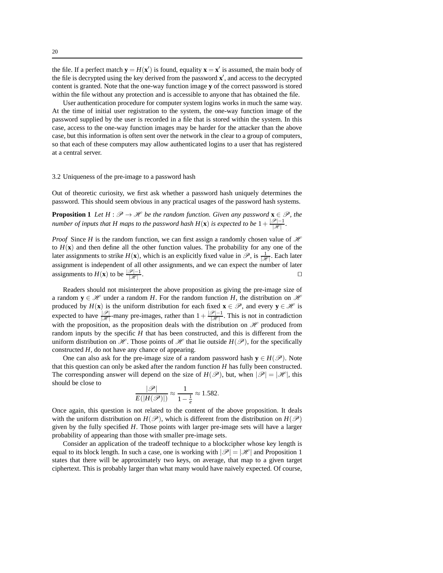the file. If a perfect match  $y = H(x')$  is found, equality  $x = x'$  is assumed, the main body of the file is decrypted using the key derived from the password **x** ′ , and access to the decrypted content is granted. Note that the one-way function image **y** of the correct password is stored within the file without any protection and is accessible to anyone that has obtained the file.

User authentication procedure for computer system logins works in much the same way. At the time of initial user registration to the system, the one-way function image of the password supplied by the user is recorded in a file that is stored within the system. In this case, access to the one-way function images may be harder for the attacker than the above case, but this information is often sent over the network in the clear to a group of computers, so that each of these computers may allow authenticated logins to a user that has registered at a central server.

#### 3.2 Uniqueness of the pre-image to a password hash

Out of theoretic curiosity, we first ask whether a password hash uniquely determines the password. This should seem obvious in any practical usages of the password hash systems.

**Proposition 1** *Let*  $H : \mathcal{P} \to \mathcal{H}$  *be the random function. Given any password*  $\mathbf{x} \in \mathcal{P}$ *, the number of inputs that H maps to the password hash*  $H(\mathbf{x})$  *is expected to be*  $1 + \frac{|\mathcal{P}|-1}{|\mathcal{H}|}$  $\frac{\mathscr{P}|-1}{|\mathscr{H}|}$ .

*Proof* Since *H* is the random function, we can first assign a randomly chosen value of  $H$ to  $H(\mathbf{x})$  and then define all the other function values. The probability for any one of the later assignments to strike  $H(\mathbf{x})$ , which is an explicitly fixed value in  $\mathscr{P}$ , is  $\frac{1}{|\mathscr{H}|}$ . Each later assignment is independent of all other assignments, and we can expect the number of later assignments to  $H(\mathbf{x})$  to be  $\frac{|\mathcal{P}|-1}{|\mathcal{H}|}$ . ⊔

Readers should not misinterpret the above proposition as giving the pre-image size of a random  $y \in \mathcal{H}$  under a random *H*. For the random function *H*, the distribution on  $\mathcal{H}$ produced by  $H(\mathbf{x})$  is the uniform distribution for each fixed  $\mathbf{x} \in \mathcal{P}$ , and every  $\mathbf{y} \in \mathcal{H}$  is expected to have  $\frac{|\mathcal{P}|}{|\mathcal{H}|}$ -many pre-images, rather than  $1 + \frac{|\mathcal{P}| - 1}{|\mathcal{H}|}$  $\frac{\mathcal{P}|-1}{|\mathcal{H}|}$ . This is not in contradiction with the proposition, as the proposition deals with the distribution on  $\mathcal H$  produced from random inputs by the specific *H* that has been constructed, and this is different from the uniform distribution on  $\mathcal{H}$ . Those points of  $\mathcal{H}$  that lie outside  $H(\mathcal{P})$ , for the specifically constructed *H*, do not have any chance of appearing.

One can also ask for the pre-image size of a random password hash  $y \in H(\mathcal{P})$ . Note that this question can only be asked after the random function *H* has fully been constructed. The corresponding answer will depend on the size of  $H(\mathscr{P})$ , but, when  $|\mathscr{P}| = |\mathscr{H}|$ , this should be close to

$$
\frac{|\mathscr{P}|}{E(|H(\mathscr{P})|)} \approx \frac{1}{1-\frac{1}{e}} \approx 1.582.
$$

Once again, this question is not related to the content of the above proposition. It deals with the uniform distribution on  $H(\mathscr{P})$ , which is different from the distribution on  $H(\mathscr{P})$ given by the fully specified *H*. Those points with larger pre-image sets will have a larger probability of appearing than those with smaller pre-image sets.

Consider an application of the tradeoff technique to a blockcipher whose key length is equal to its block length. In such a case, one is working with  $|\mathscr{P}| = |\mathscr{H}|$  and Proposition 1 states that there will be approximately two keys, on average, that map to a given target ciphertext. This is probably larger than what many would have naively expected. Of course,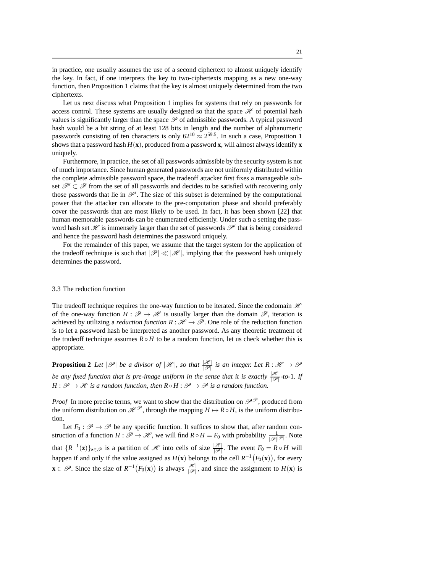in practice, one usually assumes the use of a second ciphertext to almost uniquely identify the key. In fact, if one interprets the key to two-ciphertexts mapping as a new one-way function, then Proposition 1 claims that the key is almost uniquely determined from the two ciphertexts.

Let us next discuss what Proposition 1 implies for systems that rely on passwords for access control. These systems are usually designed so that the space  $\mathcal H$  of potential hash values is significantly larger than the space  $\mathscr P$  of admissible passwords. A typical password hash would be a bit string of at least 128 bits in length and the number of alphanumeric passwords consisting of ten characters is only  $62^{10} \approx 2^{59.5}$ . In such a case, Proposition 1 shows that a password hash  $H(\mathbf{x})$ , produced from a password **x**, will almost always identify **x** uniquely.

Furthermore, in practice, the set of all passwords admissible by the security system is not of much importance. Since human generated passwords are not uniformly distributed within the complete admissible password space, the tradeoff attacker first fixes a manageable subset  $\mathcal{P}' \subset \mathcal{P}$  from the set of all passwords and decides to be satisfied with recovering only those passwords that lie in  $\mathcal{P}'$ . The size of this subset is determined by the computational power that the attacker can allocate to the pre-computation phase and should preferably cover the passwords that are most likely to be used. In fact, it has been shown [22] that human-memorable passwords can be enumerated efficiently. Under such a setting the password hash set  $\mathcal H$  is immensely larger than the set of passwords  $\mathcal P'$  that is being considered and hence the password hash determines the password uniquely.

For the remainder of this paper, we assume that the target system for the application of the tradeoff technique is such that  $|\mathscr{P}| \ll |\mathscr{H}|$ , implying that the password hash uniquely determines the password.

## 3.3 The reduction function

The tradeoff technique requires the one-way function to be iterated. Since the codomain  $H$ of the one-way function  $H: \mathscr{P} \to \mathscr{H}$  is usually larger than the domain  $\mathscr{P}$ , iteration is achieved by utilizing a *reduction function*  $R : \mathcal{H} \to \mathcal{P}$ . One role of the reduction function is to let a password hash be interpreted as another password. As any theoretic treatment of the tradeoff technique assumes  $R \circ H$  to be a random function, let us check whether this is appropriate.

**Proposition 2** Let  $|\mathscr{P}|$  be a divisor of  $|\mathscr{H}|$ , so that  $\frac{|\mathscr{H}|}{|\mathscr{P}|}$  is an integer. Let  $R : \mathscr{H} \to \mathscr{P}$ *be any fixed function that is pre-image uniform in the sense that it is exactly*  $\frac{|\mathcal{H}|}{|\mathcal{P}|}$ -to-1*. If*  $H: \mathscr{P} \to \mathscr{H}$  *is a random function, then*  $R \circ H: \mathscr{P} \to \mathscr{P}$  *is a random function.* 

*Proof* In more precise terms, we want to show that the distribution on  $\mathcal{P}^{\mathcal{P}}$ , produced from the uniform distribution on  $\mathcal{H}^{\mathcal{P}}$ , through the mapping  $H \mapsto R \circ H$ , is the uniform distribution.

Let  $F_0$ :  $\mathscr{P} \to \mathscr{P}$  be any specific function. It suffices to show that, after random construction of a function  $H: \mathscr{P} \to \mathscr{H}$ , we will find  $R \circ H = F_0$  with probability  $\frac{1}{|\mathscr{P}|^{|\mathscr{P}|}}$ . Note that  ${R^{-1}(\mathbf{z})}_{\mathbf{z} \in \mathcal{P}}$  is a partition of *H* into cells of size  $\frac{|\mathcal{H}|}{|\mathcal{P}|}$ . The event  $F_0 = R \circ H$  will happen if and only if the value assigned as  $H(\mathbf{x})$  belongs to the cell  $R^{-1}(F_0(\mathbf{x}))$ , for every **x** ∈  $\mathcal{P}$ . Since the size of  $R^{-1}(F_0(\mathbf{x}))$  is always  $\frac{|\mathcal{H}|}{|\mathcal{P}|}$ , and since the assignment to  $H(\mathbf{x})$  is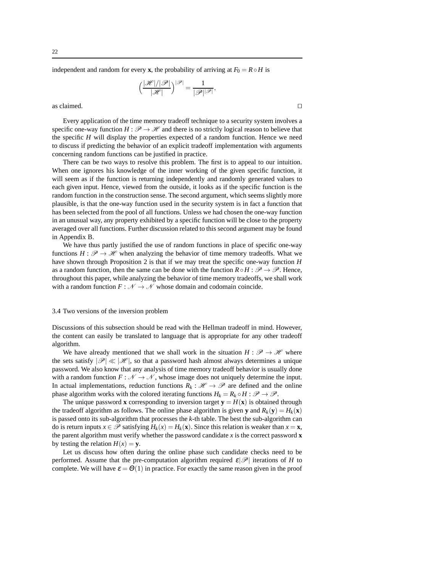independent and random for every **x**, the probability of arriving at  $F_0 = R \circ H$  is

$$
\Big(\frac{|\mathscr{H}|/|\mathscr{P}|}{|\mathscr{H}|}\Big)^{|\mathscr{P}|}=\frac{1}{|\mathscr{P}|^{|\mathscr{P}|}},
$$

as claimed. □

Every application of the time memory tradeoff technique to a security system involves a specific one-way function  $H : \mathscr{P} \to \mathscr{H}$  and there is no strictly logical reason to believe that the specific *H* will display the properties expected of a random function. Hence we need to discuss if predicting the behavior of an explicit tradeoff implementation with arguments concerning random functions can be justified in practice.

There can be two ways to resolve this problem. The first is to appeal to our intuition. When one ignores his knowledge of the inner working of the given specific function, it will seem as if the function is returning independently and randomly generated values to each given input. Hence, viewed from the outside, it looks as if the specific function is the random function in the construction sense. The second argument, which seems slightly more plausible, is that the one-way function used in the security system is in fact a function that has been selected from the pool of all functions. Unless we had chosen the one-way function in an unusual way, any property exhibited by a specific function will be close to the property averaged over all functions. Further discussion related to this second argument may be found in Appendix B.

We have thus partly justified the use of random functions in place of specific one-way functions  $H : \mathscr{P} \to \mathscr{H}$  when analyzing the behavior of time memory tradeoffs. What we have shown through Proposition 2 is that if we may treat the specific one-way function *H* as a random function, then the same can be done with the function  $R \circ H : \mathscr{P} \to \mathscr{P}$ . Hence, throughout this paper, while analyzing the behavior of time memory tradeoffs, we shall work with a random function  $F: \mathcal{N} \to \mathcal{N}$  whose domain and codomain coincide.

# 3.4 Two versions of the inversion problem

Discussions of this subsection should be read with the Hellman tradeoff in mind. However, the content can easily be translated to language that is appropriate for any other tradeoff algorithm.

We have already mentioned that we shall work in the situation  $H: \mathscr{P} \to \mathscr{H}$  where the sets satisfy  $|\mathscr{P}| \ll |\mathscr{H}|$ , so that a password hash almost always determines a unique password. We also know that any analysis of time memory tradeoff behavior is usually done with a random function  $F : \mathcal{N} \to \mathcal{N}$ , whose image does not uniquely determine the input. In actual implementations, reduction functions  $R_k : \mathcal{H} \to \mathcal{P}$  are defined and the online phase algorithm works with the colored iterating functions  $H_k = R_k \circ H : \mathcal{P} \to \mathcal{P}$ .

The unique password **x** corresponding to inversion target  $y = H(x)$  is obtained through the tradeoff algorithm as follows. The online phase algorithm is given **y** and  $R_k(\mathbf{y}) = H_k(\mathbf{x})$ is passed onto its sub-algorithm that processes the *k*-th table. The best the sub-algorithm can do is return inputs  $x \in \mathcal{P}$  satisfying  $H_k(x) = H_k(\mathbf{x})$ . Since this relation is weaker than  $x = \mathbf{x}$ , the parent algorithm must verify whether the password candidate  $x$  is the correct password  $\bf{x}$ by testing the relation  $H(x) = y$ .

Let us discuss how often during the online phase such candidate checks need to be performed. Assume that the pre-computation algorithm required  $\varepsilon |\mathscr{P}|$  iterations of *H* to complete. We will have  $\varepsilon = \Theta(1)$  in practice. For exactly the same reason given in the proof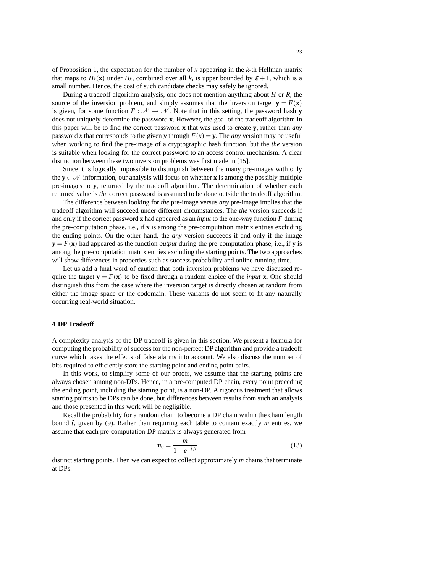of Proposition 1, the expectation for the number of *x* appearing in the *k*-th Hellman matrix that maps to  $H_k(\mathbf{x})$  under  $H_k$ , combined over all k, is upper bounded by  $\varepsilon + 1$ , which is a small number. Hence, the cost of such candidate checks may safely be ignored.

During a tradeoff algorithm analysis, one does not mention anything about *H* or *R*, the source of the inversion problem, and simply assumes that the inversion target  $\mathbf{y} = F(\mathbf{x})$ is given, for some function  $F : \mathcal{N} \to \mathcal{N}$ . Note that in this setting, the password hash **y** does not uniquely determine the password **x**. However, the goal of the tradeoff algorithm in this paper will be to find *the* correct password **x** that was used to create **y**, rather than *any* password *x* that corresponds to the given **y** through  $F(x) = y$ . The *any* version may be useful when working to find the pre-image of a cryptographic hash function, but the *the* version is suitable when looking for the correct password to an access control mechanism. A clear distinction between these two inversion problems was first made in [15].

Since it is logically impossible to distinguish between the many pre-images with only the  $y \in \mathcal{N}$  information, our analysis will focus on whether **x** is among the possibly multiple pre-images to **y**, returned by the tradeoff algorithm. The determination of whether each returned value is *the* correct password is assumed to be done outside the tradeoff algorithm.

The difference between looking for *the* pre-image versus *any* pre-image implies that the tradeoff algorithm will succeed under different circumstances. The *the* version succeeds if and only if the correct password **x** had appeared as an *input* to the one-way function *F* during the pre-computation phase, i.e., if **x** is among the pre-computation matrix entries excluding the ending points. On the other hand, the *any* version succeeds if and only if the image  $\mathbf{y} = F(\mathbf{x})$  had appeared as the function *output* during the pre-computation phase, i.e., if **y** is among the pre-computation matrix entries excluding the starting points. The two approaches will show differences in properties such as success probability and online running time.

Let us add a final word of caution that both inversion problems we have discussed require the target  $\mathbf{v} = F(\mathbf{x})$  to be fixed through a random choice of the *input* **x**. One should distinguish this from the case where the inversion target is directly chosen at random from either the image space or the codomain. These variants do not seem to fit any naturally occurring real-world situation.

# **4 DP Tradeoff**

A complexity analysis of the DP tradeoff is given in this section. We present a formula for computing the probability of success for the non-perfect DP algorithm and provide a tradeoff curve which takes the effects of false alarms into account. We also discuss the number of bits required to efficiently store the starting point and ending point pairs.

In this work, to simplify some of our proofs, we assume that the starting points are always chosen among non-DPs. Hence, in a pre-computed DP chain, every point preceding the ending point, including the starting point, is a non-DP. A rigorous treatment that allows starting points to be DPs can be done, but differences between results from such an analysis and those presented in this work will be negligible.

Recall the probability for a random chain to become a DP chain within the chain length bound  $\hat{t}$ , given by (9). Rather than requiring each table to contain exactly *m* entries, we assume that each pre-computation DP matrix is always generated from

$$
m_0 = \frac{m}{1 - e^{-\hat{t}/t}}
$$
 (13)

distinct starting points. Then we can expect to collect approximately *m* chains that terminate at DPs.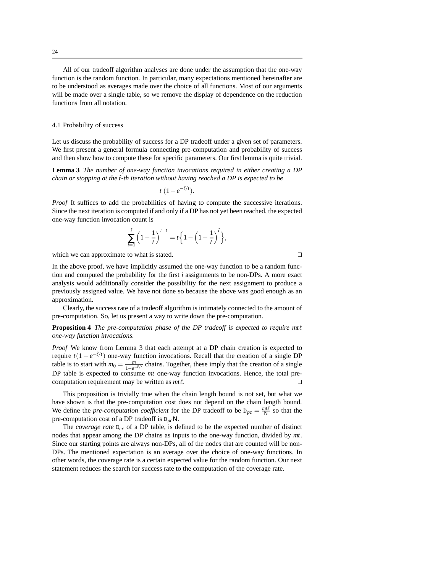All of our tradeoff algorithm analyses are done under the assumption that the one-way function is the random function. In particular, many expectations mentioned hereinafter are to be understood as averages made over the choice of all functions. Most of our arguments will be made over a single table, so we remove the display of dependence on the reduction functions from all notation.

## 4.1 Probability of success

Let us discuss the probability of success for a DP tradeoff under a given set of parameters. We first present a general formula connecting pre-computation and probability of success and then show how to compute these for specific parameters. Our first lemma is quite trivial.

**Lemma 3** *The number of one-way function invocations required in either creating a DP chain or stopping at the*  $\hat{t}$ -th iteration without having reached a DP is expected to be

$$
t\,(1-e^{-\hat{t}/t}).
$$

*Proof* It suffices to add the probabilities of having to compute the successive iterations. Since the next iteration is computed if and only if a DP has not yet been reached, the expected one-way function invocation count is

$$
\sum_{i=1}^{f} \left(1 - \frac{1}{t}\right)^{i-1} = t \left\{1 - \left(1 - \frac{1}{t}\right)^{f}\right\},\,
$$

which we can approximate to what is stated. □

In the above proof, we have implicitly assumed the one-way function to be a random function and computed the probability for the first *i* assignments to be non-DPs. A more exact analysis would additionally consider the possibility for the next assignment to produce a previously assigned value. We have not done so because the above was good enough as an approximation.

Clearly, the success rate of a tradeoff algorithm is intimately connected to the amount of pre-computation. So, let us present a way to write down the pre-computation.

# **Proposition 4** *The pre-computation phase of the DP tradeoff is expected to require mtl one-way function invocations.*

*Proof* We know from Lemma 3 that each attempt at a DP chain creation is expected to require  $t(1 - e^{-\hat{t}/t})$  one-way function invocations. Recall that the creation of a single DP table is to start with  $m_0 = \frac{m}{1-e^{-\tilde{t}/t}}$  chains. Together, these imply that the creation of a single DP table is expected to consume *mt* one-way function invocations. Hence, the total precomputation requirement may be written as *mt*ℓ. ⊓⊔

This proposition is trivially true when the chain length bound is not set, but what we have shown is that the pre-computation cost does not depend on the chain length bound. We define the *pre-computation coefficient* for the DP tradeoff to be  $D_{pc} = \frac{m t \ell}{N}$  so that the pre-computation cost of a DP tradeoff is D*pc*N.

The *coverage rate* D*cr* of a DP table, is defined to be the expected number of distinct nodes that appear among the DP chains as inputs to the one-way function, divided by *mt*. Since our starting points are always non-DPs, all of the nodes that are counted will be non-DPs. The mentioned expectation is an average over the choice of one-way functions. In other words, the coverage rate is a certain expected value for the random function. Our next statement reduces the search for success rate to the computation of the coverage rate.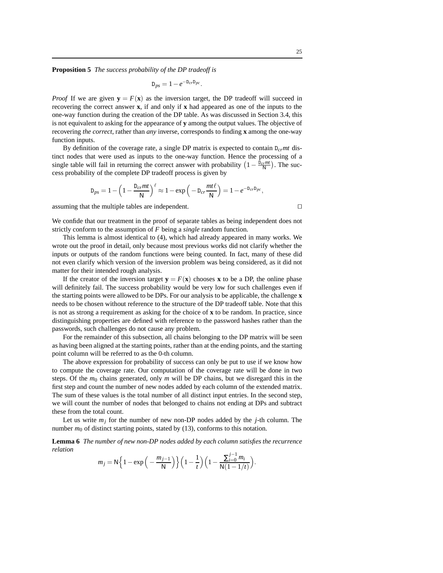**Proposition 5** *The success probability of the DP tradeoff is*

$$
D_{ps}=1-e^{-D_{cr}D_{pc}}.
$$

*Proof* If we are given  $y = F(x)$  as the inversion target, the DP tradeoff will succeed in recovering the correct answer **x**, if and only if **x** had appeared as one of the inputs to the one-way function during the creation of the DP table. As was discussed in Section 3.4, this is not equivalent to asking for the appearance of **y** among the output values. The objective of recovering *the correct*, rather than *any* inverse, corresponds to finding **x** among the one-way function inputs.

By definition of the coverage rate, a single DP matrix is expected to contain D*crmt* distinct nodes that were used as inputs to the one-way function. Hence the processing of a single table will fail in returning the correct answer with probability  $(1 - \frac{\hat{D}_{cr}mt}{N})$ . The success probability of the complete DP tradeoff process is given by

$$
D_{ps} = 1 - \left(1 - \frac{D_{cr}mt}{N}\right)^{\ell} \approx 1 - \exp\left(-D_{cr} \frac{mt\ell}{N}\right) = 1 - e^{-D_{cr}D_{pc}},
$$

assuming that the multiple tables are independent. ⊓⊔

We confide that our treatment in the proof of separate tables as being independent does not strictly conform to the assumption of *F* being a *single* random function.

This lemma is almost identical to (4), which had already appeared in many works. We wrote out the proof in detail, only because most previous works did not clarify whether the inputs or outputs of the random functions were being counted. In fact, many of these did not even clarify which version of the inversion problem was being considered, as it did not matter for their intended rough analysis.

If the creator of the inversion target  $y = F(x)$  chooses x to be a DP, the online phase will definitely fail. The success probability would be very low for such challenges even if the starting points were allowed to be DPs. For our analysis to be applicable, the challenge **x** needs to be chosen without reference to the structure of the DP tradeoff table. Note that this is not as strong a requirement as asking for the choice of **x** to be random. In practice, since distinguishing properties are defined with reference to the password hashes rather than the passwords, such challenges do not cause any problem.

For the remainder of this subsection, all chains belonging to the DP matrix will be seen as having been aligned at the starting points, rather than at the ending points, and the starting point column will be referred to as the 0-th column.

The above expression for probability of success can only be put to use if we know how to compute the coverage rate. Our computation of the coverage rate will be done in two steps. Of the *m*<sup>0</sup> chains generated, only *m* will be DP chains, but we disregard this in the first step and count the number of new nodes added by each column of the extended matrix. The sum of these values is the total number of all distinct input entries. In the second step, we will count the number of nodes that belonged to chains not ending at DPs and subtract these from the total count.

Let us write *m<sup>j</sup>* for the number of new non-DP nodes added by the *j*-th column. The number  $m_0$  of distinct starting points, stated by (13), conforms to this notation.

**Lemma 6** *The number of new non-DP nodes added by each column satisfies the recurrence relation j*−1

$$
m_j = \mathsf{N} \left\{ 1 - \exp \left( - \frac{m_{j-1}}{\mathsf{N}} \right) \right\} \left( 1 - \frac{1}{t} \right) \left( 1 - \frac{\sum_{i=0}^{j-1} m_i}{\mathsf{N} (1 - 1/t)} \right).
$$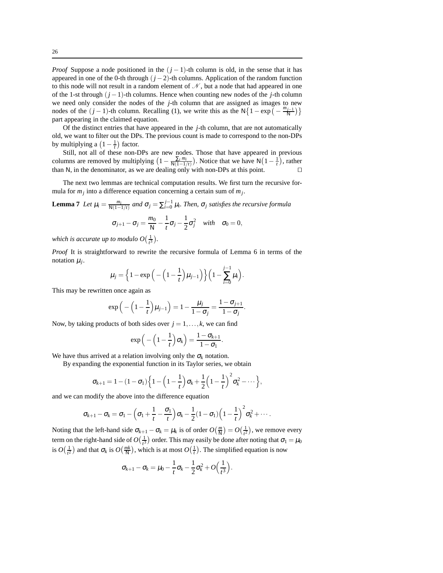*Proof* Suppose a node positioned in the  $(j - 1)$ -th column is old, in the sense that it has appeared in one of the 0-th through  $(j-2)$ -th columns. Application of the random function to this node will not result in a random element of  $\mathcal N$ , but a node that had appeared in one of the 1-st through (*j* −1)-th columns. Hence when counting new nodes of the *j*-th column we need only consider the nodes of the *j*-th column that are assigned as images to new nodes of the  $(j-1)$ -th column. Recalling (1), we write this as the  $N\left\{1 - \exp\left(-\frac{m_{j-1}}{N}\right)\right\}$ part appearing in the claimed equation.

Of the distinct entries that have appeared in the *j*-th column, that are not automatically old, we want to filter out the DPs. The previous count is made to correspond to the non-DPs by multiplying a  $\left(1 - \frac{1}{t}\right)$  factor.

Still, not all of these non-DPs are new nodes. Those that have appeared in previous columns are removed by multiplying  $\left(1 - \frac{\sum_i m_i}{N(1-1/t)}\right)$ . Notice that we have  $N\left(1 - \frac{1}{t}\right)$ , rather than N, in the denominator, as we are dealing only with non-DPs at this point. □

The next two lemmas are technical computation results. We first turn the recursive formula for  $m_j$  into a difference equation concerning a certain sum of  $m_j$ .

**Lemma 7** *Let*  $\mu_i = \frac{m_i}{N(1-1/t)}$  *and*  $\sigma_j = \sum_{i=0}^{j-1} \mu_i$ *. Then,*  $\sigma_j$  *satisfies the recursive formula* 

$$
\sigma_{j+1} - \sigma_j = \frac{m_0}{N} - \frac{1}{t} \sigma_j - \frac{1}{2} \sigma_j^2 \quad with \quad \sigma_0 = 0,
$$

which is accurate up to modulo  $O(\frac{1}{t^3})$ .

*Proof* It is straightforward to rewrite the recursive formula of Lemma 6 in terms of the notation  $\mu_j$ .

$$
\mu_j = \left\{1 - \exp\left(-\left(1 - \frac{1}{t}\right)\mu_{j-1}\right)\right\} \left(1 - \sum_{i=0}^{j-1} \mu_i\right).
$$

This may be rewritten once again as

$$
\exp\left(-\left(1-\frac{1}{t}\right)\mu_{j-1}\right)=1-\frac{\mu_j}{1-\sigma_j}=\frac{1-\sigma_{j+1}}{1-\sigma_j}
$$

.

Now, by taking products of both sides over  $j = 1, \ldots, k$ , we can find

$$
\exp\left(-\left(1-\frac{1}{t}\right)\sigma_k\right)=\frac{1-\sigma_{k+1}}{1-\sigma_1}.
$$

We have thus arrived at a relation involving only the  $\sigma_k$  notation.

By expanding the exponential function in its Taylor series, we obtain

$$
\sigma_{k+1}=1-(1-\sigma_1)\left\{1-\left(1-\frac{1}{t}\right)\sigma_k+\frac{1}{2}\left(1-\frac{1}{t}\right)^2\sigma_k^2-\cdots\right\},\,
$$

and we can modify the above into the difference equation

$$
\sigma_{k+1} - \sigma_k = \sigma_1 - \left(\sigma_1 + \frac{1}{t} - \frac{\sigma_1}{t}\right)\sigma_k - \frac{1}{2}(1-\sigma_1)\left(1 - \frac{1}{t}\right)^2\sigma_k^2 + \cdots
$$

Noting that the left-hand side  $\sigma_{k+1} - \sigma_k = \mu_k$  is of order  $O(\frac{m}{N}) = O(\frac{1}{t^2})$ , we remove every term on the right-hand side of  $O(\frac{1}{t^3})$  order. This may easily be done after noting that  $\sigma_1 = \mu_0$ is  $O(\frac{1}{t^2})$  and that  $\sigma_k$  is  $O(\frac{mk}{N})$ , which is at most  $O(\frac{1}{t})$ . The simplified equation is now

$$
\sigma_{k+1} - \sigma_k = \mu_0 - \frac{1}{t} \sigma_k - \frac{1}{2} \sigma_k^2 + O\left(\frac{1}{t^3}\right).
$$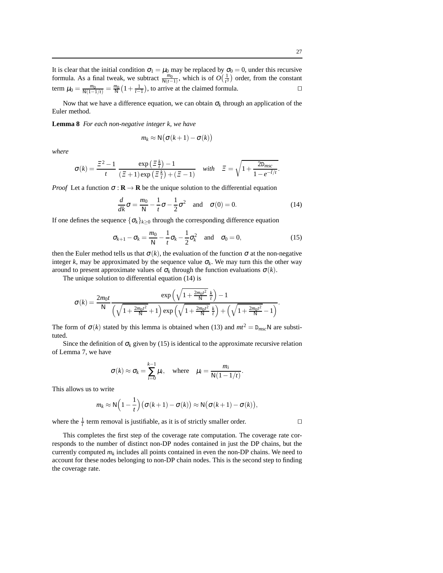It is clear that the initial condition  $\sigma_1 = \mu_0$  may be replaced by  $\sigma_0 = 0$ , under this recursive formula. As a final tweak, we subtract  $\frac{m_0}{N(t-1)}$ , which is of  $O(\frac{1}{t^3})$  order, from the constant term  $\mu_0 = \frac{m_0}{N(1-1/t)} = \frac{m_0}{N} \left(1 + \frac{1}{t-1}\right)$ , to arrive at the claimed formula. □

Now that we have a difference equation, we can obtain  $\sigma_k$  through an application of the Euler method.

**Lemma 8** *For each non-negative integer k, we have*

$$
m_k \approx \mathsf{N}\big(\sigma(k+1)-\sigma(k)\big)
$$

*where*

$$
\sigma(k) = \frac{\Xi^2 - 1}{t} \frac{\exp\left(\Xi \frac{k}{t}\right) - 1}{\left(\Xi + 1\right) \exp\left(\Xi \frac{k}{t}\right) + \left(\Xi - 1\right)} \quad \text{with} \quad \Xi = \sqrt{1 + \frac{2D_{\text{msc}}}{1 - e^{-\hat{t}/t}}}.
$$

*Proof* Let a function  $\sigma : \mathbf{R} \to \mathbf{R}$  be the unique solution to the differential equation

$$
\frac{d}{dk}\sigma = \frac{m_0}{N} - \frac{1}{t}\sigma - \frac{1}{2}\sigma^2 \quad \text{and} \quad \sigma(0) = 0.
$$
 (14)

If one defines the sequence  $\{\sigma_k\}_{k>0}$  through the corresponding difference equation

$$
\sigma_{k+1} - \sigma_k = \frac{m_0}{N} - \frac{1}{t}\sigma_k - \frac{1}{2}\sigma_k^2 \quad \text{and} \quad \sigma_0 = 0,
$$
 (15)

then the Euler method tells us that  $\sigma(k)$ , the evaluation of the function  $\sigma$  at the non-negative integer *k*, may be approximated by the sequence value  $\sigma_k$ . We may turn this the other way around to present approximate values of  $\sigma_k$  through the function evaluations  $\sigma(k)$ .

The unique solution to differential equation (14) is

$$
\sigma(k) = \frac{2m_0t}{\mathsf{N}} \frac{\exp\left(\sqrt{1+\frac{2m_0t^2}{\mathsf{N}}}\frac{k}{t}\right) - 1}{\left(\sqrt{1+\frac{2m_0t^2}{\mathsf{N}} } + 1\right)\exp\left(\sqrt{1+\frac{2m_0t^2}{\mathsf{N}}}\frac{k}{t}\right) + \left(\sqrt{1+\frac{2m_0t^2}{\mathsf{N}} } - 1\right)}.
$$

The form of  $\sigma(k)$  stated by this lemma is obtained when (13) and  $mt^2 = D_{\text{msc}}N$  are substituted.

Since the definition of  $\sigma_k$  given by (15) is identical to the approximate recursive relation of Lemma 7, we have

$$
\sigma(k) \approx \sigma_k = \sum_{i=0}^{k-1} \mu_i
$$
, where  $\mu_i = \frac{m_i}{N(1-1/t)}$ .

This allows us to write

$$
m_k \approx \mathsf{N}\left(1-\frac{1}{t}\right)\big(\sigma(k+1)-\sigma(k)\big) \approx \mathsf{N}\big(\sigma(k+1)-\sigma(k)\big),
$$

where the  $\frac{1}{t}$  term removal is justifiable, as it is of strictly smaller order. □

This completes the first step of the coverage rate computation. The coverage rate corresponds to the number of distinct non-DP nodes contained in just the DP chains, but the currently computed  $m_k$  includes all points contained in even the non-DP chains. We need to account for these nodes belonging to non-DP chain nodes. This is the second step to finding the coverage rate.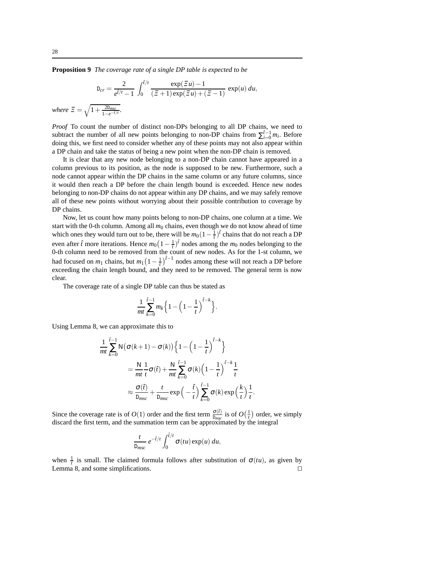**Proposition 9** *The coverage rate of a single DP table is expected to be*

$$
D_{cr} = \frac{2}{e^{\hat{t}/t} - 1} \int_0^{\hat{t}/t} \frac{\exp(\Xi u) - 1}{(\Xi + 1)\exp(\Xi u) + (\Xi - 1)} \exp(u) du,
$$

 $where \ \Xi = \sqrt{1+\frac{2D_{msc}}{1-e^{-\hat{t}/t}}}.$ 

*Proof* To count the number of distinct non-DPs belonging to all DP chains, we need to subtract the number of all new points belonging to non-DP chains from  $\sum_{i=0}^{i-1} m_i$ . Before doing this, we first need to consider whether any of these points may not also appear within a DP chain and take the status of being a new point when the non-DP chain is removed.

It is clear that any new node belonging to a non-DP chain cannot have appeared in a column previous to its position, as the node is supposed to be new. Furthermore, such a node cannot appear within the DP chains in the same column or any future columns, since it would then reach a DP before the chain length bound is exceeded. Hence new nodes belonging to non-DP chains do not appear within any DP chains, and we may safely remove all of these new points without worrying about their possible contribution to coverage by DP chains.

Now, let us count how many points belong to non-DP chains, one column at a time. We start with the 0-th column. Among all  $m_0$  chains, even though we do not know ahead of time which ones they would turn out to be, there will be  $m_0(1-\frac{1}{t})^{\hat{t}}$  chains that do not reach a DP even after  $\hat{t}$  more iterations. Hence  $m_0\left(1-\frac{1}{t}\right)^{\hat{t}}$  nodes among the  $m_0$  nodes belonging to the 0-th column need to be removed from the count of new nodes. As for the 1-st column, we had focused on  $m_1$  chains, but  $m_1\left(1-\frac{1}{t}\right)^{\hat{t}-1}$  nodes among these will not reach a DP before exceeding the chain length bound, and they need to be removed. The general term is now clear.

The coverage rate of a single DP table can thus be stated as

$$
\frac{1}{mt}\sum_{k=0}^{\hat{t}-1}m_k\Big\{1-\Big(1-\frac{1}{t}\Big)^{\hat{t}-k}\Big\}.
$$

Using Lemma 8, we can approximate this to

$$
\frac{1}{mt} \sum_{k=0}^{t-1} \mathsf{N}\big(\sigma(k+1) - \sigma(k)\big) \Big\{1 - \left(1 - \frac{1}{t}\right)^{t-k}\Big\}
$$
\n
$$
= \frac{\mathsf{N}}{mt} \frac{1}{t} \sigma(t) + \frac{\mathsf{N}}{mt} \sum_{k=0}^{t-1} \sigma(k) \Big(1 - \frac{1}{t}\Big)^{t-k} \frac{1}{t}
$$
\n
$$
\approx \frac{\sigma(t)}{D_{\text{msc}}} + \frac{t}{D_{\text{msc}}} \exp\big(-\frac{\hat{t}}{t}\big) \sum_{k=0}^{t-1} \sigma(k) \exp\big(\frac{k}{t}\big) \frac{1}{t}.
$$

Since the coverage rate is of  $O(1)$  order and the first term  $\frac{\sigma(i)}{D_{msc}}$  is of  $O(\frac{1}{t})$  order, we simply discard the first term, and the summation term can be approximated by the integral

$$
\frac{t}{\mathrm{D}_{msc}}\,e^{-\hat{t}/t}\int_0^{\hat{t}/t}\sigma(tu)\exp(u)\,du,
$$

when  $\frac{1}{t}$  is small. The claimed formula follows after substitution of  $\sigma(tu)$ , as given by Lemma 8, and some simplifications. □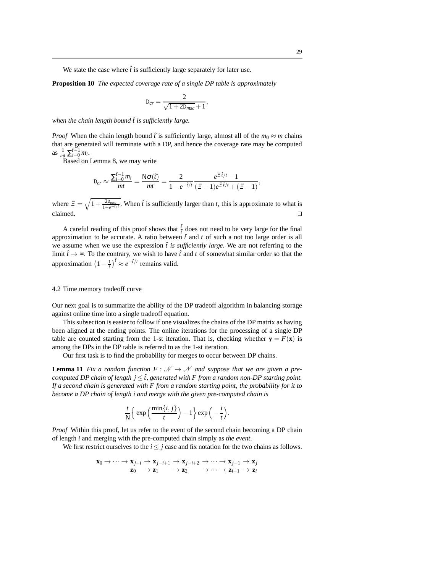We state the case where  $\hat{t}$  is sufficiently large separately for later use.

**Proposition 10** *The expected coverage rate of a single DP table is approximately*

$$
\mathtt{D}_{cr}=\frac{2}{\sqrt{1+2\mathtt{D}_{msc}}+1},
$$

*when the chain length bound*  $\hat{t}$  *is sufficiently large.* 

*Proof* When the chain length bound  $\hat{t}$  is sufficiently large, almost all of the  $m_0 \approx m$  chains that are generated will terminate with a DP, and hence the coverage rate may be computed as  $\frac{1}{m} \sum_{i=0}^{f-1} m_i$ .

Based on Lemma 8, we may write

$$
D_{cr} \approx \frac{\sum_{i=0}^{f-1} m_i}{mt} = \frac{N\sigma(\hat{t})}{mt} = \frac{2}{1 - e^{-\hat{t}/t}} \frac{e^{\Xi \hat{t}/t} - 1}{(\Xi + 1)e^{\Xi \hat{t}/t} + (\Xi - 1)},
$$

where  $\Xi = \sqrt{1+\frac{2D_{\text{mse}}}{1-e^{-t/\tau}}}$ . When  $\hat{t}$  is sufficiently larger than *t*, this is approximate to what is claimed. □

A careful reading of this proof shows that  $\frac{\hat{t}}{t}$  does not need to be very large for the final approximation to be accurate. A ratio between  $\hat{t}$  and  $t$  of such a not too large order is all we assume when we use the expression  $\hat{t}$  is sufficiently large. We are not referring to the limit  $\hat{t} \rightarrow \infty$ . To the contrary, we wish to have  $\hat{t}$  and  $t$  of somewhat similar order so that the approximation  $\left(1 - \frac{1}{t}\right)^{\hat{t}} \approx e^{-\hat{t}/t}$  remains valid.

# 4.2 Time memory tradeoff curve

Our next goal is to summarize the ability of the DP tradeoff algorithm in balancing storage against online time into a single tradeoff equation.

This subsection is easier to follow if one visualizes the chains of the DP matrix as having been aligned at the ending points. The online iterations for the processing of a single DP table are counted starting from the 1-st iteration. That is, checking whether  $\mathbf{y} = F(\mathbf{x})$  is among the DPs in the DP table is referred to as the 1-st iteration.

Our first task is to find the probability for merges to occur between DP chains.

**Lemma 11** *Fix a random function*  $F: \mathcal{N} \to \mathcal{N}$  *and suppose that we are given a precomputed DP chain of length*  $j \leq \hat{t}$ *, generated with F from a random non-DP starting point. If a second chain is generated with F from a random starting point, the probability for it to become a DP chain of length i and merge with the given pre-computed chain is*

$$
\frac{t}{N} \left\{ \exp\left(\frac{\min\{i,j\}}{t}\right) - 1 \right\} \exp\left(-\frac{i}{t}\right).
$$

*Proof* Within this proof, let us refer to the event of the second chain becoming a DP chain of length *i* and merging with the pre-computed chain simply as *the event*.

We first restrict ourselves to the *i* < *j* case and fix notation for the two chains as follows.

$$
\mathbf{x}_0 \to \cdots \to \mathbf{x}_{j-i} \to \mathbf{x}_{j-i+1} \to \mathbf{x}_{j-i+2} \to \cdots \to \mathbf{x}_{j-1} \to \mathbf{x}_j
$$
  

$$
\mathbf{z}_0 \to \mathbf{z}_1 \to \mathbf{z}_2 \to \cdots \to \mathbf{z}_{i-1} \to \mathbf{z}_i
$$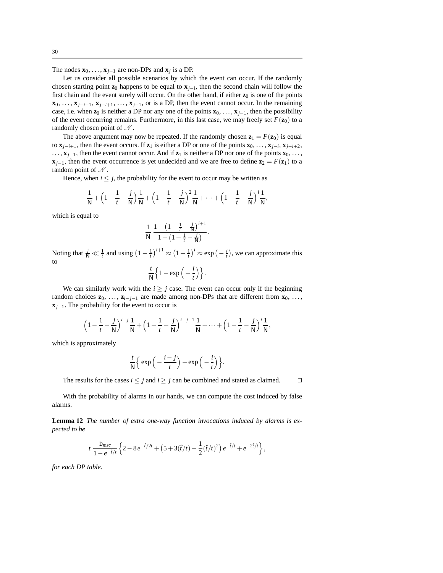The nodes  $\mathbf{x}_0, \dots, \mathbf{x}_{j-1}$  are non-DPs and  $\mathbf{x}_j$  is a DP.

Let us consider all possible scenarios by which the event can occur. If the randomly chosen starting point  $\mathbf{z}_0$  happens to be equal to  $\mathbf{x}_{j-i}$ , then the second chain will follow the first chain and the event surely will occur. On the other hand, if either  $z_0$  is one of the points **x**<sub>0</sub>, ..., **x**<sub>*j*−*i*−1</sub>, **x**<sub>*j*−*i*+1</sub>, ..., **x**<sub>*j*−1</sub>, or is a DP, then the event cannot occur. In the remaining case, i.e. when  $\mathbf{z}_0$  is neither a DP nor any one of the points  $\mathbf{x}_0, \ldots, \mathbf{x}_{i-1}$ , then the possibility of the event occurring remains. Furthermore, in this last case, we may freely set  $F(\mathbf{z}_0)$  to a randomly chosen point of  $N$ .

The above argument may now be repeated. If the randomly chosen  $z_1 = F(z_0)$  is equal to  $\mathbf{x}_{j-i+1}$ , then the event occurs. If  $\mathbf{z}_1$  is either a DP or one of the points  $\mathbf{x}_0, \ldots, \mathbf{x}_{j-i}, \mathbf{x}_{j-i+2}$ ,  $\dots$ ,  $\mathbf{x}_{i-1}$ , then the event cannot occur. And if  $\mathbf{z}_1$  is neither a DP nor one of the points  $\mathbf{x}_0, \dots$ , **x**<sub>*j*−1</sub>, then the event occurrence is yet undecided and we are free to define **z**<sub>2</sub> = *F*(**z**<sub>1</sub>) to a random point of  $N$ .

Hence, when  $i \leq j$ , the probability for the event to occur may be written as

$$
\frac{1}{N} + \left(1 - \frac{1}{t} - \frac{j}{N}\right)\frac{1}{N} + \left(1 - \frac{1}{t} - \frac{j}{N}\right)^2\frac{1}{N} + \dots + \left(1 - \frac{1}{t} - \frac{j}{N}\right)^2\frac{1}{N}
$$

,

which is equal to

$$
\frac{1}{\mathsf{N}}\,\frac{1-\left(1-\frac{1}{t}-\frac{j}{\mathsf{N}}\right)^{i+1}}{1-\left(1-\frac{1}{t}-\frac{j}{\mathsf{N}}\right)}.
$$

Noting that  $\frac{j}{N} \ll \frac{1}{t}$  and using  $\left(1 - \frac{1}{t}\right)^{i+1} \approx \left(1 - \frac{1}{t}\right)^i \approx \exp\left(-\frac{i}{t}\right)$ , we can approximate this to

$$
\frac{t}{N}\Big\{1-\exp\Big(-\frac{i}{t}\Big)\Big\}.
$$

We can similarly work with the  $i \geq j$  case. The event can occur only if the beginning random choices  $z_0, \ldots, z_{i-j-1}$  are made among non-DPs that are different from  $x_0, \ldots,$  $\mathbf{x}_{i-1}$ . The probability for the event to occur is

$$
\left(1 - \frac{1}{t} - \frac{j}{N}\right)^{i-j} \frac{1}{N} + \left(1 - \frac{1}{t} - \frac{j}{N}\right)^{i-j+1} \frac{1}{N} + \dots + \left(1 - \frac{1}{t} - \frac{j}{N}\right)^i \frac{1}{N},
$$

which is approximately

$$
\frac{t}{N}\Big\{\exp\Big(-\frac{i-j}{t}\Big)-\exp\Big(-\frac{i}{t}\Big)\Big\}.
$$

The results for the cases *i*  $\leq$  *j* and *i* ≥ *j* can be combined and stated as claimed. □

With the probability of alarms in our hands, we can compute the cost induced by false alarms.

**Lemma 12** *The number of extra one-way function invocations induced by alarms is expected to be*

$$
t\,\frac{\text{D}_{msc}}{1-e^{-\hat{t}/t}}\Big\{2-8\,e^{-\hat{t}/2t}+\big(5+3(\hat{t}/t)-\frac{1}{2}(\hat{t}/t)^2\big)\,e^{-\hat{t}/t}+e^{-2\hat{t}/t}\Big\},\,
$$

*for each DP table.*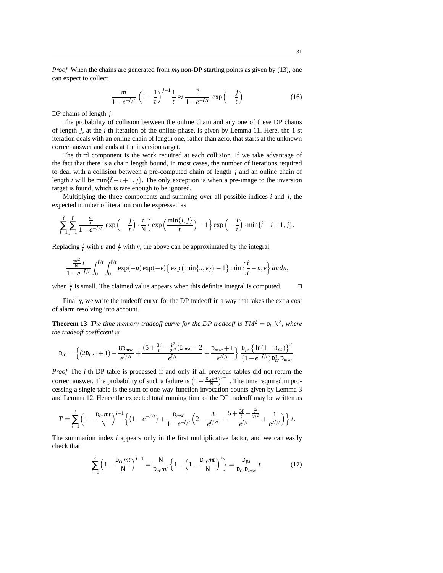*Proof* When the chains are generated from  $m_0$  non-DP starting points as given by (13), one can expect to collect

$$
\frac{m}{1 - e^{-\hat{t}/t}} \left(1 - \frac{1}{t}\right)^{j-1} \frac{1}{t} \approx \frac{\frac{m}{t}}{1 - e^{-\hat{t}/t}} \exp\left(-\frac{j}{t}\right)
$$
(16)

DP chains of length *j*.

The probability of collision between the online chain and any one of these DP chains of length *j*, at the *i*-th iteration of the online phase, is given by Lemma 11. Here, the 1-st iteration deals with an online chain of length one, rather than zero, that starts at the unknown correct answer and ends at the inversion target.

The third component is the work required at each collision. If we take advantage of the fact that there is a chain length bound, in most cases, the number of iterations required to deal with a collision between a pre-computed chain of length *j* and an online chain of length *i* will be min $\{\hat{i} - i + 1, j\}$ . The only exception is when a pre-image to the inversion target is found, which is rare enough to be ignored.

Multiplying the three components and summing over all possible indices *i* and *j*, the expected number of iteration can be expressed as

$$
\sum_{i=1}^{\hat{t}} \sum_{j=1}^{i} \frac{\frac{m}{t}}{1 - e^{-\hat{t}/t}} \exp\left(-\frac{j}{t}\right) \cdot \frac{t}{N} \left\{ \exp\left(\frac{\min\{i,j\}}{t}\right) - 1 \right\} \exp\left(-\frac{i}{t}\right) \cdot \min\{\hat{t} - i + 1, j\}.
$$

Replacing  $\frac{i}{t}$  with *u* and  $\frac{j}{t}$  with *v*, the above can be approximated by the integral

$$
\frac{m\tau^2}{1-e^{-\hat{t}/t}}\int_0^{\hat{t}/t}\int_0^{\hat{t}/t}\exp(-u)\exp(-v)\left\{\exp\left(\min\{u,v\}\right)-1\right\}\min\left\{\frac{\hat{t}}{t}-u,v\right\}dv\,du,
$$

when  $\frac{1}{t}$  is small. The claimed value appears when this definite integral is computed. □

Finally, we write the tradeoff curve for the DP tradeoff in a way that takes the extra cost of alarm resolving into account.

**Theorem 13** *The time memory tradeoff curve for the DP tradeoff is*  $TM^2 = D_{tc}N^2$ *, where the tradeoff coefficient is*

$$
D_{tc} = \left\{ (2D_{msc} + 1) - \frac{8D_{msc}}{e^{\hat{t}/2t}} + \frac{(5 + \frac{3\hat{t}}{t} - \frac{\hat{t}^2}{2t^2})D_{msc} - 2}{e^{\hat{t}/t}} + \frac{D_{msc} + 1}{e^{2\hat{t}/t}} \right\} \frac{D_{ps} \left\{ \ln(1 - D_{ps}) \right\}^2}{(1 - e^{-\hat{t}/t}) D_{cr}^3 D_{msc}}.
$$

*Proof* The *i*-th DP table is processed if and only if all previous tables did not return the correct answer. The probability of such a failure is  $\left(1 - \frac{D_{cr}m}{N}\right)^{i-1}$ . The time required in processing a single table is the sum of one-way function invocation counts given by Lemma 3 and Lemma 12. Hence the expected total running time of the DP tradeoff may be written as

$$
T = \sum_{i=1}^{\ell} \left(1 - \frac{\mathsf{D}_{cr} m t}{\mathsf{N}}\right)^{i-1} \left\{ \left(1 - e^{-\hat{t}/t}\right) + \frac{\mathsf{D}_{msc}}{1 - e^{-\hat{t}/t}} \left(2 - \frac{8}{e^{\hat{t}/2t}} + \frac{5 + \frac{3\hat{t}}{t} - \frac{\hat{t}^2}{2t^2}}{e^{\hat{t}/t}} + \frac{1}{e^{2\hat{t}/t}}\right) \right\} t.
$$

The summation index *i* appears only in the first multiplicative factor, and we can easily check that

$$
\sum_{i=1}^{\ell} \left( 1 - \frac{D_{cr}mt}{N} \right)^{i-1} = \frac{N}{D_{cr}mt} \left\{ 1 - \left( 1 - \frac{D_{cr}mt}{N} \right)^{\ell} \right\} = \frac{D_{ps}}{D_{cr}D_{msc}} t,
$$
(17)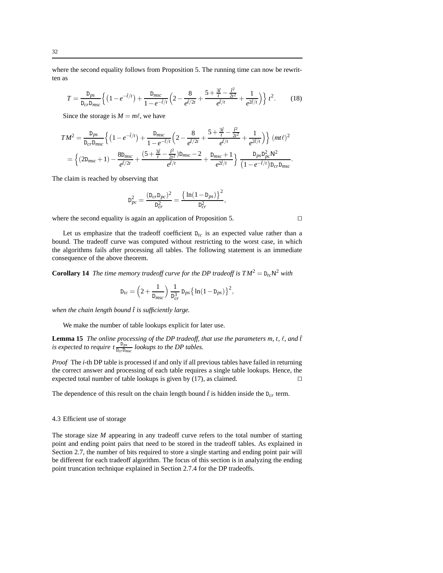where the second equality follows from Proposition 5. The running time can now be rewritten as

$$
T = \frac{\mathsf{D}_{ps}}{\mathsf{D}_{cr}\mathsf{D}_{msc}} \left\{ \left( 1 - e^{-\hat{t}/t} \right) + \frac{\mathsf{D}_{msc}}{1 - e^{-\hat{t}/t}} \left( 2 - \frac{8}{e^{\hat{t}/2t}} + \frac{5 + \frac{3\hat{t}}{t} - \frac{\hat{t}^2}{2t^2}}{e^{\hat{t}/t}} + \frac{1}{e^{2\hat{t}/t}} \right) \right\} t^2.
$$
 (18)

Since the storage is  $M = m\ell$ , we have

$$
TM^{2} = \frac{D_{ps}}{D_{cr}D_{msc}} \left\{ \left(1 - e^{-\hat{t}/t}\right) + \frac{D_{msc}}{1 - e^{-\hat{t}/t}} \left(2 - \frac{8}{e^{\hat{t}/2t}} + \frac{5 + \frac{3\hat{t}}{t} - \frac{\hat{t}^{2}}{2t^{2}}}{e^{\hat{t}/t}} + \frac{1}{e^{2\hat{t}/t}}\right) \right\} (mt\ell)^{2}
$$
  
= 
$$
\left\{ (2D_{msc} + 1) - \frac{8D_{msc}}{e^{\hat{t}/2t}} + \frac{(5 + \frac{3\hat{t}}{t} - \frac{\hat{t}^{2}}{2t^{2}})D_{msc} - 2}{e^{\hat{t}/t}} + \frac{D_{msc} + 1}{e^{2\hat{t}/t}} \right\} \frac{D_{ps}D_{pc}^{2}N^{2}}{(1 - e^{-\hat{t}/t})D_{cr}D_{msc}}.
$$

The claim is reached by observing that

$$
D_{pc}^2 = \frac{(D_{cr}D_{pc})^2}{D_{cr}^2} = \frac{\left\{\ln(1 - D_{ps})\right\}^2}{D_{cr}^2},
$$

where the second equality is again an application of Proposition 5. □

Let us emphasize that the tradeoff coefficient  $D_{tc}$  is an expected value rather than a bound. The tradeoff curve was computed without restricting to the worst case, in which the algorithms fails after processing all tables. The following statement is an immediate consequence of the above theorem.

**Corollary 14** *The time memory tradeoff curve for the DP tradeoff is*  $TM^2 = D_{tc}N^2$  *with* 

$$
D_{\text{fc}} = \left(2 + \frac{1}{D_{\text{msc}}}\right) \frac{1}{D_{\text{cr}}^3} D_{\text{ps}} \left\{\ln(1 - D_{\text{ps}})\right\}^2,
$$

*when the chain length bound*  $\hat{t}$  *is sufficiently large.* 

We make the number of table lookups explicit for later use.

**Lemma 15** *The online processing of the DP tradeoff, that use the parameters m, t,*  $\ell$ *, and*  $\hat{t}$ *is expected to require t*  $\frac{D_{ps}}{D_{cr}D_{msc}}$  *lookups to the DP tables.* 

*Proof* The *i*-th DP table is processed if and only if all previous tables have failed in returning the correct answer and processing of each table requires a single table lookups. Hence, the expected total number of table lookups is given by (17), as claimed. ⊓⊔

The dependence of this result on the chain length bound  $\hat{t}$  is hidden inside the  $D_{cr}$  term.

# 4.3 Efficient use of storage

The storage size *M* appearing in any tradeoff curve refers to the total number of starting point and ending point pairs that need to be stored in the tradeoff tables. As explained in Section 2.7, the number of bits required to store a single starting and ending point pair will be different for each tradeoff algorithm. The focus of this section is in analyzing the ending point truncation technique explained in Section 2.7.4 for the DP tradeoffs.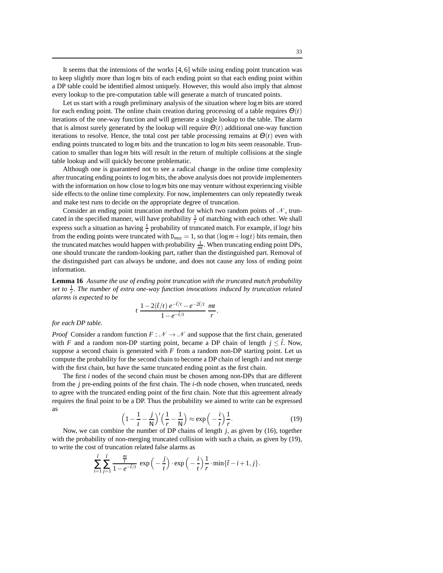It seems that the intensions of the works [4, 6] while using ending point truncation was to keep slightly more than log*m* bits of each ending point so that each ending point within a DP table could be identified almost uniquely. However, this would also imply that almost every lookup to the pre-computation table will generate a match of truncated points.

Let us start with a rough preliminary analysis of the situation where log*m* bits are stored for each ending point. The online chain creation during processing of a table requires  $\Theta(t)$ iterations of the one-way function and will generate a single lookup to the table. The alarm that is almost surely generated by the lookup will require  $\Theta(t)$  additional one-way function iterations to resolve. Hence, the total cost per table processing remains at  $\Theta(t)$  even with ending points truncated to log*m* bits and the truncation to log*m* bits seem reasonable. Truncation to smaller than log*m* bits will result in the return of multiple collisions at the single table lookup and will quickly become problematic.

Although one is guaranteed not to see a radical change in the online time complexity after truncating ending points to log*m* bits, the above analysis does not provide implementers with the information on how close to  $\log m$  bits one may venture without experiencing visible side effects to the online time complexity. For now, implementers can only repeatedly tweak and make test runs to decide on the appropriate degree of truncation.

Consider an ending point truncation method for which two random points of  $N$ , truncated in the specified manner, will have probability  $\frac{1}{r}$  of matching with each other. We shall express such a situation as having  $\frac{1}{r}$  probability of truncated match. For example, if  $\log t$  bits from the ending points were truncated with  $D_{\text{msc}} = 1$ , so that  $(\log m + \log t)$  bits remain, then the truncated matches would happen with probability  $\frac{1}{mt}$ . When truncating ending point DPs, one should truncate the random-looking part, rather than the distinguished part. Removal of the distinguished part can always be undone, and does not cause any loss of ending point information.

**Lemma 16** *Assume the use of ending point truncation with the truncated match probability* set to  $\frac{1}{r}$ . The number of extra one-way function invocations induced by truncation related *alarms is expected to be*

$$
t \frac{1 - 2(\hat{t}/t) e^{-\hat{t}/t} - e^{-2\hat{t}/t}}{1 - e^{-\hat{t}/t}} \frac{mt}{r}
$$

*for each DP table.*

*Proof* Consider a random function  $F : \mathcal{N} \to \mathcal{N}$  and suppose that the first chain, generated with *F* and a random non-DP starting point, became a DP chain of length  $j < \hat{t}$ . Now, suppose a second chain is generated with *F* from a random non-DP starting point. Let us compute the probability for the second chain to become a DP chain of length *i* and not merge with the first chain, but have the same truncated ending point as the first chain.

The first *i* nodes of the second chain must be chosen among non-DPs that are different from the *j* pre-ending points of the first chain. The *i*-th node chosen, when truncated, needs to agree with the truncated ending point of the first chain. Note that this agreement already requires the final point to be a DP. Thus the probability we aimed to write can be expressed as

$$
\left(1 - \frac{1}{t} - \frac{j}{N}\right)^i \left(\frac{1}{r} - \frac{1}{N}\right) \approx \exp\left(-\frac{i}{t}\right) \frac{1}{r}.\tag{19}
$$

,

Now, we can combine the number of DP chains of length *j*, as given by (16), together with the probability of non-merging truncated collision with such a chain, as given by (19), to write the cost of truncation related false alarms as

$$
\sum_{i=1}^{\hat{t}} \sum_{j=1}^{\hat{t}} \frac{\frac{m}{t}}{1 - e^{-\hat{t}/t}} \exp\left(-\frac{j}{t}\right) \cdot \exp\left(-\frac{i}{t}\right) \frac{1}{r} \cdot \min\{\hat{t} - i + 1, j\}.
$$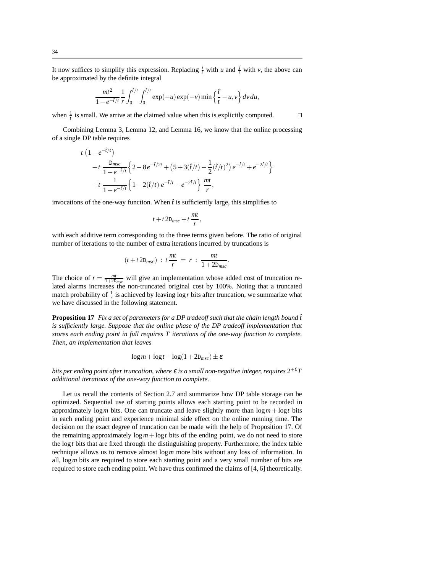It now suffices to simplify this expression. Replacing  $\frac{i}{t}$  with *u* and  $\frac{j}{t}$  with *v*, the above can be approximated by the definite integral

$$
\frac{mt^2}{1-e^{-\hat{t}/t}}\frac{1}{r}\int_0^{\hat{t}/t}\int_0^{\hat{t}/t}\exp(-u)\exp(-v)\min\left\{\frac{\hat{t}}{t}-u,v\right\}dv\,du,
$$

when  $\frac{1}{t}$  is small. We arrive at the claimed value when this is explicitly computed. □

Combining Lemma 3, Lemma 12, and Lemma 16, we know that the online processing of a single DP table requires

$$
t \left(1 - e^{-\hat{t}/t}\right) + t \frac{D_{msc}}{1 - e^{-\hat{t}/t}} \left\{2 - 8e^{-\hat{t}/2t} + \left(5 + 3(\hat{t}/t) - \frac{1}{2}(\hat{t}/t)^2\right)e^{-\hat{t}/t} + e^{-2\hat{t}/t}\right\} + t \frac{1}{1 - e^{-\hat{t}/t}} \left\{1 - 2(\hat{t}/t)e^{-\hat{t}/t} - e^{-2\hat{t}/t}\right\} \frac{mt}{r},
$$

invocations of the one-way function. When  $\hat{t}$  is sufficiently large, this simplifies to

$$
t+t2\mathrm{D}_{msc}+t\,\frac{mt}{r},
$$

with each additive term corresponding to the three terms given before. The ratio of original number of iterations to the number of extra iterations incurred by truncations is

$$
(t+t2D_{msc}) : t\frac{mt}{r} = r : \frac{mt}{1+2D_{msc}}
$$

.

The choice of  $r = \frac{mt}{1+2D_{\text{msc}}}$  will give an implementation whose added cost of truncation related alarms increases the non-truncated original cost by 100%. Noting that a truncated match probability of  $\frac{1}{r}$  is achieved by leaving  $\log r$  bits after truncation, we summarize what we have discussed in the following statement.

**Proposition 17** *Fix a set of parameters for a DP tradeoff such that the chain length bound*  $\hat{t}$ *is sufficiently large. Suppose that the online phase of the DP tradeoff implementation that stores each ending point in full requires T iterations of the one-way function to complete. Then, an implementation that leaves*

$$
\log m + \log t - \log(1+2\mathrm{D}_{\mathit{msc}}) \pm \epsilon
$$

bits per ending point after truncation, where  $\varepsilon$  is a small non-negative integer, requires  $2^{\mp \varepsilon} T$ *additional iterations of the one-way function to complete.*

Let us recall the contents of Section 2.7 and summarize how DP table storage can be optimized. Sequential use of starting points allows each starting point to be recorded in approximately  $\log m$  bits. One can truncate and leave slightly more than  $\log m + \log t$  bits in each ending point and experience minimal side effect on the online running time. The decision on the exact degree of truncation can be made with the help of Proposition 17. Of the remaining approximately  $\log m + \log t$  bits of the ending point, we do not need to store the log*t* bits that are fixed through the distinguishing property. Furthermore, the index table technique allows us to remove almost log*m* more bits without any loss of information. In all, log*m* bits are required to store each starting point and a very small number of bits are required to store each ending point. We have thus confirmed the claims of [4, 6] theoretically.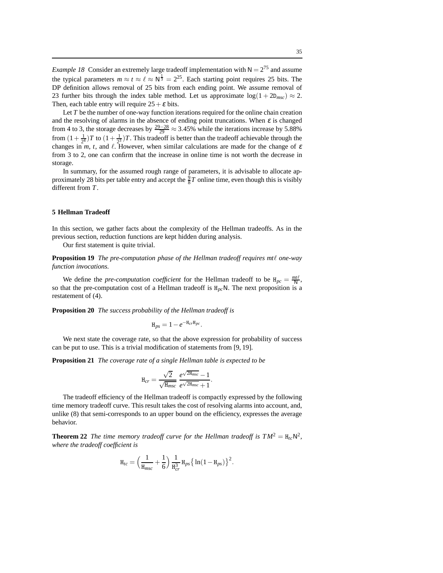*Example 18* Consider an extremely large tradeoff implementation with  $N = 2^{75}$  and assume the typical parameters  $m \approx t \approx \ell \approx N^{\frac{1}{3}} = 2^{25}$ . Each starting point requires 25 bits. The DP definition allows removal of 25 bits from each ending point. We assume removal of 23 further bits through the index table method. Let us approximate  $log(1 + 2D<sub>msc</sub>) \approx 2$ . Then, each table entry will require  $25 + \varepsilon$  bits.

Let *T* be the number of one-way function iterations required for the online chain creation and the resolving of alarms in the absence of ending point truncations. When  $\varepsilon$  is changed from 4 to 3, the storage decreases by  $\frac{29-28}{29} \approx 3.45\%$  while the iterations increase by 5.88% from  $(1 + \frac{1}{2^4})T$  to  $(1 + \frac{1}{2^3})T$ . This tradeoff is better than the tradeoff achievable through the changes in  $m$ ,  $t$ , and  $\ell$ . However, when similar calculations are made for the change of  $\varepsilon$ from 3 to 2, one can confirm that the increase in online time is not worth the decrease in storage.

In summary, for the assumed rough range of parameters, it is advisable to allocate approximately 28 bits per table entry and accept the  $\frac{9}{8}T$  online time, even though this is visibly different from *T*.

#### **5 Hellman Tradeoff**

In this section, we gather facts about the complexity of the Hellman tradeoffs. As in the previous section, reduction functions are kept hidden during analysis.

Our first statement is quite trivial.

**Proposition 19** *The pre-computation phase of the Hellman tradeoff requires mtl one-way function invocations.*

We define the *pre-computation coefficient* for the Hellman tradeoff to be  $H_{pc} = \frac{m t \ell}{N}$ , so that the pre-computation cost of a Hellman tradeoff is  $H_{pc}N$ . The next proposition is a restatement of (4).

**Proposition 20** *The success probability of the Hellman tradeoff is*

$$
H_{ps} = 1 - e^{-H_{cr}H_{pc}}
$$

.

We next state the coverage rate, so that the above expression for probability of success can be put to use. This is a trivial modification of statements from [9, 19].

**Proposition 21** *The coverage rate of a single Hellman table is expected to be*

$$
\mathtt{H}_{cr}=\frac{\sqrt{2}}{\sqrt{\mathtt{H}_{msc}}}\,\frac{e^{\sqrt{2\mathtt{H}_{msc}}}-1}{e^{\sqrt{2\mathtt{H}_{msc}}}+1}.
$$

The tradeoff efficiency of the Hellman tradeoff is compactly expressed by the following time memory tradeoff curve. This result takes the cost of resolving alarms into account, and, unlike (8) that semi-corresponds to an upper bound on the efficiency, expresses the average behavior.

**Theorem 22** *The time memory tradeoff curve for the Hellman tradeoff is*  $TM^2 = H_{tc}N^2$ *, where the tradeoff coefficient is*

$$
H_{tc} = \left(\frac{1}{H_{msc}} + \frac{1}{6}\right) \frac{1}{H_{cr}^3} H_{ps} \{ \ln(1 - H_{ps}) \}^2.
$$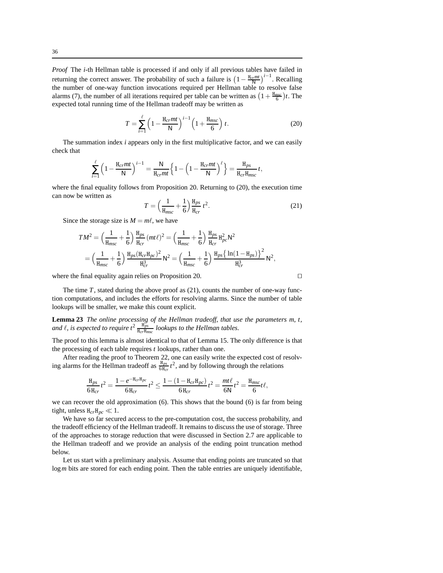*Proof* The *i*-th Hellman table is processed if and only if all previous tables have failed in returning the correct answer. The probability of such a failure is  $\left(1 - \frac{H_{cr}mt}{N}\right)^{i-1}$ . Recalling the number of one-way function invocations required per Hellman table to resolve false alarms (7), the number of all iterations required per table can be written as  $\left(1+\frac{H_{\text{msc}}}{6}\right)t$ . The expected total running time of the Hellman tradeoff may be written as

$$
T = \sum_{i=1}^{\ell} \left( 1 - \frac{H_{cr}mt}{N} \right)^{i-1} \left( 1 + \frac{H_{msc}}{6} \right) t.
$$
 (20)

The summation index *i* appears only in the first multiplicative factor, and we can easily check that

$$
\sum_{i=1}^{\ell} \left(1 - \frac{\mathbf{H}_{cr}mt}{\mathsf{N}}\right)^{i-1} = \frac{\mathsf{N}}{\mathbf{H}_{cr}mt} \left\{1 - \left(1 - \frac{\mathbf{H}_{cr}mt}{\mathsf{N}}\right)^{\ell}\right\} = \frac{\mathbf{H}_{ps}}{\mathbf{H}_{cr} \mathbf{H}_{msc}} t,
$$

where the final equality follows from Proposition 20. Returning to (20), the execution time can now be written as

$$
T = \left(\frac{1}{H_{msc}} + \frac{1}{6}\right) \frac{H_{ps}}{H_{cr}} t^2.
$$
 (21)

Since the storage size is  $M = m\ell$ , we have

$$
\begin{split} TM^2 &= \Big(\frac{1}{H_{msc}}+\frac{1}{6}\Big) \, \frac{H_{ps}}{H_{cr}} \, (mt\ell)^2 = \Big(\frac{1}{H_{msc}}+\frac{1}{6}\Big) \, \frac{H_{ps}}{H_{cr}} \, H_{pc}^2 \, N^2 \\ &= \Big(\frac{1}{H_{msc}}+\frac{1}{6}\Big) \, \frac{H_{ps} (H_{cr} H_{pc})^2}{H_{cr}^3} \, N^2 = \Big(\frac{1}{H_{msc}}+\frac{1}{6}\Big) \, \frac{H_{ps} \, \big\{\ln(1-H_{ps})\big\}^2}{H_{cr}^3} \, N^2, \end{split}
$$

where the final equality again relies on Proposition 20. □

The time  $T$ , stated during the above proof as  $(21)$ , counts the number of one-way function computations, and includes the efforts for resolving alarms. Since the number of table lookups will be smaller, we make this count explicit.

**Lemma 23** *The online processing of the Hellman tradeoff, that use the parameters m, t, and*  $\ell$ , is expected to require  $t^2 \frac{H_{ps}^2}{H_{cr}H_{msc}}$  lookups to the Hellman tables.

The proof to this lemma is almost identical to that of Lemma 15. The only difference is that the processing of each table requires *t* lookups, rather than one.

After reading the proof to Theorem 22, one can easily write the expected cost of resolving alarms for the Hellman tradeoff as  $\frac{H_{ps}}{6H_{cr}}t^2$ , and by following through the relations

$$
\frac{H_{ps}}{6H_{cr}}t^2 = \frac{1 - e^{-H_{cr}H_{pc}}}{6H_{cr}}t^2 \le \frac{1 - (1 - H_{cr}H_{pc})}{6H_{cr}}t^2 = \frac{mt\ell}{6N}t^2 = \frac{H_{msc}}{6}t\ell,
$$

we can recover the old approximation  $(6)$ . This shows that the bound  $(6)$  is far from being tight, unless  $H_{cr}H_{pc} \ll 1$ .

We have so far secured access to the pre-computation cost, the success probability, and the tradeoff efficiency of the Hellman tradeoff. It remains to discuss the use of storage. Three of the approaches to storage reduction that were discussed in Section 2.7 are applicable to the Hellman tradeoff and we provide an analysis of the ending point truncation method below.

Let us start with a preliminary analysis. Assume that ending points are truncated so that log<sub>m</sub> bits are stored for each ending point. Then the table entries are uniquely identifiable,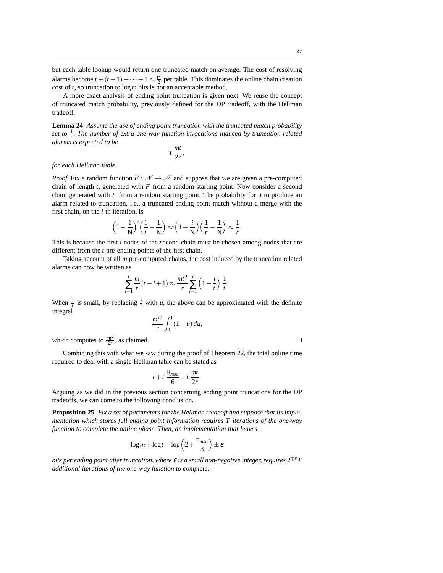but each table lookup would return one truncated match on average. The cost of resolving alarms become  $t + (t-1) + \cdots + 1 \approx \frac{t^2}{2}$  $\frac{p}{2}$  per table. This dominates the online chain creation cost of *t*, so truncation to log*m* bits is not an acceptable method.

A more exact analysis of ending point truncation is given next. We reuse the concept of truncated match probability, previously defined for the DP tradeoff, with the Hellman tradeoff.

**Lemma 24** *Assume the use of ending point truncation with the truncated match probability* set to  $\frac{1}{r}$ . The number of extra one-way function invocations induced by truncation related *alarms is expected to be*

$$
t\,\frac{mt}{2r},
$$

## *for each Hellman table.*

*Proof* Fix a random function  $F : \mathcal{N} \to \mathcal{N}$  and suppose that we are given a pre-computed chain of length *t*, generated with *F* from a random starting point. Now consider a second chain generated with  $F$  from a random starting point. The probability for it to produce an alarm related to truncation, i.e., a truncated ending point match without a merge with the first chain, on the *i*-th iteration, is

$$
\left(1 - \frac{1}{N}\right)^i \left(\frac{1}{r} - \frac{1}{N}\right) \approx \left(1 - \frac{i}{N}\right) \left(\frac{1}{r} - \frac{1}{N}\right) \approx \frac{1}{r}.
$$

This is because the first *i* nodes of the second chain must be chosen among nodes that are different from the *t* pre-ending points of the first chain.

Taking account of all *m* pre-computed chains, the cost induced by the truncation related alarms can now be written as

$$
\sum_{i=1}^{t} \frac{m}{r} (t - i + 1) \approx \frac{mt^2}{r} \sum_{i=1}^{t} \left( 1 - \frac{i}{t} \right) \frac{1}{t}.
$$

When  $\frac{1}{t}$  is small, by replacing  $\frac{i}{t}$  with *u*, the above can be approximated with the definite integral

$$
\frac{mt^2}{r}\int_0^1(1-u)\,du,
$$

which computes to  $\frac{m^2}{2r}$ , as claimed. □

Combining this with what we saw during the proof of Theorem 22, the total online time required to deal with a single Hellman table can be stated as

$$
t+t \frac{H_{msc}}{6}+t \frac{mt}{2r}.
$$

Arguing as we did in the previous section concerning ending point truncations for the DP tradeoffs, we can come to the following conclusion.

**Proposition 25** *Fix a set of parameters for the Hellman tradeoff and suppose that its implementation which stores full ending point information requires T iterations of the one-way function to complete the online phase. Then, an implementation that leaves*

$$
\log m + \log t - \log \left( 2 + \frac{\text{H}_{msc}}{3} \right) \pm \varepsilon
$$

*bits per ending point after truncation, where* <sup>ε</sup> *is a small non-negative integer, requires* 2 ∓<sup>ε</sup> *T additional iterations of the one-way function to complete.*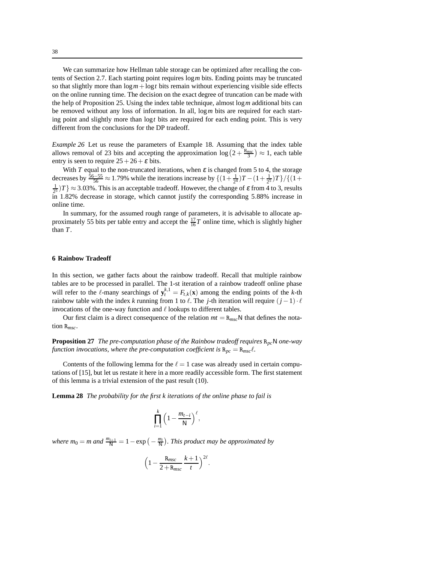We can summarize how Hellman table storage can be optimized after recalling the contents of Section 2.7. Each starting point requires log*m* bits. Ending points may be truncated so that slightly more than  $\log m + \log t$  bits remain without experiencing visible side effects on the online running time. The decision on the exact degree of truncation can be made with the help of Proposition 25. Using the index table technique, almost log*m* additional bits can be removed without any loss of information. In all, log*m* bits are required for each starting point and slightly more than log*t* bits are required for each ending point. This is very different from the conclusions for the DP tradeoff.

*Example 26* Let us reuse the parameters of Example 18. Assuming that the index table allows removal of 23 bits and accepting the approximation  $\log (2 + \frac{H_{msc}}{3}) \approx 1$ , each table entry is seen to require  $25+26+\epsilon$  bits.

With *T* equal to the non-truncated iterations, when  $\varepsilon$  is changed from 5 to 4, the storage decreases by  $\frac{56-55}{56}$  ≈ 1.79% while the iterations increase by  $\{(1+\frac{1}{2^4})T-(1+\frac{1}{2^5})T\}/{(1+\frac{1}{2^5})^2}$  $\frac{1}{2^5}$ )*T*}  $\approx$  3.03%. This is an acceptable tradeoff. However, the change of  $\varepsilon$  from 4 to 3, results in 1.82% decrease in storage, which cannot justify the corresponding 5.88% increase in online time.

In summary, for the assumed rough range of parameters, it is advisable to allocate approximately 55 bits per table entry and accept the  $\frac{17}{16}T$  online time, which is slightly higher than *T*.

# **6 Rainbow Tradeoff**

In this section, we gather facts about the rainbow tradeoff. Recall that multiple rainbow tables are to be processed in parallel. The 1-st iteration of a rainbow tradeoff online phase will refer to the  $\ell$ -many searchings of  $y_t^{k,1} = F_{t,k}(x)$  among the ending points of the *k*-th rainbow table with the index *k* running from 1 to  $\ell$ . The *j*-th iteration will require  $(j-1) \cdot \ell$ invocations of the one-way function and  $\ell$  lookups to different tables.

Our first claim is a direct consequence of the relation  $mt = R_{msc}N$  that defines the notation R*msc*.

**Proposition 27** *The pre-computation phase of the Rainbow tradeoff requires* R*pc*N *one-way function invocations, where the pre-computation coefficient is*  $\mathbf{R}_{pc} = \mathbf{R}_{msc} \ell$ .

Contents of the following lemma for the  $\ell = 1$  case was already used in certain computations of [15], but let us restate it here in a more readily accessible form. The first statement of this lemma is a trivial extension of the past result (10).

**Lemma 28** *The probability for the first k iterations of the online phase to fail is*

$$
\prod_{i=1}^k \Big(1-\frac{m_{t-i}}{\mathsf{N}}\Big)^{\ell},
$$

*where*  $m_0 = m$  and  $\frac{m_{i+1}}{N} = 1 - \exp\left(-\frac{m_i}{N}\right)$ . This product may be approximated by

$$
\left(1-\frac{R_{msc}}{2+R_{msc}}\frac{k+1}{t}\right)^{2\ell}.
$$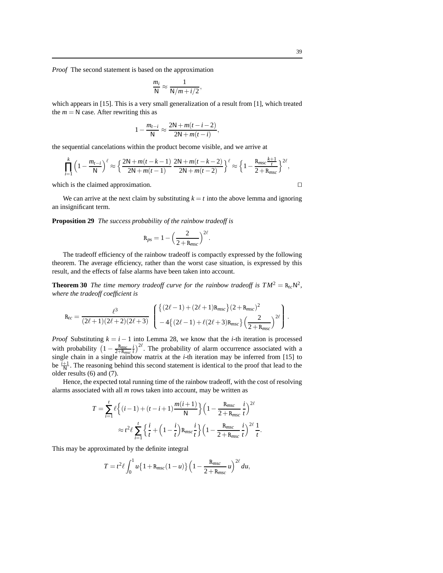*Proof* The second statement is based on the approximation

$$
\frac{m_i}{\mathsf{N}}\approx \frac{1}{\mathsf{N}/m+i/2},
$$

which appears in [15]. This is a very small generalization of a result from [1], which treated the  $m = N$  case. After rewriting this as

$$
1 - \frac{m_{t-i}}{N} \approx \frac{2N + m(t - i - 2)}{2N + m(t - i)}
$$

,

the sequential cancelations within the product become visible, and we arrive at

$$
\prod_{i=1}^k \left(1 - \frac{m_{t-i}}{N}\right)^{\ell} \approx \left\{\frac{2N + m(t-k-1)}{2N + m(t-1)} \frac{2N + m(t-k-2)}{2N + m(t-2)}\right\}^{\ell} \approx \left\{1 - \frac{R_{msc} \frac{k+1}{t}}{2 + R_{msc}}\right\}^{2\ell},
$$

which is the claimed approximation. □

We can arrive at the next claim by substituting  $k = t$  into the above lemma and ignoring an insignificant term.

**Proposition 29** *The success probability of the rainbow tradeoff is*

$$
R_{ps} = 1 - \Big(\frac{2}{2 + R_{msc}}\Big)^{2\ell}.
$$

The tradeoff efficiency of the rainbow tradeoff is compactly expressed by the following theorem. The average efficiency, rather than the worst case situation, is expressed by this result, and the effects of false alarms have been taken into account.

**Theorem 30** *The time memory tradeoff curve for the rainbow tradeoff is*  $TM^2 = R_{tc}N^2$ , *where the tradeoff coefficient is*

$$
R_{\text{fc}} = \frac{\ell^3}{(2\ell+1)(2\ell+2)(2\ell+3)} \left( \begin{array}{c} \left\{ (2\ell-1) + (2\ell+1) R_{\text{msc}} \right\} (2+R_{\text{msc}})^2 \\[1mm] -4 \left\{ (2\ell-1) + \ell (2\ell+3) R_{\text{msc}} \right\} \left( \frac{2}{2+R_{\text{msc}}} \right)^{2\ell} \end{array} \right).
$$

*Proof* Substituting  $k = i - 1$  into Lemma 28, we know that the *i*-th iteration is processed with probability  $\left(1 - \frac{R_{msc}}{2 + R_{msc}}t\right)^{2\ell}$ . The probability of alarm occurrence associated with a single chain in a single rainbow matrix at the *i*-th iteration may be inferred from [15] to be  $\frac{i+1}{N}$ . The reasoning behind this second statement is identical to the proof that lead to the older results (6) and (7).

Hence, the expected total running time of the rainbow tradeoff, with the cost of resolving alarms associated with all *m* rows taken into account, may be written as

$$
T = \sum_{i=1}^{t} \ell \left\{ (i-1) + (t-i+1) \frac{m(i+1)}{N} \right\} \left( 1 - \frac{R_{msc}}{2 + R_{msc}} \frac{i}{t} \right)^{2\ell}
$$
  
 
$$
\approx t^2 \ell \sum_{i=1}^{t} \left\{ \frac{i}{t} + \left( 1 - \frac{i}{t} \right) R_{msc} \frac{i}{t} \right\} \left( 1 - \frac{R_{msc}}{2 + R_{msc}} \frac{i}{t} \right)^{2\ell} \frac{1}{t}.
$$

This may be approximated by the definite integral

$$
T = t^2 \ell \int_0^1 u \{ 1 + R_{msc}(1-u) \} \left( 1 - \frac{R_{msc}}{2 + R_{msc}} u \right)^{2\ell} du,
$$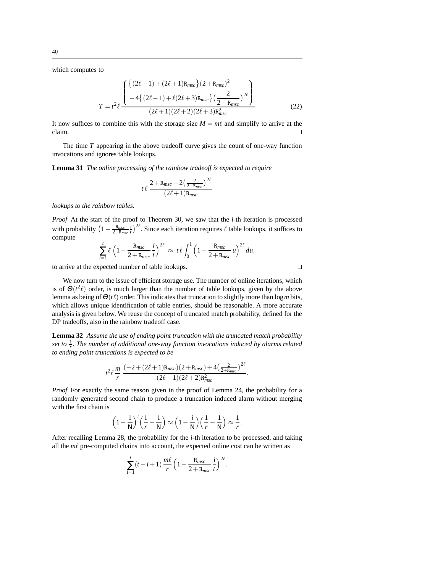which computes to

$$
T = t^2 \ell \frac{\left\{ (2\ell - 1) + (2\ell + 1) R_{msc} \right\} (2 + R_{msc})^2 -4 \left\{ (2\ell - 1) + \ell (2\ell + 3) R_{msc} \right\} (\frac{2}{2 + R_{msc}})^{2\ell}}{(2\ell + 1)(2\ell + 2)(2\ell + 3) R_{msc}^2}
$$
(22)

It now suffices to combine this with the storage size  $M = m\ell$  and simplify to arrive at the claim. □

The time *T* appearing in the above tradeoff curve gives the count of one-way function invocations and ignores table lookups.

**Lemma 31** *The online processing of the rainbow tradeoff is expected to require*

$$
t \ell \frac{2 + R_{msc} - 2\left(\frac{2}{2 + R_{msc}}\right)^{2\ell}}{(2\ell + 1)R_{msc}}
$$

*lookups to the rainbow tables.*

*Proof* At the start of the proof to Theorem 30, we saw that the *i*-th iteration is processed with probability  $\left(1-\frac{R_{msc}}{2+R_{msc}}t\right)^{2\ell}$ . Since each iteration requires  $\ell$  table lookups, it suffices to compute

$$
\sum_{i=1}^t \ell \left(1 - \frac{R_{msc}}{2 + R_{msc}} \frac{i}{t}\right)^{2\ell} \approx t \ell \int_0^1 \left(1 - \frac{R_{msc}}{2 + R_{msc}} u\right)^{2\ell} du,
$$

to arrive at the expected number of table lookups. ⊓⊔

We now turn to the issue of efficient storage use. The number of online iterations, which is of  $\Theta(t^2\ell)$  order, is much larger than the number of table lookups, given by the above lemma as being ofΘ(*t*ℓ) order. This indicates that truncation to slightly more than log*m* bits, which allows unique identification of table entries, should be reasonable. A more accurate analysis is given below. We reuse the concept of truncated match probability, defined for the DP tradeoffs, also in the rainbow tradeoff case.

**Lemma 32** *Assume the use of ending point truncation with the truncated match probability* set to  $\frac{1}{r}$ . The number of additional one-way function invocations induced by alarms related *to ending point truncations is expected to be*

$$
t^2 \ell \frac{m}{r} \frac{(-2 + (2\ell + 1)R_{msc})(2 + R_{msc}) + 4\left(\frac{2}{2 + R_{msc}}\right)^{2\ell}}{(2\ell + 1)(2\ell + 2)R_{msc}^2}.
$$

*Proof* For exactly the same reason given in the proof of Lemma 24, the probability for a randomly generated second chain to produce a truncation induced alarm without merging with the first chain is

$$
\Big(1-\frac{1}{\mathsf{N}}\Big)^i\Big(\frac{1}{r}-\frac{1}{\mathsf{N}}\Big) \approx \Big(1-\frac{i}{\mathsf{N}}\Big)\Big(\frac{1}{r}-\frac{1}{\mathsf{N}}\Big) \approx \frac{1}{r}.
$$

After recalling Lemma 28, the probability for the *i*-th iteration to be processed, and taking all the *m*ℓ pre-computed chains into account, the expected online cost can be written as

$$
\sum_{i=1}^t (t-i+1) \, \frac{m\ell}{r} \left(1 - \frac{\mathrm{R}_{msc}}{2 + \mathrm{R}_{msc}} \frac{i}{t}\right)^{2\ell}.
$$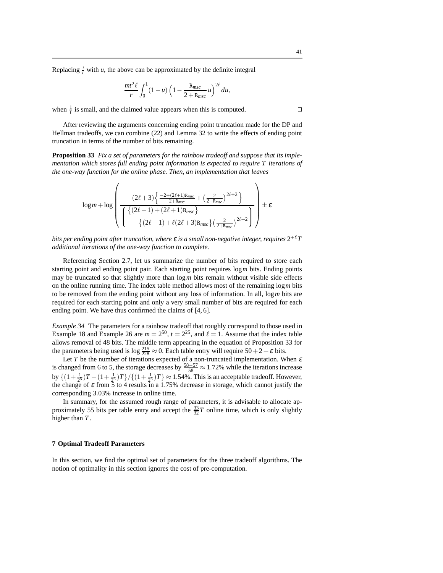Replacing  $\frac{i}{t}$  with *u*, the above can be approximated by the definite integral

$$
\frac{mt^2\ell}{r}\int_0^1(1-u)\left(1-\frac{R_{msc}}{2+R_{msc}}u\right)^{2\ell}du,
$$

when  $\frac{1}{t}$  is small, and the claimed value appears when this is computed. □

After reviewing the arguments concerning ending point truncation made for the DP and Hellman tradeoffs, we can combine (22) and Lemma 32 to write the effects of ending point truncation in terms of the number of bits remaining.

**Proposition 33** *Fix a set of parameters for the rainbow tradeoff and suppose that its implementation which stores full ending point information is expected to require T iterations of the one-way function for the online phase. Then, an implementation that leaves*

$$
\log m + \log \left( \frac{(2\ell+3)\left\{\frac{-2+(2\ell+1)R_{msc}}{2+R_{msc}} + \left(\frac{2}{2+R_{msc}}\right)^{2\ell+2}\right\}}{\left\{\left\{(2\ell-1)+(2\ell+1)R_{msc}\right\}} - \left\{(2\ell-1)+\ell(2\ell+3)R_{msc}\right\}\left(\frac{2}{2+R_{msc}}\right)^{2\ell+2}\right\}} \right) \pm \varepsilon
$$

*bits per ending point after truncation, where* <sup>ε</sup> *is a small non-negative integer, requires* 2 ∓<sup>ε</sup> *T additional iterations of the one-way function to complete.*

Referencing Section 2.7, let us summarize the number of bits required to store each starting point and ending point pair. Each starting point requires log*m* bits. Ending points may be truncated so that slightly more than log*m* bits remain without visible side effects on the online running time. The index table method allows most of the remaining log*m* bits to be removed from the ending point without any loss of information. In all, log*m* bits are required for each starting point and only a very small number of bits are required for each ending point. We have thus confirmed the claims of [4, 6].

*Example 34* The parameters for a rainbow tradeoff that roughly correspond to those used in Example 18 and Example 26 are  $m = 2^{50}$ ,  $t = 2^{25}$ , and  $\ell = 1$ . Assume that the index table allows removal of 48 bits. The middle term appearing in the equation of Proposition 33 for the parameters being used is  $\log \frac{215}{228} \approx 0$ . Each table entry will require  $50 + 2 + \varepsilon$  bits.

Let  $T$  be the number of iterations expected of a non-truncated implementation. When  $\varepsilon$ is changed from 6 to 5, the storage decreases by  $\frac{58-57}{58} \approx 1.72\%$  while the iterations increase by { $(1 + \frac{1}{2^5})T - (1 + \frac{1}{2^6})T$ }/{ $(1 + \frac{1}{2^6})T$ } ≈ 1.54%. This is an acceptable tradeoff. However, the change of  $\varepsilon$  from 5 to 4 results in a 1.75% decrease in storage, which cannot justify the corresponding 3.03% increase in online time.

In summary, for the assumed rough range of parameters, it is advisable to allocate approximately 55 bits per table entry and accept the  $\frac{33}{32}T$  online time, which is only slightly higher than *T*.

# **7 Optimal Tradeoff Parameters**

In this section, we find the optimal set of parameters for the three tradeoff algorithms. The notion of optimality in this section ignores the cost of pre-computation.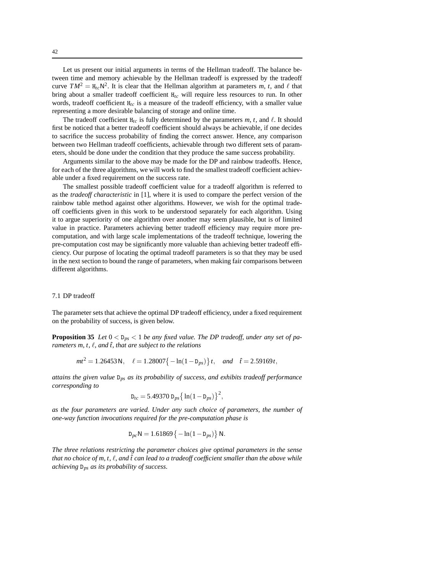Let us present our initial arguments in terms of the Hellman tradeoff. The balance between time and memory achievable by the Hellman tradeoff is expressed by the tradeoff curve  $TM^2 = H_{tc}N^2$ . It is clear that the Hellman algorithm at parameters *m*, *t*, and  $\ell$  that bring about a smaller tradeoff coefficient H<sub>tc</sub> will require less resources to run. In other words, tradeoff coefficient H<sub>tc</sub> is a measure of the tradeoff efficiency, with a smaller value representing a more desirable balancing of storage and online time.

The tradeoff coefficient  $H_{tc}$  is fully determined by the parameters  $m$ ,  $t$ , and  $\ell$ . It should first be noticed that a better tradeoff coefficient should always be achievable, if one decides to sacrifice the success probability of finding the correct answer. Hence, any comparison between two Hellman tradeoff coefficients, achievable through two different sets of parameters, should be done under the condition that they produce the same success probability.

Arguments similar to the above may be made for the DP and rainbow tradeoffs. Hence, for each of the three algorithms, we will work to find the smallest tradeoff coefficient achievable under a fixed requirement on the success rate.

The smallest possible tradeoff coefficient value for a tradeoff algorithm is referred to as the *tradeoff characteristic* in [1], where it is used to compare the perfect version of the rainbow table method against other algorithms. However, we wish for the optimal tradeoff coefficients given in this work to be understood separately for each algorithm. Using it to argue superiority of one algorithm over another may seem plausible, but is of limited value in practice. Parameters achieving better tradeoff efficiency may require more precomputation, and with large scale implementations of the tradeoff technique, lowering the pre-computation cost may be significantly more valuable than achieving better tradeoff efficiency. Our purpose of locating the optimal tradeoff parameters is so that they may be used in the next section to bound the range of parameters, when making fair comparisons between different algorithms.

## 7.1 DP tradeoff

The parameter sets that achieve the optimal DP tradeoff efficiency, under a fixed requirement on the probability of success, is given below.

**Proposition 35** *Let*  $0 < D_{ps} < 1$  *be any fixed value. The DP tradeoff, under any set of parameters m, t,*  $\ell$ *, and*  $\hat{t}$ *, that are subject to the relations* 

$$
mt^2 = 1.26453 \text{ N}, \quad \ell = 1.28007 \{-\ln(1 - \mathsf{D}_{ps})\} t, \quad and \quad \hat{t} = 2.59169 t,
$$

*attains the given value* D*ps as its probability of success, and exhibits tradeoff performance corresponding to*

$$
D_{tc} = 5.49370 D_{ps} \{ ln(1 - D_{ps}) \}^{2},
$$

*as the four parameters are varied. Under any such choice of parameters, the number of one-way function invocations required for the pre-computation phase is*

$$
D_{pc}N = 1.61869 \{-\ln(1-D_{ps})\} N.
$$

*The three relations restricting the parameter choices give optimal parameters in the sense that no choice of m, t,*  $\ell$ *, and*  $\hat{t}$  *can lead to a tradeoff coefficient smaller than the above while achieving* D*ps as its probability of success.*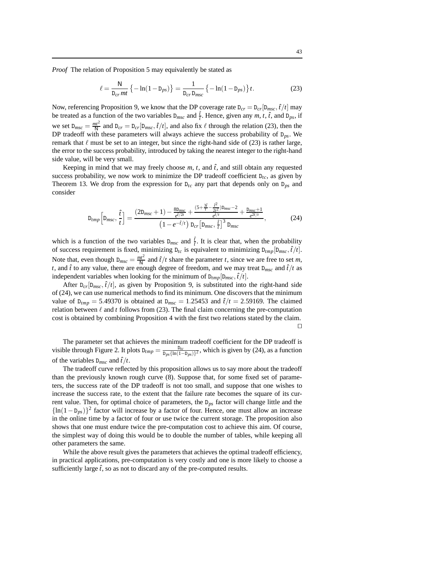*Proof* The relation of Proposition 5 may equivalently be stated as

$$
\ell = \frac{N}{D_{cr}mt} \left\{ -\ln(1 - D_{ps}) \right\} = \frac{1}{D_{cr}D_{msc}} \left\{ -\ln(1 - D_{ps}) \right\} t.
$$
 (23)

Now, referencing Proposition 9, we know that the DP coverage rate  $D_{cr} = D_{cr}[D_{msc}, \hat{t}/t]$  may be treated as a function of the two variables  $D_{\text{msc}}$  and  $\frac{\hat{i}}{t}$ . Hence, given any  $m, t, \hat{t}$ , and  $D_{\text{ps}}$ , if we set  $D_{\text{msc}} = \frac{mt^2}{N}$  and  $D_{\text{cr}} = D_{\text{cr}}[D_{\text{msc}}, \hat{t}/t]$ , and also fix  $\ell$  through the relation (23), then the DP tradeoff with these parameters will always achieve the success probability of D*ps*. We remark that  $\ell$  must be set to an integer, but since the right-hand side of (23) is rather large, the error to the success probability, introduced by taking the nearest integer to the right-hand side value, will be very small.

Keeping in mind that we may freely choose  $m$ ,  $t$ , and  $\hat{t}$ , and still obtain any requested success probability, we now work to minimize the DP tradeoff coefficient  $D_{tc}$ , as given by Theorem 13. We drop from the expression for  $D_{tc}$  any part that depends only on  $D_{DS}$  and consider

$$
D_{tmp}\left[D_{msc},\frac{\hat{t}}{t}\right] = \frac{(2D_{msc}+1) - \frac{8D_{msc}}{e^{t/2t}} + \frac{(5+\frac{3\hat{t}}{t} - \frac{\hat{t}^2}{2t^2})D_{msc}-2}{e^{t/2t}} + \frac{D_{msc}+1}{e^{2t/t}}}{\left(1 - e^{-\hat{t}}/t\right)D_{cr}\left[D_{msc},\frac{\hat{t}}{t}\right]^3 D_{msc}},\tag{24}
$$

which is a function of the two variables  $D_{\text{msc}}$  and  $\frac{\hat{t}}{t}$ . It is clear that, when the probability of success requirement is fixed, minimizing  $D_{tc}$  is equivalent to minimizing  $D_{tmp}[D_{msc}, \hat{t}/t]$ . Note that, even though  $D_{msc} = \frac{mt^2}{N}$  and  $\hat{t}/t$  share the parameter *t*, since we are free to set *m*, *t*, and  $\hat{t}$  to any value, there are enough degree of freedom, and we may treat D<sub>*msc*</sub> and  $\hat{t}/t$  as independent variables when looking for the minimum of  $D_{tmp}[D_{msc}, \hat{t}/t]$ .

After  $D_{cr}[D_{msc}, \hat{t}/t]$ , as given by Proposition 9, is substituted into the right-hand side of (24), we can use numerical methods to find its minimum. One discovers that the minimum value of  $D_{tmp} = 5.49370$  is obtained at  $D_{msc} = 1.25453$  and  $\hat{t}/t = 2.59169$ . The claimed relation between  $\ell$  and  $t$  follows from (23). The final claim concerning the pre-computation cost is obtained by combining Proposition 4 with the first two relations stated by the claim. ⊓⊔

The parameter set that achieves the minimum tradeoff coefficient for the DP tradeoff is visible through Figure 2. It plots  $D_{tmp} = \frac{D_{tc}}{D_{ps} \{ln(1-D_{ps})\}^2}$ , which is given by (24), as a function of the variables  $D_{\text{msc}}$  and  $\hat{t}/t$ .

The tradeoff curve reflected by this proposition allows us to say more about the tradeoff than the previously known rough curve (8). Suppose that, for some fixed set of parameters, the success rate of the DP tradeoff is not too small, and suppose that one wishes to increase the success rate, to the extent that the failure rate becomes the square of its current value. Then, for optimal choice of parameters, the D*ps* factor will change little and the {ln(1−D*ps*)} 2 factor will increase by a factor of four. Hence, one must allow an increase in the online time by a factor of four or use twice the current storage. The proposition also shows that one must endure twice the pre-computation cost to achieve this aim. Of course, the simplest way of doing this would be to double the number of tables, while keeping all other parameters the same.

While the above result gives the parameters that achieves the optimal tradeoff efficiency, in practical applications, pre-computation is very costly and one is more likely to choose a sufficiently large  $\hat{t}$ , so as not to discard any of the pre-computed results.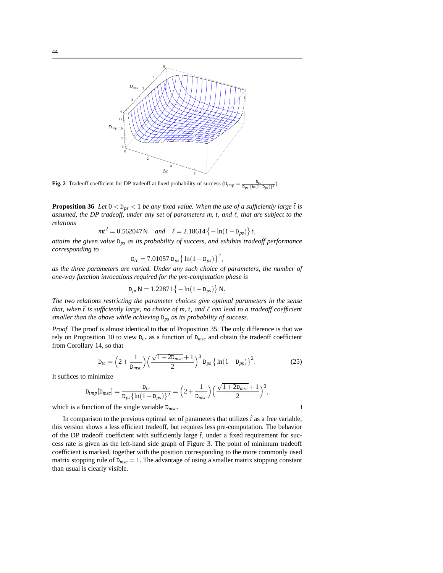

**Fig. 2** Tradeoff coefficient for DP tradeoff at fixed probability of success  $(D_{tmp} = \frac{D_{IC}}{D_{px} \cdot \{ln(1-D_{px})\}^2})$ 

**Proposition 36** *Let*  $0 < D_{ps} < 1$  *be any fixed value. When the use of a sufficiently large*  $\hat{t}$  *is assumed, the DP tradeoff, under any set of parameters m, t, and* ℓ*, that are subject to the relations*

$$
mt^2 = 0.562047 \,\mathrm{N} \quad \text{and} \quad \ell = 2.18614 \left\{-\ln(1-\mathrm{D}_{ps})\right\} t,
$$

*attains the given value* D*ps as its probability of success, and exhibits tradeoff performance corresponding to*

$$
D_{tc} = 7.01057 D_{ps} \{ ln(1 - D_{ps}) \}^{2}
$$

*as the three parameters are varied. Under any such choice of parameters, the number of one-way function invocations required for the pre-computation phase is*

$$
\mathsf{D}_{\mathit{pc}}\,\mathsf{N}=1.22871\left\{-\ln(1-\mathsf{D}_{\mathit{ps}})\right\}\,\mathsf{N}.
$$

*The two relations restricting the parameter choices give optimal parameters in the sense that, when*  $\hat{t}$  *is sufficiently large, no choice of m, t, and*  $\ell$  *can lead to a tradeoff coefficient smaller than the above while achieving* D*ps as its probability of success.*

*Proof* The proof is almost identical to that of Proposition 35. The only difference is that we rely on Proposition 10 to view D*cr* as a function of D*msc* and obtain the tradeoff coefficient from Corollary 14, so that

$$
D_{tc} = \left(2 + \frac{1}{D_{msc}}\right) \left(\frac{\sqrt{1 + 2D_{msc}} + 1}{2}\right)^3 D_{ps} \left\{\ln(1 - D_{ps})\right\}^2.
$$
 (25)

,

It suffices to minimize

$$
\mathtt{D}_{tmp}[\mathtt{D}_{msc}]=\frac{\mathtt{D}_{tc}}{\mathtt{D}_{ps}\{\ln(1-\mathtt{D}_{ps})\}^2}=\Big(2+\frac{1}{\mathtt{D}_{msc}}\Big)\Big(\frac{\sqrt{1+2\mathtt{D}_{msc}}+1}{2}\Big)^3,
$$

which is a function of the single variable D<sub>*msc*</sub>. □

In comparison to the previous optimal set of parameters that utilizes  $\hat{t}$  as a free variable, this version shows a less efficient tradeoff, but requires less pre-computation. The behavior of the DP tradeoff coefficient with sufficiently large  $\hat{t}$ , under a fixed requirement for success rate is given as the left-hand side graph of Figure 3. The point of minimum tradeoff coefficient is marked, together with the position corresponding to the more commonly used matrix stopping rule of  $D_{\text{msc}} = 1$ . The advantage of using a smaller matrix stopping constant than usual is clearly visible.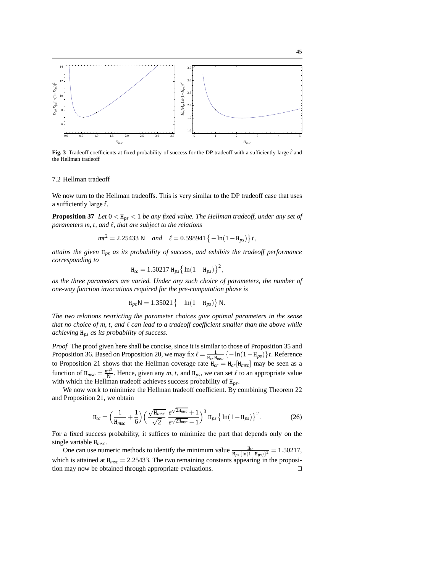

**Fig. 3** Tradeoff coefficients at fixed probability of success for the DP tradeoff with a sufficiently large  $\hat{t}$  and the Hellman tradeoff

## 7.2 Hellman tradeoff

We now turn to the Hellman tradeoffs. This is very similar to the DP tradeoff case that uses a sufficiently large *t*ˆ.

**Proposition 37** *Let* 0 < H*ps* < 1 *be any fixed value. The Hellman tradeoff, under any set of parameters m, t, and* ℓ*, that are subject to the relations*

$$
mt^2 = 2.25433 \text{ N} \quad and \quad \ell = 0.598941 \left\{-\ln(1-\text{H}_{ps})\right\} t,
$$

*attains the given* H*ps as its probability of success, and exhibits the tradeoff performance corresponding to*

$$
H_{tc} = 1.50217 \, H_{ps} \big\{ \ln(1-H_{ps}) \big\}^2
$$

,

*as the three parameters are varied. Under any such choice of parameters, the number of one-way function invocations required for the pre-computation phase is*

$$
H_{pc}N = 1.35021 \{-\ln(1 - H_{ps})\} N.
$$

*The two relations restricting the parameter choices give optimal parameters in the sense that no choice of m, t, and*  $\ell$  *can lead to a tradeoff coefficient smaller than the above while achieving* H*ps as its probability of success.*

*Proof* The proof given here shall be concise, since it is similar to those of Proposition 35 and Proposition 36. Based on Proposition 20, we may fix  $\ell = \frac{1}{H_{cr}H_{msc}} \{-\ln(1-\text{H}_{ps})\}t$ . Reference to Proposition 21 shows that the Hellman coverage rate  $H_{cr} = H_{cr}[H_{mgc}]$  may be seen as a function of  $H_{msc} = \frac{mt^2}{N}$ . Hence, given any *m*, *t*, and  $H_{ps}$ , we can set  $\ell$  to an appropriate value with which the Hellman tradeoff achieves success probability of H*ps*.

We now work to minimize the Hellman tradeoff coefficient. By combining Theorem 22 and Proposition 21, we obtain

$$
H_{tc} = \left(\frac{1}{H_{msc}} + \frac{1}{6}\right) \left(\frac{\sqrt{H_{msc}}}{\sqrt{2}} \frac{e^{\sqrt{2H_{msc}}} + 1}{e^{\sqrt{2H_{msc}}} - 1}\right)^3 H_{ps} \left\{\ln(1 - H_{ps})\right\}^2.
$$
 (26)

For a fixed success probability, it suffices to minimize the part that depends only on the single variable H*msc*.

One can use numeric methods to identify the minimum value  $\frac{H_{IC}}{H_{PS} \{ln(1-H_{PS})\}^2} = 1.50217$ , which is attained at  $H_{msc} = 2.25433$ . The two remaining constants appearing in the proposition may now be obtained through appropriate evaluations. □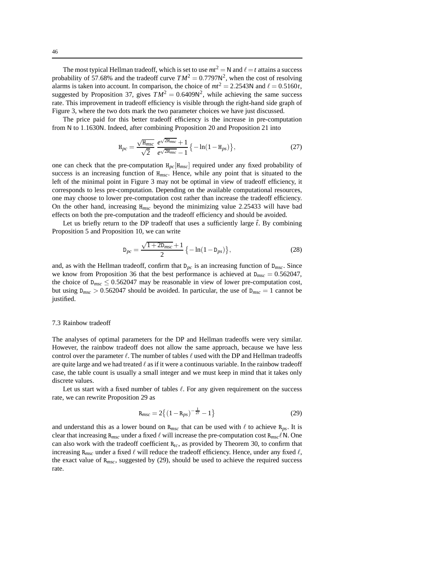The most typical Hellman tradeoff, which is set to use  $mt^2 = N$  and  $\ell = t$  attains a success probability of 57.68% and the tradeoff curve  $TM^2 = 0.7797N^2$ , when the cost of resolving alarms is taken into account. In comparison, the choice of  $mt^2 = 2.2543N$  and  $\ell = 0.5160t$ , suggested by Proposition 37, gives  $TM^2 = 0.6409N^2$ , while achieving the same success rate. This improvement in tradeoff efficiency is visible through the right-hand side graph of Figure 3, where the two dots mark the two parameter choices we have just discussed.

The price paid for this better tradeoff efficiency is the increase in pre-computation from N to 1.1630N. Indeed, after combining Proposition 20 and Proposition 21 into

$$
H_{pc} = \frac{\sqrt{H_{msc}}}{\sqrt{2}} \frac{e^{\sqrt{2H_{msc}}} + 1}{e^{\sqrt{2H_{msc}}} - 1} \{-\ln(1 - H_{ps})\},
$$
 (27)

one can check that the pre-computation  $H_{pc}[H_{msc}]$  required under any fixed probability of success is an increasing function of H*msc*. Hence, while any point that is situated to the left of the minimal point in Figure 3 may not be optimal in view of tradeoff efficiency, it corresponds to less pre-computation. Depending on the available computational resources, one may choose to lower pre-computation cost rather than increase the tradeoff efficiency. On the other hand, increasing H*msc* beyond the minimizing value 2.25433 will have bad effects on both the pre-computation and the tradeoff efficiency and should be avoided.

Let us briefly return to the DP tradeoff that uses a sufficiently large  $\hat{t}$ . By combining Proposition 5 and Proposition 10, we can write

$$
D_{pc} = \frac{\sqrt{1 + 2D_{msc}} + 1}{2} \{-\ln(1 - D_{ps})\},\tag{28}
$$

and, as with the Hellman tradeoff, confirm that D*pc* is an increasing function of D*msc*. Since we know from Proposition 36 that the best performance is achieved at  $D_{\text{msc}} = 0.562047$ , the choice of  $D_{\text{msc}} \leq 0.562047$  may be reasonable in view of lower pre-computation cost, but using  $D_{\text{msc}} > 0.562047$  should be avoided. In particular, the use of  $D_{\text{msc}} = 1$  cannot be justified.

# 7.3 Rainbow tradeoff

The analyses of optimal parameters for the DP and Hellman tradeoffs were very similar. However, the rainbow tradeoff does not allow the same approach, because we have less control over the parameter  $\ell$ . The number of tables  $\ell$  used with the DP and Hellman tradeoffs are quite large and we had treated  $\ell$  as if it were a continuous variable. In the rainbow tradeoff case, the table count is usually a small integer and we must keep in mind that it takes only discrete values.

Let us start with a fixed number of tables  $\ell$ . For any given requirement on the success rate, we can rewrite Proposition 29 as

$$
R_{msc} = 2\left\{ (1 - R_{ps})^{-\frac{1}{2\ell}} - 1 \right\}
$$
 (29)

and understand this as a lower bound on  $R_{msc}$  that can be used with  $\ell$  to achieve  $R_{ps}$ . It is clear that increasing  $R_{msc}$  under a fixed  $\ell$  will increase the pre-computation cost  $R_{msc}\ell N$ . One can also work with the tradeoff coefficient R*tc*, as provided by Theorem 30, to confirm that increasing  $R_{\text{msc}}$  under a fixed  $\ell$  will reduce the tradeoff efficiency. Hence, under any fixed  $\ell$ , the exact value of R*msc*, suggested by (29), should be used to achieve the required success rate.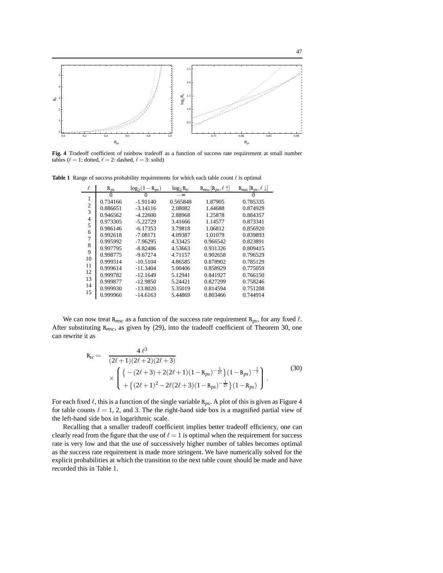

Fig. 4 Tradeoff coefficient of rainbow tradeoff as a function of success rate requirement at small number tables ( $\ell = 1$ : dotted,  $\ell = 2$ : dashed,  $\ell = 3$ : solid)

Table 1 Range of success probability requirements for which each table count  $ℓ$  is optimal

| ł.                               | $\mathrm{R}_{ps}$ | $\log_2(1 - R_{ps})$ | $\log_2 R_{tc}$ | $\mathbf{R}_{msc}[\mathbf{R}_{ps}, \ell \uparrow]$ | $\texttt{R}_{msc}\texttt{[R}_{ps}, \ell \downarrow]$ |
|----------------------------------|-------------------|----------------------|-----------------|----------------------------------------------------|------------------------------------------------------|
|                                  | 0                 | 0                    | $-\infty$       |                                                    |                                                      |
| 1                                | 0.734166          | $-1.91140$           | 0.565848        | 1.87905                                            | 0.785335                                             |
| $\overline{c}$<br>$\overline{3}$ | 0.886651          | $-3.14116$           | 2.08082         | 1.44688                                            | 0.874929                                             |
|                                  | 0.946562          | $-4.22600$           | 2.88968         | 1.25878                                            | 0.884357                                             |
| 4                                | 0.973305          | $-5.22729$           | 3.41666         | 1.14577                                            | 0.873341                                             |
| 5                                | 0.986146          | $-6.17353$           | 3.79818         | 1.06812                                            | 0.856920                                             |
| 6                                | 0.992618          | $-7.08171$           | 4.09387         | 1.01079                                            | 0.839893                                             |
| 7                                | 0.995992          | $-7.96295$           | 4.33425         | 0.966542                                           | 0.823891                                             |
| 8                                | 0.997795          | $-8.82486$           | 4.53663         | 0.931326                                           | 0.809415                                             |
| 9                                | 0.998775          | $-9.67274$           | 4.71157         | 0.902658                                           | 0.796529                                             |
| 10                               | 0.999314          | $-10.5104$           | 4.86585         | 0.878902                                           | 0.785129                                             |
| 11                               | 0.999614          | $-11.3404$           | 5.00406         | 0.858929                                           | 0.775059                                             |
| 12                               | 0.999782          | $-12.1649$           | 5.12941         | 0.841927                                           | 0.766150                                             |
| 13                               | 0.999877          | $-12.9850$           | 5.24421         | 0.827299                                           | 0.758246                                             |
| 14                               | 0.999930          | $-13.8020$           | 5.35019         | 0.814594                                           | 0.751208                                             |
| 15                               | 0.999960          | $-14.6163$           | 5.44869         | 0.803466                                           | 0.744914                                             |

We can now treat  $R_{msc}$  as a function of the success rate requirement  $R_{ps}$ , for any fixed  $\ell$ . After substituting R*msc*, as given by (29), into the tradeoff coefficient of Theorem 30, one can rewrite it as

$$
R_{tc} = \frac{4 \ell^3}{(2\ell+1)(2\ell+2)(2\ell+3)} \times \begin{Bmatrix} \{- (2\ell+3) + 2(2\ell+1)(1 - R_{ps})^{-\frac{1}{2\ell}} \} (1 - R_{ps})^{-\frac{1}{\ell}} \\ + \{(2\ell+1)^2 - 2\ell(2\ell+3)(1 - R_{ps})^{-\frac{1}{2\ell}} \} (1 - R_{ps}) \end{Bmatrix}.
$$
(30)

For each fixed  $\ell$ , this is a function of the single variable  $R_{ps}$ . A plot of this is given as Figure 4 for table counts  $\ell = 1, 2$ , and 3. The the right-hand side box is a magnified partial view of the left-hand side box in logarithmic scale.

Recalling that a smaller tradeoff coefficient implies better tradeoff efficiency, one can clearly read from the figure that the use of  $\ell = 1$  is optimal when the requirement for success rate is very low and that the use of successively higher number of tables becomes optimal as the success rate requirement is made more stringent. We have numerically solved for the explicit probabilities at which the transition to the next table count should be made and have recorded this in Table 1.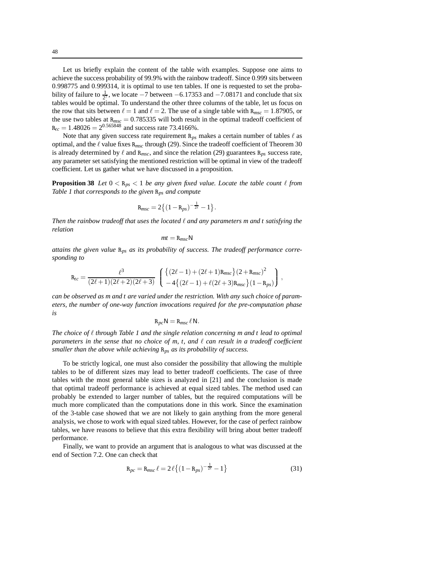Let us briefly explain the content of the table with examples. Suppose one aims to achieve the success probability of 99.9% with the rainbow tradeoff. Since 0.999 sits between 0.998775 and 0.999314, it is optimal to use ten tables. If one is requested to set the probability of failure to  $\frac{1}{2}$ , we locate  $-7$  between  $-6.17353$  and  $-7.08171$  and conclude that six tables would be optimal. To understand the other three columns of the table, let us focus on the row that sits between  $\ell = 1$  and  $\ell = 2$ . The use of a single table with  $R_{\text{msc}} = 1.87905$ , or the use two tables at  $R_{msc} = 0.785335$  will both result in the optimal tradeoff coefficient of  $R_{tc} = 1.48026 = 2^{0.565848}$  and success rate 73.4166%.

Note that any given success rate requirement  $R_{ps}$  makes a certain number of tables  $\ell$  as optimal, and the  $\ell$  value fixes  $R_{msc}$  through (29). Since the tradeoff coefficient of Theorem 30 is already determined by  $\ell$  and  $R_{msc}$ , and since the relation (29) guarantees  $R_{ps}$  success rate, any parameter set satisfying the mentioned restriction will be optimal in view of the tradeoff coefficient. Let us gather what we have discussed in a proposition.

**Proposition 38** *Let*  $0 < R_{ps} < 1$  *be any given fixed value. Locate the table count*  $\ell$  *from Table 1 that corresponds to the given* R*ps and compute*

$$
R_{msc} = 2\left\{(1 - R_{ps})^{-\frac{1}{2\ell}} - 1\right\}.
$$

*Then the rainbow tradeoff that uses the located*  $\ell$  *and any parameters m and t satisfying the relation*

$$
\mathit{mt} = R_{\mathit{msc}}N
$$

*attains the given value* R*ps as its probability of success. The tradeoff performance corresponding to*

$$
R_{\text{rc}} = \frac{\ell^3}{(2\ell+1)(2\ell+2)(2\ell+3)} \ \left\{ \begin{matrix} \big\{ (2\ell-1) + (2\ell+1) R_{\text{msc}} \big\} (2+R_{\text{msc}})^2 \\[1mm] -4 \big\{ (2\ell-1) + \ell (2\ell+3) R_{\text{msc}} \big\} (1-R_{\text{ps}}) \end{matrix} \right\},
$$

*can be observed as m and t are varied under the restriction. With any such choice of parameters, the number of one-way function invocations required for the pre-computation phase is*

$$
R_{pc}N = R_{msc} \ell N.
$$

*The choice of* ℓ *through Table 1 and the single relation concerning m and t lead to optimal parameters in the sense that no choice of m, t, and*  $\ell$  *can result in a tradeoff coefficient smaller than the above while achieving* R*ps as its probability of success.*

To be strictly logical, one must also consider the possibility that allowing the multiple tables to be of different sizes may lead to better tradeoff coefficients. The case of three tables with the most general table sizes is analyzed in [21] and the conclusion is made that optimal tradeoff performance is achieved at equal sized tables. The method used can probably be extended to larger number of tables, but the required computations will be much more complicated than the computations done in this work. Since the examination of the 3-table case showed that we are not likely to gain anything from the more general analysis, we chose to work with equal sized tables. However, for the case of perfect rainbow tables, we have reasons to believe that this extra flexibility will bring about better tradeoff performance.

Finally, we want to provide an argument that is analogous to what was discussed at the end of Section 7.2. One can check that

$$
R_{pc} = R_{msc} \ell = 2\ell \left\{ (1 - R_{ps})^{-\frac{1}{2\ell}} - 1 \right\}
$$
 (31)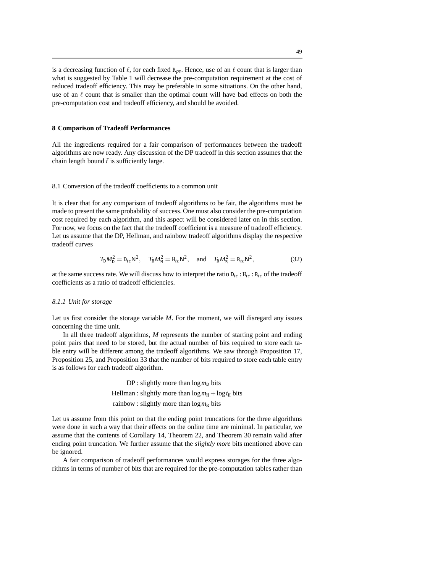is a decreasing function of  $\ell$ , for each fixed  $R_{ps}$ . Hence, use of an  $\ell$  count that is larger than what is suggested by Table 1 will decrease the pre-computation requirement at the cost of reduced tradeoff efficiency. This may be preferable in some situations. On the other hand, use of an  $\ell$  count that is smaller than the optimal count will have bad effects on both the pre-computation cost and tradeoff efficiency, and should be avoided.

# **8 Comparison of Tradeoff Performances**

All the ingredients required for a fair comparison of performances between the tradeoff algorithms are now ready. Any discussion of the DP tradeoff in this section assumes that the chain length bound  $\hat{t}$  is sufficiently large.

# 8.1 Conversion of the tradeoff coefficients to a common unit

It is clear that for any comparison of tradeoff algorithms to be fair, the algorithms must be made to present the same probability of success. One must also consider the pre-computation cost required by each algorithm, and this aspect will be considered later on in this section. For now, we focus on the fact that the tradeoff coefficient is a measure of tradeoff efficiency. Let us assume that the DP, Hellman, and rainbow tradeoff algorithms display the respective tradeoff curves

$$
T_{\rm D}M_{\rm D}^2 = \mathbf{D}_{tc}\mathbf{N}^2, \quad T_{\rm H}M_{\rm H}^2 = \mathbf{H}_{tc}\mathbf{N}^2, \quad \text{and} \quad T_{\rm R}M_{\rm R}^2 = \mathbf{R}_{tc}\mathbf{N}^2,\tag{32}
$$

at the same success rate. We will discuss how to interpret the ratio  $D_{tc}$ :  $H_{tc}$ :  $R_{tc}$  of the tradeoff coefficients as a ratio of tradeoff efficiencies.

# *8.1.1 Unit for storage*

Let us first consider the storage variable *M*. For the moment, we will disregard any issues concerning the time unit.

In all three tradeoff algorithms, *M* represents the number of starting point and ending point pairs that need to be stored, but the actual number of bits required to store each table entry will be different among the tradeoff algorithms. We saw through Proposition 17, Proposition 25, and Proposition 33 that the number of bits required to store each table entry is as follows for each tradeoff algorithm.

> DP : slightly more than  $\log m_D$  bits Hellman : slightly more than  $\log m_H + \log t_H$  bits rainbow : slightly more than  $\log m_R$  bits

Let us assume from this point on that the ending point truncations for the three algorithms were done in such a way that their effects on the online time are minimal. In particular, we assume that the contents of Corollary 14, Theorem 22, and Theorem 30 remain valid after ending point truncation. We further assume that the *slightly more* bits mentioned above can be ignored.

A fair comparison of tradeoff performances would express storages for the three algorithms in terms of number of bits that are required for the pre-computation tables rather than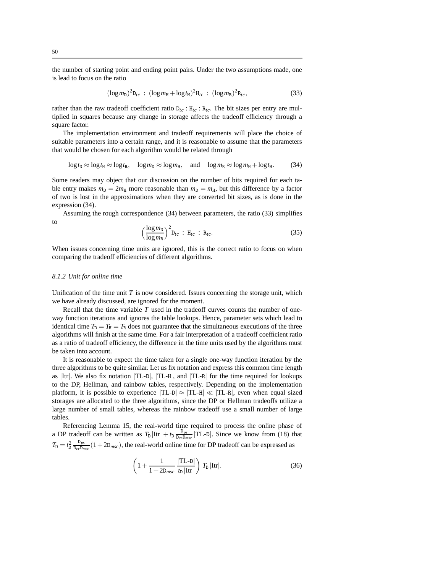the number of starting point and ending point pairs. Under the two assumptions made, one is lead to focus on the ratio

$$
(\log m_{\rm D})^2 D_{tc} : (\log m_{\rm H} + \log t_{\rm H})^2 H_{tc} : (\log m_{\rm R})^2 R_{tc}, \tag{33}
$$

rather than the raw tradeoff coefficient ratio  $D_{tc}$ :  $H_{tc}$ :  $R_{tc}$ . The bit sizes per entry are multiplied in squares because any change in storage affects the tradeoff efficiency through a square factor.

The implementation environment and tradeoff requirements will place the choice of suitable parameters into a certain range, and it is reasonable to assume that the parameters that would be chosen for each algorithm would be related through

$$
\log t_{\rm D} \approx \log t_{\rm H} \approx \log t_{\rm R}, \quad \log m_{\rm D} \approx \log m_{\rm H}, \quad \text{and} \quad \log m_{\rm R} \approx \log m_{\rm H} + \log t_{\rm H}. \tag{34}
$$

Some readers may object that our discussion on the number of bits required for each table entry makes  $m_D = 2m_H$  more reasonable than  $m_D = m_H$ , but this difference by a factor of two is lost in the approximations when they are converted bit sizes, as is done in the expression (34).

Assuming the rough correspondence (34) between parameters, the ratio (33) simplifies to

$$
\left(\frac{\log m_{\rm D}}{\log m_{\rm R}}\right)^2 \mathsf{D}_{tc} : \mathsf{H}_{tc} : \mathsf{R}_{tc}.
$$
 (35)

When issues concerning time units are ignored, this is the correct ratio to focus on when comparing the tradeoff efficiencies of different algorithms.

#### *8.1.2 Unit for online time*

Unification of the time unit  $T$  is now considered. Issues concerning the storage unit, which we have already discussed, are ignored for the moment.

Recall that the time variable *T* used in the tradeoff curves counts the number of oneway function iterations and ignores the table lookups. Hence, parameter sets which lead to identical time  $T_D = T_H = T_R$  does not guarantee that the simultaneous executions of the three algorithms will finish at the same time. For a fair interpretation of a tradeoff coefficient ratio as a ratio of tradeoff efficiency, the difference in the time units used by the algorithms must be taken into account.

It is reasonable to expect the time taken for a single one-way function iteration by the three algorithms to be quite similar. Let us fix notation and express this common time length as  $|Itr|$ . We also fix notation  $|TL-D|$ ,  $|TL-H|$ , and  $|TL-R|$  for the time required for lookups to the DP, Hellman, and rainbow tables, respectively. Depending on the implementation platform, it is possible to experience  $|TL-D| \approx |TL-H| \ll |TL-R|$ , even when equal sized storages are allocated to the three algorithms, since the DP or Hellman tradeoffs utilize a large number of small tables, whereas the rainbow tradeoff use a small number of large tables.

Referencing Lemma 15, the real-world time required to process the online phase of a DP tradeoff can be written as  $T_D$   $|Itr| + t_D \frac{D_{DS}}{D_{cr}D_n}$  $\frac{D_{ps}}{D_{cr}D_{msc}}$  |TL-D|. Since we know from (18) that  $T_{\text{D}} = t_{\text{D}}^2 \, \frac{\text{D}_{ps}}{\text{D}_{cr}\text{D}_n}$  $\frac{D_{ps}}{D_{cr}D_{msc}}(1+2D_{msc})$ , the real-world online time for DP tradeoff can be expressed as

$$
\left(1 + \frac{1}{1 + 2D_{msc}} \frac{|\text{TL}-\text{D}|}{t_{\text{D}} |\text{Itr}|}\right) T_{\text{D}} |\text{Itr}|. \tag{36}
$$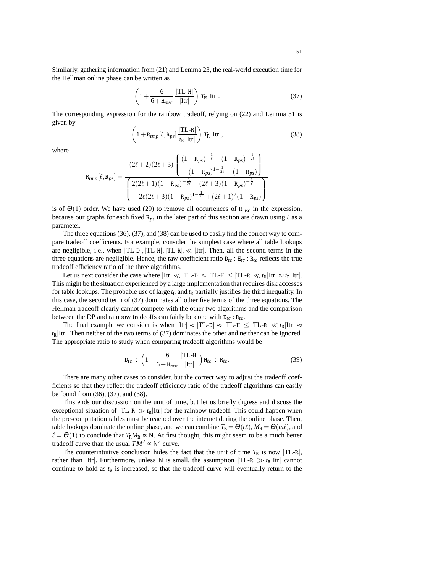Similarly, gathering information from (21) and Lemma 23, the real-world execution time for the Hellman online phase can be written as

$$
\left(1 + \frac{6}{6 + \mathcal{H}_{msc}} \frac{|\text{TL-H}|}{|\text{Itr}|}\right) T_{\text{H}} |\text{Itr}|.
$$
 (37)

The corresponding expression for the rainbow tradeoff, relying on (22) and Lemma 31 is given by

$$
\left(1 + R_{tmp}[\ell, R_{ps}] \frac{|\text{TL-R}|}{t_{\text{R}} |\text{Itr}|}\right) T_{\text{R}} |\text{Itr}|,
$$
\n(38)

where

$$
R_{tmp}[\ell, R_{ps}] = \frac{(2\ell+2)(2\ell+3)\left(\frac{(1-R_{ps})^{-\frac{1}{\ell}}-(1-R_{ps})^{-\frac{1}{2\ell}}}{-(1-R_{ps})^{1-\frac{1}{2\ell}}+(1-R_{ps})}\right)}{\left(\frac{2(2\ell+1)(1-R_{ps})^{-\frac{3}{2\ell}}-(2\ell+3)(1-R_{ps})^{-\frac{1}{\ell}}}{-2\ell(2\ell+3)(1-R_{ps})^{1-\frac{1}{2\ell}}+(2\ell+1)^2(1-R_{ps})}\right)}
$$

is of  $\Theta(1)$  order. We have used (29) to remove all occurrences of  $R_{\text{msc}}$  in the expression, because our graphs for each fixed  $R_{ps}$  in the later part of this section are drawn using  $\ell$  as a parameter.

The three equations (36), (37), and (38) can be used to easily find the correct way to compare tradeoff coefficients. For example, consider the simplest case where all table lookups are negligible, i.e., when  $|TL-D|, |TL-H|, |TL-R| \ll |Itr|$ . Then, all the second terms in the three equations are negligible. Hence, the raw coefficient ratio  $D_{tc}$ :  $H_{tc}$ :  $R_{tc}$  reflects the true tradeoff efficiency ratio of the three algorithms.

Let us next consider the case where  $|Itr| \ll |TL-D| \approx |TL-H| \le |TL-R| \ll t_D |Itr| \approx t_R |Itr|$ . This might be the situation experienced by a large implementation that requires disk accesses for table lookups. The probable use of large  $t<sub>D</sub>$  and  $t<sub>R</sub>$  partially justifies the third inequality. In this case, the second term of (37) dominates all other five terms of the three equations. The Hellman tradeoff clearly cannot compete with the other two algorithms and the comparison between the DP and rainbow tradeoffs can fairly be done with  $D_{tc}$ :  $R_{tc}$ .

The final example we consider is when  $|Itr| \approx |TL-D| \approx |TL-H| \le |TL-R| \ll t_D|Itr| \approx$  $t_{\rm R}$ |Itr|. Then neither of the two terms of (37) dominates the other and neither can be ignored. The appropriate ratio to study when comparing tradeoff algorithms would be

$$
D_{tc} : \left(1 + \frac{6}{6 + H_{msc}} \frac{|\text{TL-H}|}{|\text{Itr}|}\right) H_{tc} : R_{tc}.
$$
 (39)

There are many other cases to consider, but the correct way to adjust the tradeoff coefficients so that they reflect the tradeoff efficiency ratio of the tradeoff algorithms can easily be found from (36), (37), and (38).

This ends our discussion on the unit of time, but let us briefly digress and discuss the exceptional situation of  $|TL-R| \gg t_R|Itr|$  for the rainbow tradeoff. This could happen when the pre-computation tables must be reached over the internet during the online phase. Then, table lookups dominate the online phase, and we can combine  $T_R = \Theta(t\ell)$ ,  $M_R = \Theta(m\ell)$ , and  $\ell = \Theta(1)$  to conclude that  $T_R M_R \propto N$ . At first thought, this might seem to be a much better tradeoff curve than the usual  $TM^2 \propto N^2$  curve.

The counterintuitive conclusion hides the fact that the unit of time  $T_R$  is now  $|TL-R|$ , rather than |Itr|. Furthermore, unless N is small, the assumption  $|TL-R| \gg t_R |Itr|$  cannot continue to hold as  $t<sub>R</sub>$  is increased, so that the tradeoff curve will eventually return to the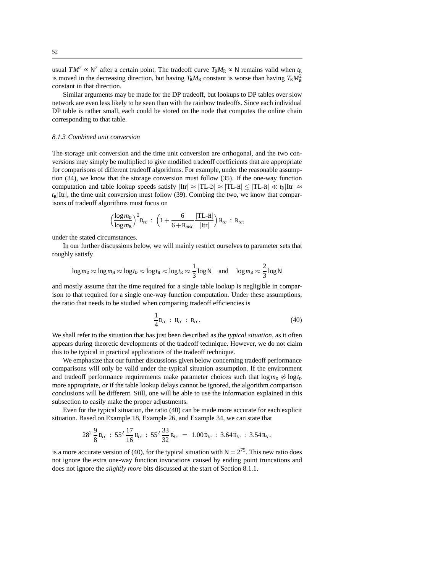usual  $TM^2$  ∝ N<sup>2</sup> after a certain point. The tradeoff curve  $T_R M_R$  ∝ N remains valid when  $t_R$ is moved in the decreasing direction, but having  $T_R M_R$  constant is worse than having  $T_R M_R^2$ constant in that direction.

Similar arguments may be made for the DP tradeoff, but lookups to DP tables over slow network are even less likely to be seen than with the rainbow tradeoffs. Since each individual DP table is rather small, each could be stored on the node that computes the online chain corresponding to that table.

#### *8.1.3 Combined unit conversion*

The storage unit conversion and the time unit conversion are orthogonal, and the two conversions may simply be multiplied to give modified tradeoff coefficients that are appropriate for comparisons of different tradeoff algorithms. For example, under the reasonable assumption (34), we know that the storage conversion must follow (35). If the one-way function computation and table lookup speeds satisfy  $|Itr| \approx |TL-D| \approx |TL-H| \le |TL-R| \ll t_D|Itr| \approx$  $t_R$ |Itr|, the time unit conversion must follow (39). Combing the two, we know that comparisons of tradeoff algorithms must focus on

$$
\Big(\frac{\log m_D}{\log m_R}\Big)^2 D_{\text{f}c} \; : \; \Big(1 + \frac{6}{6 + H_{\textit{msc}}}\frac{|TL\text{-}H|}{|Itr|}\Big) \, H_{\text{f}c} \; : \; R_{\text{f}c},
$$

under the stated circumstances.

In our further discussions below, we will mainly restrict ourselves to parameter sets that roughly satisfy

$$
\log m_{\rm D} \approx \log m_{\rm H} \approx \log t_{\rm D} \approx \log t_{\rm H} \approx \log t_{\rm R} \approx \frac{1}{3} \log N \quad \text{and} \quad \log m_{\rm R} \approx \frac{2}{3} \log N
$$

and mostly assume that the time required for a single table lookup is negligible in comparison to that required for a single one-way function computation. Under these assumptions, the ratio that needs to be studied when comparing tradeoff efficiencies is

$$
\frac{1}{4}\mathbf{D}_{tc} : \mathbf{H}_{tc} : \mathbf{R}_{tc}.
$$
\n(40)

We shall refer to the situation that has just been described as the *typical situation*, as it often appears during theoretic developments of the tradeoff technique. However, we do not claim this to be typical in practical applications of the tradeoff technique.

We emphasize that our further discussions given below concerning tradeoff performance comparisons will only be valid under the typical situation assumption. If the environment and tradeoff performance requirements make parameter choices such that  $\log m_D \approx \log t_D$ more appropriate, or if the table lookup delays cannot be ignored, the algorithm comparison conclusions will be different. Still, one will be able to use the information explained in this subsection to easily make the proper adjustments.

Even for the typical situation, the ratio (40) can be made more accurate for each explicit situation. Based on Example 18, Example 26, and Example 34, we can state that

$$
28^2 \frac{9}{8} D_{tc} : 55^2 \frac{17}{16} H_{tc} : 55^2 \frac{33}{32} R_{tc} = 1.00 D_{tc} : 3.64 H_{tc} : 3.54 R_{tc},
$$

is a more accurate version of (40), for the typical situation with  $N = 2^{75}$ . This new ratio does not ignore the extra one-way function invocations caused by ending point truncations and does not ignore the *slightly more* bits discussed at the start of Section 8.1.1.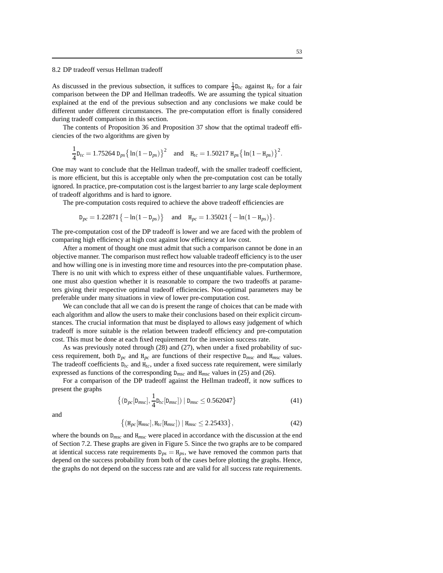## 8.2 DP tradeoff versus Hellman tradeoff

As discussed in the previous subsection, it suffices to compare  $\frac{1}{4}D_{tc}$  against  $H_{tc}$  for a fair comparison between the DP and Hellman tradeoffs. We are assuming the typical situation explained at the end of the previous subsection and any conclusions we make could be different under different circumstances. The pre-computation effort is finally considered during tradeoff comparison in this section.

The contents of Proposition 36 and Proposition 37 show that the optimal tradeoff efficiencies of the two algorithms are given by

$$
\frac{1}{4}D_{tc}=1.75264\;D_{ps}\big\{\ln(1-D_{ps})\big\}^2\quad\text{and}\quad H_{tc}=1.50217\;H_{ps}\big\{\ln(1-H_{ps})\big\}^2.
$$

One may want to conclude that the Hellman tradeoff, with the smaller tradeoff coefficient, is more efficient, but this is acceptable only when the pre-computation cost can be totally ignored. In practice, pre-computation cost is the largest barrier to any large scale deployment of tradeoff algorithms and is hard to ignore.

The pre-computation costs required to achieve the above tradeoff efficiencies are

$$
D_{pc} = 1.22871 \{-\ln(1 - D_{ps})\} \text{ and } H_{pc} = 1.35021 \{-\ln(1 - H_{ps})\}.
$$

The pre-computation cost of the DP tradeoff is lower and we are faced with the problem of comparing high efficiency at high cost against low efficiency at low cost.

After a moment of thought one must admit that such a comparison cannot be done in an objective manner. The comparison must reflect how valuable tradeoff efficiency is to the user and how willing one is in investing more time and resources into the pre-computation phase. There is no unit with which to express either of these unquantifiable values. Furthermore, one must also question whether it is reasonable to compare the two tradeoffs at parameters giving their respective optimal tradeoff efficiencies. Non-optimal parameters may be preferable under many situations in view of lower pre-computation cost.

We can conclude that all we can do is present the range of choices that can be made with each algorithm and allow the users to make their conclusions based on their explicit circumstances. The crucial information that must be displayed to allows easy judgement of which tradeoff is more suitable is the relation between tradeoff efficiency and pre-computation cost. This must be done at each fixed requirement for the inversion success rate.

As was previously noted through (28) and (27), when under a fixed probability of success requirement, both  $D_{pc}$  and  $H_{pc}$  are functions of their respective  $D_{mgc}$  and  $H_{msc}$  values. The tradeoff coefficients  $D_{tc}$  and  $H_{tc}$ , under a fixed success rate requirement, were similarly expressed as functions of the corresponding D*msc* and H*msc* values in (25) and (26).

For a comparison of the DP tradeoff against the Hellman tradeoff, it now suffices to present the graphs

$$
\left\{ \left( \mathsf{D}_{pc}[\mathsf{D}_{msc}], \frac{1}{4} \mathsf{D}_{tc}[\mathsf{D}_{msc}]\right) \mid \mathsf{D}_{msc} \le 0.562047 \right\}
$$
 (41)

and

$$
\{(H_{pc}[H_{msc}], H_{tc}[H_{msc}]) | H_{msc} \le 2.25433\},\
$$
 (42)

where the bounds on D*msc* and H*msc* were placed in accordance with the discussion at the end of Section 7.2. These graphs are given in Figure 5. Since the two graphs are to be compared at identical success rate requirements  $D_{ps} = H_{ps}$ , we have removed the common parts that depend on the success probability from both of the cases before plotting the graphs. Hence, the graphs do not depend on the success rate and are valid for all success rate requirements.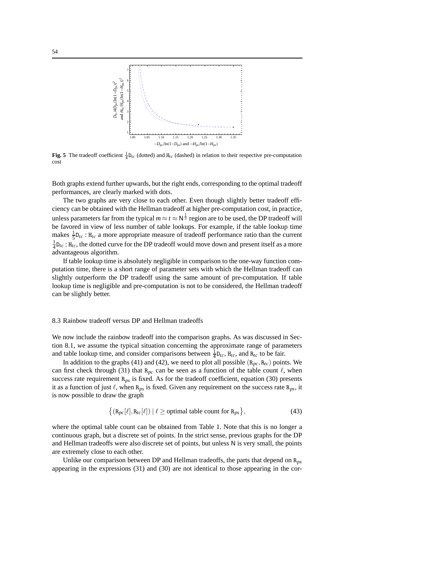

**Fig. 5** The tradeoff coefficient  $\frac{1}{4}D_{tc}$  (dotted) and  $H_{tc}$  (dashed) in relation to their respective pre-computation cost

Both graphs extend further upwards, but the right ends, corresponding to the optimal tradeoff performances, are clearly marked with dots.

The two graphs are very close to each other. Even though slightly better tradeoff efficiency can be obtained with the Hellman tradeoff at higher pre-computation cost, in practice, unless parameters far from the typical  $m \approx t \approx N^{\frac{1}{3}}$  region are to be used, the DP tradeoff will be favored in view of less number of table lookups. For example, if the table lookup time makes  $\frac{1}{5}D_{tc}$ : H<sub>tc</sub> a more appropriate measure of tradeoff performance ratio than the current  $\frac{1}{4}$ D<sub>tc</sub> : H<sub>tc</sub>, the dotted curve for the DP tradeoff would move down and present itself as a more advantageous algorithm.

If table lookup time is absolutely negligible in comparison to the one-way function computation time, there is a short range of parameter sets with which the Hellman tradeoff can slightly outperform the DP tradeoff using the same amount of pre-computation. If table lookup time is negligible and pre-computation is not to be considered, the Hellman tradeoff can be slightly better.

#### 8.3 Rainbow tradeoff versus DP and Hellman tradeoffs

We now include the rainbow tradeoff into the comparison graphs. As was discussed in Section 8.1, we assume the typical situation concerning the approximate range of parameters and table lookup time, and consider comparisons between  $\frac{1}{4}$  $\bar{D}_{tc}$ ,  $H_{tc}$ , and  $R_{tc}$  to be fair.

In addition to the graphs (41) and (42), we need to plot all possible  $(R_{pc}, R_{tc})$  points. We can first check through (31) that  $R_{pc}$  can be seen as a function of the table count  $\ell$ , when success rate requirement R<sub>ps</sub> is fixed. As for the tradeoff coefficient, equation (30) presents it as a function of just  $\ell$ , when  $R_{ps}$  is fixed. Given any requirement on the success rate  $R_{ps}$ , it is now possible to draw the graph

$$
\{(R_{pc}[\ell], R_{tc}[\ell]) \mid \ell \geq \text{optimal table count for } R_{ps}\},\tag{43}
$$

where the optimal table count can be obtained from Table 1. Note that this is no longer a continuous graph, but a discrete set of points. In the strict sense, previous graphs for the DP and Hellman tradeoffs were also discrete set of points, but unless N is very small, the points are extremely close to each other.

Unlike our comparison between DP and Hellman tradeoffs, the parts that depend on R<sub>ps</sub> appearing in the expressions (31) and (30) are not identical to those appearing in the cor-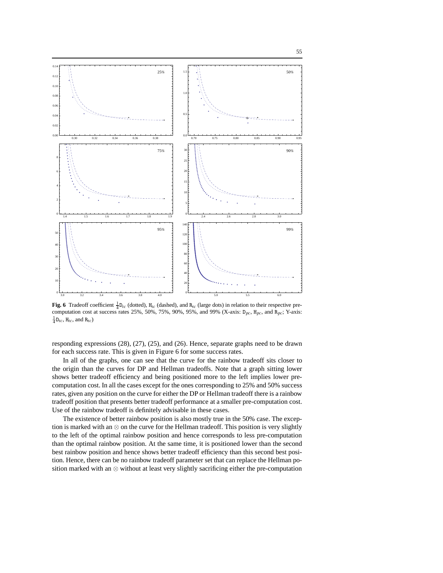

**Fig. 6** Tradeoff coefficient  $\frac{1}{4}D_{tc}$  (dotted),  $H_{tc}$  (dashed), and  $R_{tc}$  (large dots) in relation to their respective pre- $\epsilon$  and  $\epsilon$  and  $\epsilon$  and  $\epsilon$  and  $\epsilon$  and  $\epsilon$  and  $\epsilon$  and  $\epsilon$  and  $\epsilon$  and  $\epsilon$  and  $\epsilon$  and  $\epsilon$  and  $\epsilon$  and  $\epsilon$  and  $\epsilon$  and  $\epsilon$  and  $\epsilon$  and  $\epsilon$  and  $\epsilon$  and  $\epsilon$  and  $\epsilon$  and  $\epsilon$  and  $\epsilon$   $\epsilon$ . Y-axis:  $\frac{1}{4}$ D<sub>tc</sub>, H<sub>tc</sub>, and R<sub>tc</sub>)

responding expressions (28), (27), (25), and (26). Hence, separate graphs need to be drawn for each success rate. This is given in Figure 6 for some success rates.

In all of the graphs, one can see that the curve for the rainbow tradeoff sits closer to the origin than the curves for DP and Hellman tradeoffs. Note that a graph sitting lower shows better tradeoff efficiency and being positioned more to the left implies lower precomputation cost. In all the cases except for the ones corresponding to 25% and 50% success rates, given any position on the curve for either the DP or Hellman tradeoff there is a rainbow tradeoff position that presents better tradeoff performance at a smaller pre-computation cost. Use of the rainbow tradeoff is definitely advisable in these cases.

The existence of better rainbow position is also mostly true in the 50% case. The exception is marked with an  $\otimes$  on the curve for the Hellman tradeoff. This position is very slightly to the left of the optimal rainbow position and hence corresponds to less pre-computation than the optimal rainbow position. At the same time, it is positioned lower than the second best rainbow position and hence shows better tradeoff efficiency than this second best position. Hence, there can be no rainbow tradeoff parameter set that can replace the Hellman position marked with an ⊗ without at least very slightly sacrificing either the pre-computation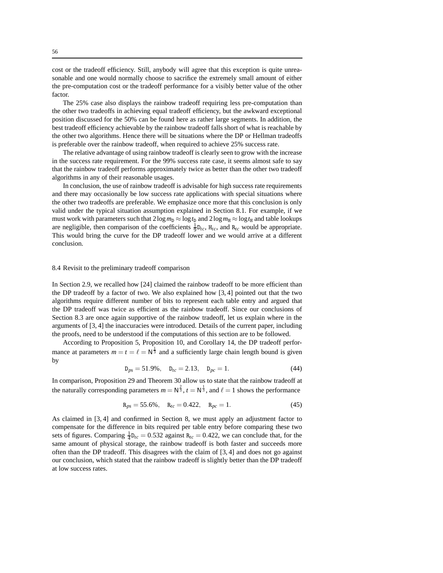cost or the tradeoff efficiency. Still, anybody will agree that this exception is quite unreasonable and one would normally choose to sacrifice the extremely small amount of either the pre-computation cost or the tradeoff performance for a visibly better value of the other factor.

The 25% case also displays the rainbow tradeoff requiring less pre-computation than the other two tradeoffs in achieving equal tradeoff efficiency, but the awkward exceptional position discussed for the 50% can be found here as rather large segments. In addition, the best tradeoff efficiency achievable by the rainbow tradeoff falls short of what is reachable by the other two algorithms. Hence there will be situations where the DP or Hellman tradeoffs is preferable over the rainbow tradeoff, when required to achieve 25% success rate.

The relative advantage of using rainbow tradeoff is clearly seen to grow with the increase in the success rate requirement. For the 99% success rate case, it seems almost safe to say that the rainbow tradeoff performs approximately twice as better than the other two tradeoff algorithms in any of their reasonable usages.

In conclusion, the use of rainbow tradeoff is advisable for high success rate requirements and there may occasionally be low success rate applications with special situations where the other two tradeoffs are preferable. We emphasize once more that this conclusion is only valid under the typical situation assumption explained in Section 8.1. For example, if we must work with parameters such that  $2\log m_D \approx \log t_D$  and  $2\log m_H \approx \log t_H$  and table lookups are negligible, then comparison of the coefficients  $\frac{1}{9}D_{tc}$ ,  $H_{tc}$ , and  $R_{tc}$  would be appropriate. This would bring the curve for the DP tradeoff lower and we would arrive at a different conclusion.

#### 8.4 Revisit to the preliminary tradeoff comparison

In Section 2.9, we recalled how [24] claimed the rainbow tradeoff to be more efficient than the DP tradeoff by a factor of two. We also explained how [3, 4] pointed out that the two algorithms require different number of bits to represent each table entry and argued that the DP tradeoff was twice as efficient as the rainbow tradeoff. Since our conclusions of Section 8.3 are once again supportive of the rainbow tradeoff, let us explain where in the arguments of [3, 4] the inaccuracies were introduced. Details of the current paper, including the proofs, need to be understood if the computations of this section are to be followed.

According to Proposition 5, Proposition 10, and Corollary 14, the DP tradeoff performance at parameters  $m = t = \ell = N^{\frac{1}{3}}$  and a sufficiently large chain length bound is given by

$$
D_{ps} = 51.9\%, \quad D_{tc} = 2.13, \quad D_{pc} = 1. \tag{44}
$$

In comparison, Proposition 29 and Theorem 30 allow us to state that the rainbow tradeoff at the naturally corresponding parameters  $m = N^{\frac{2}{3}}$ ,  $t = N^{\frac{1}{3}}$ , and  $\ell = 1$  shows the performance

$$
R_{ps} = 55.6\%, \quad R_{tc} = 0.422, \quad R_{pc} = 1.
$$
 (45)

As claimed in [3, 4] and confirmed in Section 8, we must apply an adjustment factor to compensate for the difference in bits required per table entry before comparing these two sets of figures. Comparing  $\frac{1}{4}D_{tc} = 0.532$  against R<sub>tc</sub> = 0.422, we can conclude that, for the same amount of physical storage, the rainbow tradeoff is both faster and succeeds more often than the DP tradeoff. This disagrees with the claim of [3, 4] and does not go against our conclusion, which stated that the rainbow tradeoff is slightly better than the DP tradeoff at low success rates.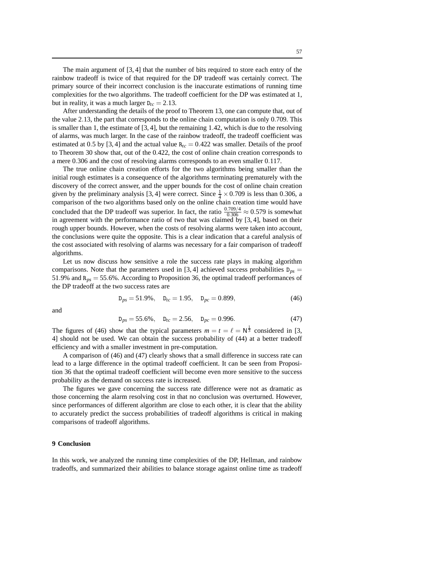The main argument of [3, 4] that the number of bits required to store each entry of the rainbow tradeoff is twice of that required for the DP tradeoff was certainly correct. The primary source of their incorrect conclusion is the inaccurate estimations of running time complexities for the two algorithms. The tradeoff coefficient for the DP was estimated at 1, but in reality, it was a much larger  $D_{tc} = 2.13$ .

After understanding the details of the proof to Theorem 13, one can compute that, out of the value 2.13, the part that corresponds to the online chain computation is only 0.709. This is smaller than 1, the estimate of [3, 4], but the remaining 1.42, which is due to the resolving of alarms, was much larger. In the case of the rainbow tradeoff, the tradeoff coefficient was estimated at 0.5 by [3, 4] and the actual value  $R_{tc} = 0.422$  was smaller. Details of the proof to Theorem 30 show that, out of the 0.422, the cost of online chain creation corresponds to a mere 0.306 and the cost of resolving alarms corresponds to an even smaller 0.117.

The true online chain creation efforts for the two algorithms being smaller than the initial rough estimates is a consequence of the algorithms terminating prematurely with the discovery of the correct answer, and the upper bounds for the cost of online chain creation given by the preliminary analysis [3, 4] were correct. Since  $\frac{1}{4} \times 0.709$  is less than 0.306, a comparison of the two algorithms based only on the online chain creation time would have concluded that the DP tradeoff was superior. In fact, the ratio  $\frac{0.709/4}{0.306} \approx 0.579$  is somewhat in agreement with the performance ratio of two that was claimed by [3, 4], based on their rough upper bounds. However, when the costs of resolving alarms were taken into account, the conclusions were quite the opposite. This is a clear indication that a careful analysis of the cost associated with resolving of alarms was necessary for a fair comparison of tradeoff algorithms.

Let us now discuss how sensitive a role the success rate plays in making algorithm comparisons. Note that the parameters used in [3, 4] achieved success probabilities  $D_{ps}$  = 51.9% and R*ps* = 55.6%. According to Proposition 36, the optimal tradeoff performances of the DP tradeoff at the two success rates are

$$
D_{ps} = 51.9\%, \quad D_{tc} = 1.95, \quad D_{pc} = 0.899,\tag{46}
$$

and

$$
D_{ps} = 55.6\%, \quad D_{tc} = 2.56, \quad D_{pc} = 0.996. \tag{47}
$$

The figures of (46) show that the typical parameters  $m = t = \ell = N^{\frac{1}{3}}$  considered in [3, 4] should not be used. We can obtain the success probability of (44) at a better tradeoff efficiency and with a smaller investment in pre-computation.

A comparison of (46) and (47) clearly shows that a small difference in success rate can lead to a large difference in the optimal tradeoff coefficient. It can be seen from Proposition 36 that the optimal tradeoff coefficient will become even more sensitive to the success probability as the demand on success rate is increased.

The figures we gave concerning the success rate difference were not as dramatic as those concerning the alarm resolving cost in that no conclusion was overturned. However, since performances of different algorithm are close to each other, it is clear that the ability to accurately predict the success probabilities of tradeoff algorithms is critical in making comparisons of tradeoff algorithms.

## **9 Conclusion**

In this work, we analyzed the running time complexities of the DP, Hellman, and rainbow tradeoffs, and summarized their abilities to balance storage against online time as tradeoff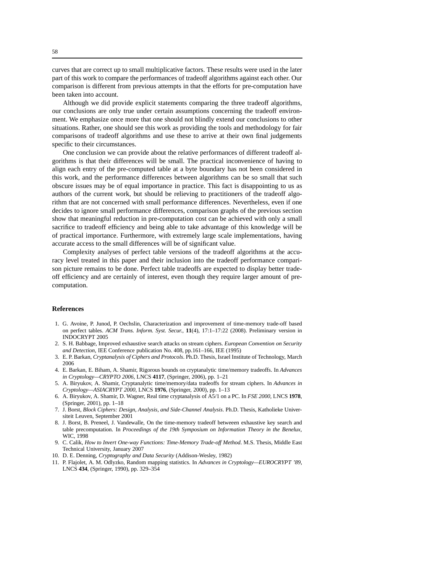curves that are correct up to small multiplicative factors. These results were used in the later part of this work to compare the performances of tradeoff algorithms against each other. Our comparison is different from previous attempts in that the efforts for pre-computation have been taken into account.

Although we did provide explicit statements comparing the three tradeoff algorithms, our conclusions are only true under certain assumptions concerning the tradeoff environment. We emphasize once more that one should not blindly extend our conclusions to other situations. Rather, one should see this work as providing the tools and methodology for fair comparisons of tradeoff algorithms and use these to arrive at their own final judgements specific to their circumstances.

One conclusion we can provide about the relative performances of different tradeoff algorithms is that their differences will be small. The practical inconvenience of having to align each entry of the pre-computed table at a byte boundary has not been considered in this work, and the performance differences between algorithms can be so small that such obscure issues may be of equal importance in practice. This fact is disappointing to us as authors of the current work, but should be relieving to practitioners of the tradeoff algorithm that are not concerned with small performance differences. Nevertheless, even if one decides to ignore small performance differences, comparison graphs of the previous section show that meaningful reduction in pre-computation cost can be achieved with only a small sacrifice to tradeoff efficiency and being able to take advantage of this knowledge will be of practical importance. Furthermore, with extremely large scale implementations, having accurate access to the small differences will be of significant value.

Complexity analyses of perfect table versions of the tradeoff algorithms at the accuracy level treated in this paper and their inclusion into the tradeoff performance comparison picture remains to be done. Perfect table tradeoffs are expected to display better tradeoff efficiency and are certainly of interest, even though they require larger amount of precomputation.

# **References**

- 1. G. Avoine, P. Junod, P. Oechslin, Characterization and improvement of time-memory trade-off based on perfect tables. *ACM Trans. Inform. Syst. Secur.*, **11**(4), 17:1–17:22 (2008). Preliminary version in INDOCRYPT 2005
- 2. S. H. Babbage, Improved exhaustive search attacks on stream ciphers. *European Convention on Security and Detection*, IEE Conference publication No. 408, pp.161–166, IEE (1995)
- 3. E. P. Barkan, *Cryptanalysis of Ciphers and Protocols*. Ph.D. Thesis, Israel Institute of Technology, March 2006
- 4. E. Barkan, E. Biham, A. Shamir, Rigorous bounds on cryptanalytic time/memory tradeoffs. In *Advances in Cryptology—CRYPTO 2006*, LNCS **4117**, (Springer, 2006), pp. 1–21
- 5. A. Biryukov, A. Shamir, Cryptanalytic time/memory/data tradeoffs for stream ciphers. In *Advances in Cryptology—ASIACRYPT 2000*, LNCS **1976**, (Springer, 2000), pp. 1–13
- 6. A. Biryukov, A. Shamir, D. Wagner, Real time cryptanalysis of A5/1 on a PC. In *FSE 2000*, LNCS **1978**, (Springer, 2001), pp. 1–18
- 7. J. Borst, *Block Ciphers: Design, Analysis, and Side-Channel Analysis*. Ph.D. Thesis, Katholieke Universiteit Leuven, September 2001
- 8. J. Borst, B. Preneel, J. Vandewalle, On the time-memory tradeoff betweeen exhaustive key search and table precomputation. In *Proceedings of the 19th Symposium on Information Theory in the Benelux*, WIC, 1998
- 9. C. Calik, *How to Invert One-way Functions: Time-Memory Trade-off Method*. M.S. Thesis, Middle East Technical University, January 2007
- 10. D. E. Denning, *Cryptography and Data Security* (Addison-Wesley, 1982)
- 11. P. Flajolet, A. M. Odlyzko, Random mapping statistics. In *Advances in Cryptology—EUROCRYPT '89*, LNCS **434**, (Springer, 1990), pp. 329–354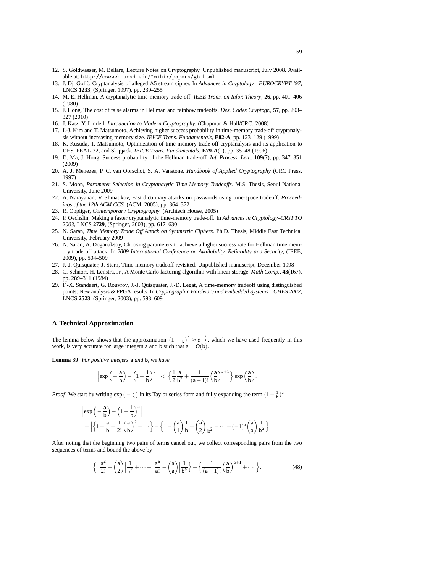- 12. S. Goldwasser, M. Bellare, Lecture Notes on Cryptography. Unpublished manuscript, July 2008. Available at: http://cseweb.ucsd.edu/~mihir/papers/gb.html
- 13. J. Dj. Goli´c, Cryptanalysis of alleged A5 stream cipher. In *Advances in Cryptology—EUROCRYPT '97*, LNCS **1233**, (Springer, 1997), pp. 239–255
- 14. M. E. Hellman, A cryptanalytic time-memory trade-off. *IEEE Trans. on Infor. Theory*, **26**, pp. 401–406 (1980)
- 15. J. Hong, The cost of false alarms in Hellman and rainbow tradeoffs. *Des. Codes Cryptogr.*, **57**, pp. 293– 327 (2010)
- 16. J. Katz, Y. Lindell, *Introduction to Modern Cryptography*. (Chapman & Hall/CRC, 2008)
- 17. I.-J. Kim and T. Matsumoto, Achieving higher success probability in time-memory trade-off cryptanalysis without increasing memory size. *IEICE Trans. Fundamentals,* **E82-A**, pp. 123–129 (1999)
- 18. K. Kusuda, T. Matsumoto, Optimization of time-memory trade-off cryptanalysis and its application to DES, FEAL-32, and Skipjack. *IEICE Trans. Fundamentals*, **E79-A**(1), pp. 35–48 (1996)
- 19. D. Ma, J. Hong, Success probability of the Hellman trade-off. *Inf. Process. Lett.*, **109**(7), pp. 347–351 (2009)
- 20. A. J. Menezes, P. C. van Oorschot, S. A. Vanstone, *Handbook of Applied Cryptography* (CRC Press, 1997)
- 21. S. Moon, *Parameter Selection in Cryptanalytic Time Memory Tradeoffs*. M.S. Thesis, Seoul National University, June 2009
- 22. A. Narayanan, V. Shmatikov, Fast dictionary attacks on passwords using time-space tradeoff. *Proceedings of the 12th ACM CCS*. (ACM, 2005), pp. 364–372.
- 23. R. Oppliger, *Contemporary Cryptography*. (Archtech House, 2005)
- 24. P. Oechslin, Making a faster cryptanalytic time-memory trade-off. In *Advances in Cryptology–CRYPTO 2003*, LNCS **2729**, (Springer, 2003), pp. 617–630
- 25. N. Saran, *Time Memory Trade Off Attack on Symmetric Ciphers*. Ph.D. Thesis, Middle East Technical University, February 2009
- 26. N. Saran, A. Doganaksoy, Choosing parameters to achieve a higher success rate for Hellman time memory trade off attack. In *2009 International Conference on Availability, Reliability and Security*, (IEEE, 2009), pp. 504–509
- 27. J.-J. Quisquater, J. Stern, Time-memory tradeoff revisited. Unpublished manuscript, December 1998
- 28. C. Schnorr, H. Lenstra, Jr., A Monte Carlo factoring algorithm with linear storage. *Math Comp.*, **43**(167), pp. 289–311 (1984)
- 29. F.-X. Standaert, G. Rouvroy, J.-J. Quisquater, J.-D. Legat, A time-memory tradeoff using distinguished points: New analysis & FPGA results. In *Cryptographic Hardware and Embedded Systems—CHES 2002*, LNCS **2523**, (Springer, 2003), pp. 593–609

## **A Technical Approximation**

The lemma below shows that the approximation  $(1 - \frac{1}{b})^a \approx e^{-\frac{a}{b}}$ , which we have used frequently in this work, is very accurate for large integers a and b such that  $a = O(b)$ .

**Lemma 39** *For positive integers* a *and* b*, we have*

$$
\Bigl|\exp\Bigl(-\frac ab\Bigr)-\Bigl(1-\frac 1b\Bigr)^a\Bigr|~<~\Bigl\{\frac 12\frac{a}{b^2}+\frac{1}{(a+1)!}\Bigl(\frac ab\Bigr)^{a+1}\Bigr\}\exp\Bigl(\frac ab\Bigr).
$$

*Proof* We start by writing  $\exp(-\frac{a}{b})$  in its Taylor series form and fully expanding the term  $(1-\frac{1}{b})^a$ .

$$
\begin{aligned}&\left|\exp\left(-\frac{a}{b}\right)-\left(1-\frac{1}{b}\right)^a\right|\\&= \Big|\Big\{1-\frac{a}{b}+\frac{1}{2!}\Big(\frac{a}{b}\Big)^2-\cdots\Big\}-\Big\{1-\binom{a}{1}\frac{1}{b}+\binom{a}{2}\frac{1}{b^2}-\cdots+(-1)^a\binom{a}{a}\frac{1}{b^a}\Big\}\Big|.\end{aligned}
$$

After noting that the beginning two pairs of terms cancel out, we collect corresponding pairs from the two sequences of terms and bound the above by

$$
\left\{ \ \left| \frac{a^2}{2!} - \binom{a}{2} \right| \frac{1}{b^2} + \dots + \left| \frac{a^a}{a!} - \binom{a}{a} \right| \frac{1}{b^a} \right\} + \left\{ \frac{1}{(a+1)!} \left( \frac{a}{b} \right)^{a+1} + \dots \ \right\}.
$$
 (48)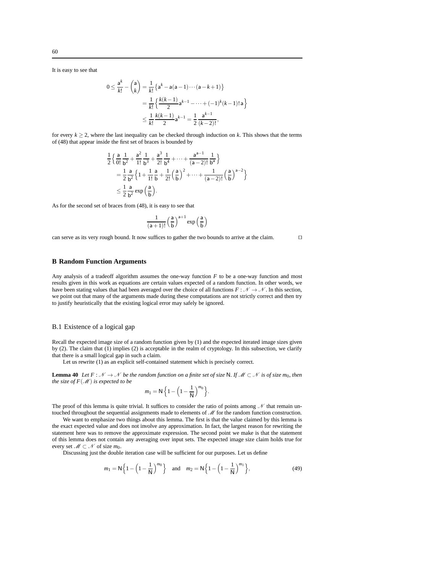It is easy to see that

$$
0 \le \frac{a^k}{k!} - \binom{a}{k} = \frac{1}{k!} \{a^k - a(a-1) \cdots (a-k+1)\}
$$
  
=  $\frac{1}{k!} \left\{ \frac{k(k-1)}{2} a^{k-1} - \cdots + (-1)^k (k-1)! a \right\}$   
 $\le \frac{1}{k!} \frac{k(k-1)}{2} a^{k-1} = \frac{1}{2} \frac{a^{k-1}}{(k-2)!},$ 

for every  $k \geq 2$ , where the last inequality can be checked through induction on *k*. This shows that the terms of (48) that appear inside the first set of braces is bounded by

$$
\frac{1}{2} \left\{ \frac{a}{0!} \frac{1}{b^2} + \frac{a^2}{1!} \frac{1}{b^3} + \frac{a^3}{2!} \frac{1}{b^4} + \dots + \frac{a^{a-1}}{(a-2)!} \frac{1}{b^a} \right\}
$$
\n
$$
= \frac{1}{2} \frac{a}{b^2} \left\{ 1 + \frac{1}{1!} \frac{a}{b} + \frac{1}{2!} \left( \frac{a}{b} \right)^2 + \dots + \frac{1}{(a-2)!} \left( \frac{a}{b} \right)^{a-2} \right\}
$$
\n
$$
\leq \frac{1}{2} \frac{a}{b^2} \exp\left(\frac{a}{b}\right).
$$

As for the second set of braces from (48), it is easy to see that

$$
\frac{1}{(a+1)!}\Big(\frac{a}{b}\Big)^{a+1}\exp\Big(\frac{a}{b}\Big)
$$

can serve as its very rough bound. It now suffices to gather the two bounds to arrive at the claim. ⊓⊔

## **B Random Function Arguments**

Any analysis of a tradeoff algorithm assumes the one-way function *F* to be a one-way function and most results given in this work as equations are certain values expected of a random function. In other words, we have been stating values that had been averaged over the choice of all functions  $F : \mathcal{N} \to \mathcal{N}$ . In this section, we point out that many of the arguments made during these computations are not strictly correct and then try to justify heuristically that the existing logical error may safely be ignored.

## B.1 Existence of a logical gap

Recall the expected image size of a random function given by (1) and the expected iterated image sizes given by (2). The claim that (1) implies (2) is acceptable in the realm of cryptology. In this subsection, we clarify that there is a small logical gap in such a claim.

Let us rewrite (1) as an explicit self-contained statement which is precisely correct.

**Lemma 40** *Let*  $F : \mathcal{N} \to \mathcal{N}$  *be the random function on a finite set of size* N. If  $\mathcal{M} \subset \mathcal{N}$  *is of size*  $m_0$ *, then the size of*  $F(M)$  *is expected to be* 

$$
m_1 = \mathsf{N}\left\{1-\left(1-\frac{1}{\mathsf{N}}\right)^{m_0}\right\}.
$$

The proof of this lemma is quite trivial. It suffices to consider the ratio of points among  $\mathcal N$  that remain untouched throughout the sequential assignments made to elements of  $M$  for the random function construction.

We want to emphasize two things about this lemma. The first is that the value claimed by this lemma is the exact expected value and does not involve any approximation. In fact, the largest reason for rewriting the statement here was to remove the approximate expression. The second point we make is that the statement of this lemma does not contain any averaging over input sets. The expected image size claim holds true for every set  $M \subset \mathcal{N}$  of size  $m_0$ .

Discussing just the double iteration case will be sufficient for our purposes. Let us define

$$
m_1 = N\left\{1 - \left(1 - \frac{1}{N}\right)^{m_0}\right\}
$$
 and  $m_2 = N\left\{1 - \left(1 - \frac{1}{N}\right)^{m_1}\right\}$ , (49)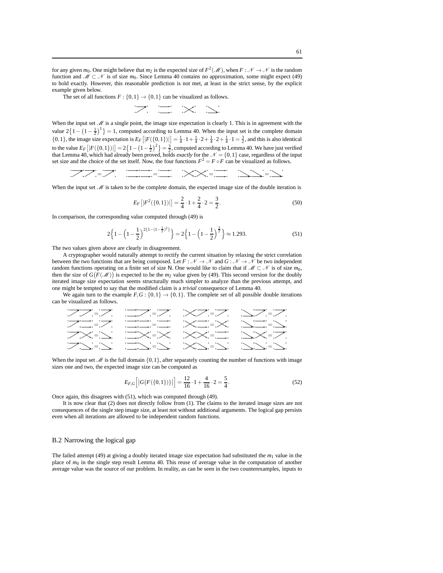for any given  $m_0$ . One might believe that  $m_2$  is the expected size of  $F^2(\mathcal{M})$ , when  $F : \mathcal{N} \to \mathcal{N}$  is the random function and  $\mathcal{M} \subset \mathcal{N}$  is of size  $m_0$ . Since Lemma 40 contains no approximation, some might expect (49) to hold exactly. However, this reasonable prediction is not met, at least in the strict sense, by the explicit example given below.

The set of all functions  $F: \{0,1\} \rightarrow \{0,1\}$  can be visualized as follows.

$$
\mathbb{Z}_p\cong \mathbb{Z}_p\rtimes \mathbb{Z}_p^2
$$

When the input set  $M$  is a single point, the image size expectation is clearly 1. This is in agreement with the value  $2\left\{1-\left(1-\frac{1}{2}\right)^{1}\right\}=1$ , computed according to Lemma 40. When the input set is the complete domain  $\{0, 1\}$ , the image size expectation is  $E_F\left[|F(\{0, 1\})|\right] = \frac{1}{4} \cdot 1 + \frac{1}{4} \cdot 2 + \frac{1}{4} \cdot 2 + \frac{1}{4} \cdot 1 = \frac{3}{2}$ , and this is also identical to the value  $E_F\left[|F(\{0,1\})|\right] = 2\left\{1-\left(1-\frac{1}{2}\right)^2\right\} = \frac{3}{2}$ , computed according to Lemma 40. We have just verified that Lemma 40, which had already been proved, holds *exactly* for the  $N = \{0,1\}$  case, regardless of the input set size and the choice of the set itself. Now, the four functions  $F^2 = F \circ F$  can be visualized as follows.

$$
\overline{XZ} = \overline{Z} \quad \overline{X} = \overline{X} \quad \overline{XX} = \overline{X} \quad \overline{XX} = \overline{X}
$$

When the input set  $\mathcal M$  is taken to be the complete domain, the expected image size of the double iteration is

$$
E_F\left[|F^2(\{0,1\})|\right] = \frac{2}{4} \cdot 1 + \frac{2}{4} \cdot 2 = \frac{3}{2}.\tag{50}
$$

In comparison, the corresponding value computed through (49) is

$$
2\left\{1-\left(1-\frac{1}{2}\right)^{2\left\{1-\left(1-\frac{1}{2}\right)^{2}\right\}}\right\}=2\left\{1-\left(1-\frac{1}{2}\right)^{\frac{3}{2}}\right\}\approx 1.293.\tag{51}
$$

The two values given above are clearly in disagreement.

A cryptographer would naturally attempt to rectify the current situation by relaxing the strict correlation between the two functions that are being composed. Let  $F : \mathcal{N} \to \mathcal{N}$  and  $G : \mathcal{N} \to \mathcal{N}$  be two independent random functions operating on a finite set of size N. One would like to claim that if  $\mathcal{M} \subset \mathcal{N}$  is of size  $m_0$ , then the size of  $G(F(M))$  is expected to be the  $m_2$  value given by (49). This second version for the doubly iterated image size expectation seems structurally much simpler to analyze than the previous attempt, and one might be tempted to say that the modified claim is a *trivial* consequence of Lemma 40.

We again turn to the example  $F, G: \{0,1\} \rightarrow \{0,1\}$ . The complete set of all possible double iterations can be visualized as follows.

b b = <sup>b</sup> b b = <sup>b</sup> b b b b = <sup>b</sup> b b b = <sup>b</sup> b b b b = <sup>b</sup> b b b = <sup>b</sup> b b b b = <sup>b</sup> b b b b = <sup>b</sup> b b b b = <sup>b</sup> b b = <sup>b</sup> b b b b = <sup>b</sup> b b = <sup>b</sup> b b b b = <sup>b</sup> b b = <sup>b</sup> b b b b = <sup>b</sup> b b b b = <sup>b</sup> b b

When the input set  $M$  is the full domain  $\{0,1\}$ , after separately counting the number of functions with image sizes one and two, the expected image size can be computed as

$$
E_{F,G}\left[|G\big(F(\{0,1\})\big)\big|\right] = \frac{12}{16} \cdot 1 + \frac{4}{16} \cdot 2 = \frac{5}{4}.\tag{52}
$$

Once again, this disagrees with (51), which was computed through (49).

It is now clear that (2) does not directly follow from (1). The claims to the iterated image sizes are not consequences of the single step image size, at least not without additional arguments. The logical gap persists even when all iterations are allowed to be independent random functions.

#### B.2 Narrowing the logical gap

The failed attempt (49) at giving a doubly iterated image size expectation had substituted the  $m_1$  value in the place of  $m_0$  in the single step result Lemma 40. This reuse of average value in the computation of another average value was the source of our problem. In reality, as can be seen in the two counterexamples, inputs to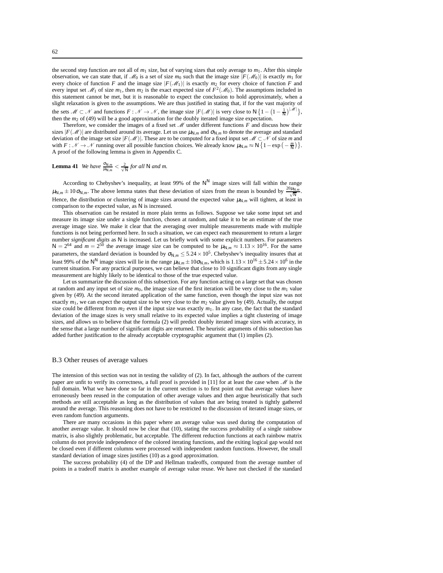the second step function are not all of  $m_1$  size, but of varying sizes that only average to  $m_1$ . After this simple observation, we can state that, if  $\mathcal{M}_0$  is a set of size  $m_0$  such that the image size  $|F(\mathcal{M}_0)|$  is exactly  $m_1$  for every choice of function *F* and the image size  $|F(M_1)|$  is exactly  $m_2$  for every choice of function *F* and every input set  $\mathcal{M}_1$  of size  $m_1$ , then  $m_2$  is the exact expected size of  $F^2(\mathcal{M}_0)$ . The assumptions included in this statement cannot be met, but it is reasonable to expect the conclusion to hold approximately, when a slight relaxation is given to the assumptions. We are thus justified in stating that, if for the vast majority of the sets  $M \subset \mathcal{N}$  and functions  $F: \mathcal{N} \to \mathcal{N}$ , the image size  $|F(M)|$  is very close to  $N\left\{1 - \left(1 - \frac{1}{N}\right)^{|\mathcal{M}|}\right\}$ , then the *m*<sub>2</sub> of (49) will be a good approximation for the doubly iterated image size expectation.

Therefore, we consider the images of a fixed set  $\mathcal M$  under different functions *F* and discuss how their sizes  $|F(\mathcal{M})|$  are distributed around its average. Let us use  $\mu_{N,m}$  and  $\sigma_{N,m}$  to denote the average and standard deviation of the image set size  $|F(\mathcal{M})|$ . These are to be computed for a fixed input set  $\mathcal{M} \subset \mathcal{N}$  of size *m* and with  $F: \mathcal{N} \to \mathcal{N}$  running over all possible function choices. We already know  $\mu_{N,m} \approx N \{1 - \exp(-\frac{m}{N})\}$ . A proof of the following lemma is given in Appendix C.

# **Lemma 41** *We have*  $\frac{\sigma_{N,m}}{\mu_{N,m}} < \frac{2}{\sqrt{N}}$  *for all* N *and m.*

According to Chebyshev's inequality, at least 99% of the  $N^N$  image sizes will fall within the range  $\mu_{N,m} \pm 10\sigma_{N,m}$ . The above lemma states that these deviation of sizes from the mean is bounded by  $\frac{20\mu_{N,m}}{\sqrt{N}}$ . Hence, the distribution or clustering of image sizes around the expected value  $\mu_{N,m}$  will tighten, at least in comparison to the expected value, as N is increased.

This observation can be restated in more plain terms as follows. Suppose we take some input set and measure its image size under a single function, chosen at random, and take it to be an estimate of the true average image size. We make it clear that the averaging over multiple measurements made with multiple functions is not being performed here. In such a situation, we can expect each measurement to return a larger number *significant digits* as N is increased. Let us briefly work with some explicit numbers. For parameters  $N = 2^{64}$  and  $m = 2^{50}$  the average image size can be computed to be  $\mu_{N,m} \approx 1.13 \times 10^{16}$ . For the same parameters, the standard deviation is bounded by  $\sigma_{N,m} \leq 5.24 \times 10^5$ . Chebyshev's inequality insures that at least 99% of the N<sup>N</sup> image sizes will lie in the range  $\mu_{N,m} \pm 10\sigma_{N,m}$ , which is  $1.13 \times 10^{16} \pm 5.24 \times 10^6$  in the current situation. For any practical purposes, we can believe that close to 10 significant digits from any single measurement are highly likely to be identical to those of the true expected value.

Let us summarize the discussion of this subsection. For any function acting on a large set that was chosen at random and any input set of size  $m_0$ , the image size of the first iteration will be very close to the  $m_1$  value given by (49). At the second iterated application of the same function, even though the input size was not exactly  $m_1$ , we can expect the output size to be very close to the  $m_2$  value given by (49). Actually, the output size could be different from  $m_2$  even if the input size was exactly  $m_1$ . In any case, the fact that the standard deviation of the image sizes is very small relative to its expected value implies a tight clustering of image sizes, and allows us to believe that the formula (2) will predict doubly iterated image sizes with accuracy, in the sense that a large number of significant digits are returned. The heuristic arguments of this subsection has added further justification to the already acceptable cryptographic argument that (1) implies (2).

#### B.3 Other reuses of average values

The intension of this section was not in testing the validity of (2). In fact, although the authors of the current paper are unfit to verify its correctness, a full proof is provided in [11] for at least the case when  $M$  is the full domain. What we have done so far in the current section is to first point out that average values have erroneously been reused in the computation of other average values and then argue heuristically that such methods are still acceptable as long as the distribution of values that are being treated is tightly gathered around the average. This reasoning does not have to be restricted to the discussion of iterated image sizes, or even random function arguments.

There are many occasions in this paper where an average value was used during the computation of another average value. It should now be clear that (10), stating the success probability of a single rainbow matrix, is also slightly problematic, but acceptable. The different reduction functions at each rainbow matrix column do not provide independence of the colored iterating functions, and the exiting logical gap would not be closed even if different columns were processed with independent random functions. However, the small standard deviation of image sizes justifies (10) as a good approximation.

The success probability (4) of the DP and Hellman tradeoffs, computed from the average number of points in a tradeoff matrix is another example of average value reuse. We have not checked if the standard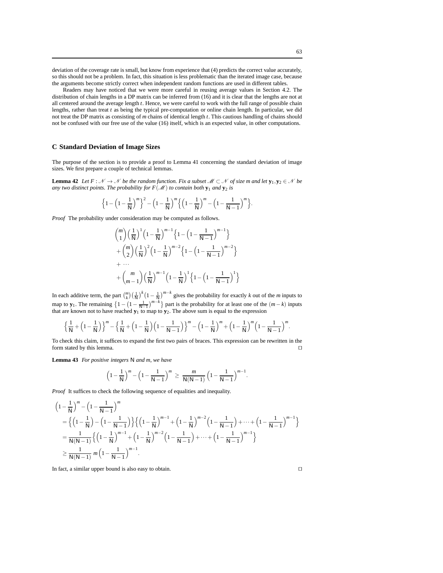deviation of the coverage rate is small, but know from experience that (4) predicts the correct value accurately, so this should not be a problem. In fact, this situation is less problematic than the iterated image case, because the arguments become strictly correct when independent random functions are used in different tables.

Readers may have noticed that we were more careful in reusing average values in Section 4.2. The distribution of chain lengths in a DP matrix can be inferred from (16) and it is clear that the lengths are not at all centered around the average length *t*. Hence, we were careful to work with the full range of possible chain lengths, rather than treat *t* as being the typical pre-computation or online chain length. In particular, we did not treat the DP matrix as consisting of *m* chains of identical length *t*. This cautious handling of chains should not be confused with our free use of the value (16) itself, which is an expected value, in other computations.

# **C Standard Deviation of Image Sizes**

The purpose of the section is to provide a proof to Lemma 41 concerning the standard deviation of image sizes. We first prepare a couple of technical lemmas.

**Lemma 42** *Let*  $F : \mathcal{N} \to \mathcal{N}$  *be the random function. Fix a subset*  $\mathcal{M} \subset \mathcal{N}$  *of size m and let*  $\mathbf{y}_1, \mathbf{y}_2 \in \mathcal{N}$  *be any two distinct points. The probability for*  $F(\mathcal{M})$  *to contain both*  $\mathbf{y}_1$  *and*  $\mathbf{y}_2$  *is* 

$$
\left\{1-\left(1-\frac{1}{N}\right)^m\right\}^2-\left(1-\frac{1}{N}\right)^m\left\{\left(1-\frac{1}{N}\right)^m-\left(1-\frac{1}{N-1}\right)^m\right\}.
$$

*Proof* The probability under consideration may be computed as follows.

$$
{m \choose 1} \left(\frac{1}{\mathsf{N}}\right)^1 \left(1 - \frac{1}{\mathsf{N}}\right)^{m-1} \left\{1 - \left(1 - \frac{1}{\mathsf{N} - 1}\right)^{m-1}\right\} + {m \choose 2} \left(\frac{1}{\mathsf{N}}\right)^2 \left(1 - \frac{1}{\mathsf{N}}\right)^{m-2} \left\{1 - \left(1 - \frac{1}{\mathsf{N} - 1}\right)^{m-2}\right\} + \cdots + {m \choose m-1} \left(\frac{1}{\mathsf{N}}\right)^{m-1} \left(1 - \frac{1}{\mathsf{N}}\right)^1 \left\{1 - \left(1 - \frac{1}{\mathsf{N} - 1}\right)^1\right\}
$$

In each additive term, the part  $\binom{m}{k}$   $\left(\frac{1}{N}\right)^k \left(1 - \frac{1}{N}\right)^{m-k}$  gives the probability for exactly *k* out of the *m* inputs to map to **y**<sub>1</sub>. The remaining  $\{1 - (1 - \frac{1}{N-1})^{m-k}\}$  part is the probability for at least one of the  $(m-k)$  inputs that are known not to have reached  $y_1$  to map to  $y_2$ . The above sum is equal to the expression

$$
\left\{\frac{1}{N}+\left(1-\frac{1}{N}\right)\right\}^{m}-\left\{\frac{1}{N}+\left(1-\frac{1}{N}\right)\left(1-\frac{1}{N-1}\right)\right\}^{m}-\left(1-\frac{1}{N}\right)^{m}+\left(1-\frac{1}{N}\right)^{m}\left(1-\frac{1}{N-1}\right)^{m}.
$$

To check this claim, it suffices to expand the first two pairs of braces. This expression can be rewritten in the form stated by this lemma. ⊓⊔

**Lemma 43** *For positive integers* N *and m, we have*

$$
\left(1 - \frac{1}{N}\right)^m - \left(1 - \frac{1}{N-1}\right)^m \ge \frac{m}{N(N-1)} \left(1 - \frac{1}{N-1}\right)^{m-1}
$$

.

*Proof* It suffices to check the following sequence of equalities and inequality.

$$
\begin{split} &\left(1-\frac{1}{N}\right)^{m}-\left(1-\frac{1}{N-1}\right)^{m} \\ &=\left\{\left(1-\frac{1}{N}\right)-\left(1-\frac{1}{N-1}\right)\right\}\left\{\left(1-\frac{1}{N}\right)^{m-1}+\left(1-\frac{1}{N}\right)^{m-2}\left(1-\frac{1}{N-1}\right)+\cdots+\left(1-\frac{1}{N-1}\right)^{m-1}\right\} \\ &=\frac{1}{N(N-1)}\left\{\left(1-\frac{1}{N}\right)^{m-1}+\left(1-\frac{1}{N}\right)^{m-2}\left(1-\frac{1}{N-1}\right)+\cdots+\left(1-\frac{1}{N-1}\right)^{m-1}\right\} \\ &\geq \frac{1}{N(N-1)}\,m\left(1-\frac{1}{N-1}\right)^{m-1}.\end{split}
$$

In fact, a similar upper bound is also easy to obtain. ⊓⊔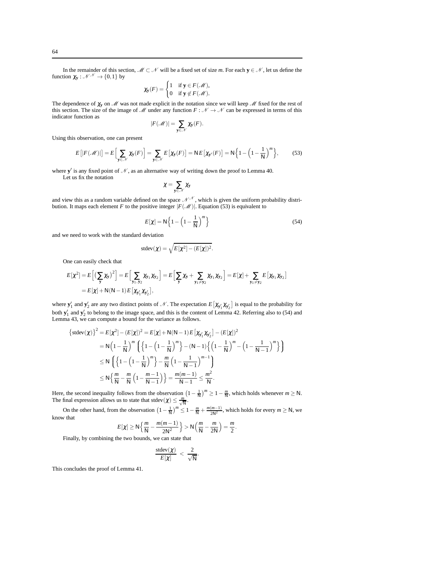In the remainder of this section,  $M \subset N$  will be a fixed set of size *m*. For each **y**  $\in N$ , let us define the function  $\chi_{\mathbf{y}} : \mathcal{N}^{\mathcal{N}} \to \{0,1\}$  by

$$
\chi_{\mathbf{y}}(F) = \begin{cases} 1 & \text{if } \mathbf{y} \in F(\mathcal{M}), \\ 0 & \text{if } \mathbf{y} \notin F(\mathcal{M}). \end{cases}
$$

The dependence of  $\chi$ <sup>*y*</sup> on *M* was not made explicit in the notation since we will keep *M* fixed for the rest of this section. The size of the image of M under any function  $F : \mathcal{N} \to \mathcal{N}$  can be expressed in terms of this indicator function as

$$
|F(\mathscr{M})| = \sum_{\mathbf{y} \in \mathscr{N}} \chi_{\mathbf{y}}(F).
$$

Using this observation, one can present

$$
E\left[|F(\mathcal{M})|\right] = E\left[\sum_{\mathbf{y}\in\mathcal{N}}\chi_{\mathbf{y}}(F)\right] = \sum_{\mathbf{y}\in\mathcal{N}}E\left[\chi_{\mathbf{y}}(F)\right] = \mathsf{N}E\left[\chi_{\mathbf{y}'}(F)\right] = \mathsf{N}\left\{1 - \left(1 - \frac{1}{\mathsf{N}}\right)^{m}\right\},\tag{53}
$$

where  $y'$  is any fixed point of  $N$ , as an alternative way of writing down the proof to Lemma 40.

Let us fix the notation

$$
\chi = \sum_{y \in \mathcal{N}} \chi_y
$$

and view this as a random variable defined on the space  $\mathcal{N}^{\mathcal{N}}$ , which is given the uniform probability distribution. It maps each element *F* to the positive integer  $|F(M)|$ . Equation (53) is equivalent to

$$
E[\chi] = \mathsf{N} \left\{ 1 - \left( 1 - \frac{1}{\mathsf{N}} \right)^m \right\} \tag{54}
$$

.

and we need to work with the standard deviation

$$
stdev(\chi) = \sqrt{E[\chi^2] - (E[\chi])^2}.
$$

One can easily check that

$$
E[\chi^2] = E\Big[\big(\sum_{\mathbf{y}} \chi_{\mathbf{y}}\big)^2\Big] = E\Big[\sum_{\mathbf{y}_1,\mathbf{y}_2} \chi_{\mathbf{y}_1} \chi_{\mathbf{y}_2}\Big] = E\Big[\sum_{\mathbf{y}} \chi_{\mathbf{y}} + \sum_{\mathbf{y}_1 \neq \mathbf{y}_2} \chi_{\mathbf{y}_1} \chi_{\mathbf{y}_2}\Big] = E[\chi] + \sum_{\mathbf{y}_1 \neq \mathbf{y}_2} E\big[\chi_{\mathbf{y}_1} \chi_{\mathbf{y}_2}\big]
$$
  
=  $E[\chi] + N(N-1)E\big[\chi_{\mathbf{y}_1}' \chi_{\mathbf{y}_2}'\big],$ 

where  $\mathbf{y}'_1$  and  $\mathbf{y}'_2$  are any two distinct points of N. The expectation  $E[\chi_{\mathbf{y}'_1}\chi_{\mathbf{y}'_2}]$  is equal to the probability for both  $y'_1$  and  $y'_2$  to belong to the image space, and this is the content of Lemma 42. Referring also to (54) and Lemma 43, we can compute a bound for the variance as follows.

$$
\left\{\text{stdev}(\chi)\right\}^{2} = E[\chi^{2}] - (E[\chi])^{2} = E[\chi] + \mathsf{N}(\mathsf{N} - 1)E[\chi_{\mathsf{y}'_{1}}\chi_{\mathsf{y}'_{2}}] - (E[\chi])^{2}
$$
  
\n
$$
= \mathsf{N}\left(1 - \frac{1}{\mathsf{N}}\right)^{m} \left\{\left\{1 - \left(1 - \frac{1}{\mathsf{N}}\right)^{m}\right\} - (\mathsf{N} - 1)\left\{\left(1 - \frac{1}{\mathsf{N}}\right)^{m} - \left(1 - \frac{1}{\mathsf{N} - 1}\right)^{m}\right\}\right\}
$$
  
\n
$$
\leq \mathsf{N}\left\{\left\{1 - \left(1 - \frac{1}{\mathsf{N}}\right)^{m}\right\} - \frac{m}{\mathsf{N}}\left(1 - \frac{1}{\mathsf{N} - 1}\right)^{m-1}\right\}
$$
  
\n
$$
\leq \mathsf{N}\left\{\frac{m}{\mathsf{N}} - \frac{m}{\mathsf{N}}\left(1 - \frac{m - 1}{\mathsf{N} - 1}\right)\right\} = \frac{m(m - 1)}{\mathsf{N} - 1} \leq \frac{m^{2}}{\mathsf{N}}.
$$

Here, the second inequality follows from the observation  $(1 - \frac{1}{N})^m \ge 1 - \frac{m}{N}$ , which holds whenever  $m \ge N$ . The final expression allows us to state that stdev $(\chi) \leq \frac{m}{\sqrt{N}}$ .

On the other hand, from the observation  $\left(1 - \frac{1}{N}\right)^m \le 1 - \frac{m}{N} + \frac{m(m-1)}{2N^2}$ , which holds for every  $m \ge N$ , we know that

$$
E[\chi] \ge N \left\{ \frac{m}{N} - \frac{m(m-1)}{2N^2} \right\} > N \left( \frac{m}{N} - \frac{m}{2N} \right) = \frac{m}{2}
$$

Finally, by combining the two bounds, we can state that

$$
\frac{\text{stdev}(\chi)}{E[\chi]} < \frac{2}{\sqrt{\mathsf{N}}}.
$$

This concludes the proof of Lemma 41.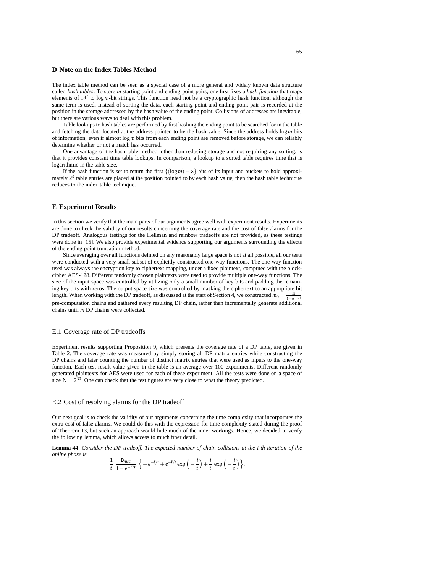## **D Note on the Index Tables Method**

The index table method can be seen as a special case of a more general and widely known data structure called *hash tables*. To store *m* starting point and ending point pairs, one first fixes a *hash function* that maps elements of  $\mathcal N$  to log *m*-bit strings. This function need not be a cryptographic hash function, although the same term is used. Instead of sorting the data, each starting point and ending point pair is recorded at the position in the storage addressed by the hash value of the ending point. Collisions of addresses are inevitable, but there are various ways to deal with this problem.

Table lookups to hash tables are performed by first hashing the ending point to be searched for in the table and fetching the data located at the address pointed to by the hash value. Since the address holds log*m* bits of information, even if almost log*m* bits from each ending point are removed before storage, we can reliably determine whether or not a match has occurred.

One advantage of the hash table method, other than reducing storage and not requiring any sorting, is that it provides constant time table lookups. In comparison, a lookup to a sorted table requires time that is logarithmic in the table size.

If the hash function is set to return the first  $\{(log m) - \varepsilon\}$  bits of its input and buckets to hold approximately  $2^{\varepsilon}$  table entries are placed at the position pointed to by each hash value, then the hash table technique reduces to the index table technique.

# **E Experiment Results**

In this section we verify that the main parts of our arguments agree well with experiment results. Experiments are done to check the validity of our results concerning the coverage rate and the cost of false alarms for the DP tradeoff. Analogous testings for the Hellman and rainbow tradeoffs are not provided, as these testings were done in [15]. We also provide experimental evidence supporting our arguments surrounding the effects of the ending point truncation method.

Since averaging over all functions defined on any reasonably large space is not at all possible, all our tests were conducted with a very small subset of explicitly constructed one-way functions. The one-way function used was always the encryption key to ciphertext mapping, under a fixed plaintext, computed with the blockcipher AES-128. Different randomly chosen plaintexts were used to provide multiple one-way functions. The size of the input space was controlled by utilizing only a small number of key bits and padding the remaining key bits with zeros. The output space size was controlled by masking the ciphertext to an appropriate bit length. When working with the DP tradeoff, as discussed at the start of Section 4, we constructed  $m_0 = \frac{m}{1-e^{-\lambda t}}$ pre-computation chains and gathered every resulting DP chain, rather than incrementally generate additional chains until *m* DP chains were collected.

#### E.1 Coverage rate of DP tradeoffs

Experiment results supporting Proposition 9, which presents the coverage rate of a DP table, are given in Table 2. The coverage rate was measured by simply storing all DP matrix entries while constructing the DP chains and later counting the number of distinct matrix entries that were used as inputs to the one-way function. Each test result value given in the table is an average over 100 experiments. Different randomly generated plaintexts for AES were used for each of these experiment. All the tests were done on a space of size  $N = 2^{30}$ . One can check that the test figures are very close to what the theory predicted.

## E.2 Cost of resolving alarms for the DP tradeoff

Our next goal is to check the validity of our arguments concerning the time complexity that incorporates the extra cost of false alarms. We could do this with the expression for time complexity stated during the proof of Theorem 13, but such an approach would hide much of the inner workings. Hence, we decided to verify the following lemma, which allows access to much finer detail.

**Lemma 44** *Consider the DP tradeoff. The expected number of chain collisions at the i-th iteration of the online phase is*

$$
\frac{1}{t}\frac{\mathrm{D}_{msc}}{1-e^{-\hat{t}/t}}\bigg\{-e^{-\hat{t}/t}+e^{-\hat{t}/t}\exp\left(-\frac{i}{t}\right)+\frac{i}{t}\exp\left(-\frac{i}{t}\right)\bigg\}.
$$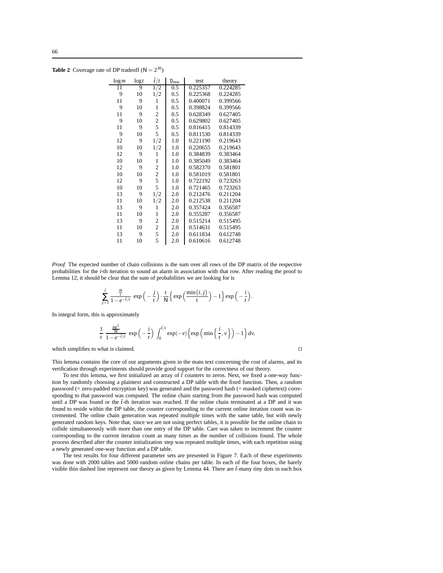**Table 2** Coverage rate of DP tradeoff  $(N = 2^{30})$ 

| $\log m$ | $\log t$ | $\hat{t}/t$             | $D_{msc}$ | test     | theory   |
|----------|----------|-------------------------|-----------|----------|----------|
| 11       | 9        | 1/2                     | 0.5       | 0.225357 | 0.224285 |
| 9        | 10       | 1/2                     | 0.5       | 0.225368 | 0.224285 |
| 11       | 9        | 1                       | 0.5       | 0.400071 | 0.399566 |
| 9        | 10       | 1                       | 0.5       | 0.398824 | 0.399566 |
| 11       | 9        | 2                       | 0.5       | 0.628349 | 0.627405 |
| 9        | 10       | $\overline{\mathbf{c}}$ | 0.5       | 0.629802 | 0.627405 |
| 11       | 9        | 5                       | 0.5       | 0.816415 | 0.814339 |
| 9        | 10       | 5                       | 0.5       | 0.811530 | 0.814339 |
| 12       | 9        | 1/2                     | 1.0       | 0.221190 | 0.219643 |
| 10       | 10       | 1/2                     | 1.0       | 0.220655 | 0.219643 |
| 12       | 9        | 1                       | 1.0       | 0.384839 | 0.383464 |
| 10       | 10       | 1                       | 1.0       | 0.385049 | 0.383464 |
| 12       | 9        | $\overline{c}$          | 1.0       | 0.582370 | 0.581801 |
| 10       | 10       | $\overline{c}$          | 1.0       | 0.581019 | 0.581801 |
| 12       | 9        | 5                       | 1.0       | 0.722192 | 0.723263 |
| 10       | 10       | 5                       | 1.0       | 0.721465 | 0.723263 |
| 13       | 9        | 1/2                     | 2.0       | 0.212476 | 0.211204 |
| 11       | 10       | 1/2                     | 2.0       | 0.212538 | 0.211204 |
| 13       | 9        | 1                       | 2.0       | 0.357424 | 0.356587 |
| 11       | 10       | 1                       | 2.0       | 0.355287 | 0.356587 |
| 13       | 9        | 2                       | 2.0       | 0.515214 | 0.515495 |
| 11       | 10       | $\overline{c}$          | 2.0       | 0.514631 | 0.515495 |
| 13       | 9        | 5                       | 2.0       | 0.611834 | 0.612748 |
| 11       | 10       | 5                       | 2.0       | 0.610616 | 0.612748 |

*Proof* The expected number of chain collisions is the sum over all rows of the DP matrix of the respective probabilities for the *i*-th iteration to sound an alarm in association with that row. After reading the proof to Lemma 12, it should be clear that the sum of probabilities we are looking for is

$$
\sum_{j=1}^{\hat{t}} \frac{\frac{m}{t}}{1-e^{-\hat{t}/t}} \exp\left(-\frac{j}{t}\right) \cdot \frac{t}{\mathsf{N}} \left\{\exp\left(\frac{\min\{i,j\}}{t}\right)-1\right\} \exp\left(-\frac{i}{t}\right).
$$

In integral form, this is approximately

$$
\frac{1}{t}\;\frac{\frac{m t^2}{\mathsf{N}}}{1-e^{-\hat{t}/t}}\;\exp\Big(-\frac{i}{t}\Big)\;\int_0^{\hat{t}/t}\exp(-v)\Big\{\exp\Big(\min\Big\{\,\frac{t}{t},v\Big\}\Big)-1\Big\}\,dv,
$$

which simplifies to what is claimed. □

This lemma contains the core of our arguments given in the main text concerning the cost of alarms, and its verification through experiments should provide good support for the correctness of our theory.

To test this lemma, we first initialized an array of  $\hat{t}$  counters to zeros. Next, we fixed a one-way function by randomly choosing a plaintext and constructed a DP table with the fixed function. Then, a random password (= zero-padded encryption key) was generated and the password hash (= masked ciphertext) corresponding to that password was computed. The online chain starting from the password hash was computed until a DP was found or the *t*ˆ-th iteration was reached. If the online chain terminated at a DP and it was found to reside within the DP table, the counter corresponding to the current online iteration count was incremented. The online chain generation was repeated multiple times with the same table, but with newly generated random keys. Note that, since we are not using perfect tables, it is possible for the online chain to collide simultaneously with more than one entry of the DP table. Care was taken to increment the counter corresponding to the current iteration count as many times as the number of collisions found. The whole process described after the counter initialization step was repeated multiple times, with each repetition using a newly generated one-way function and a DP table.

The test results for four different parameter sets are presented in Figure 7. Each of these experiments was done with 2000 tables and 5000 random online chains per table. In each of the four boxes, the barely visible thin dashed line represent our theory as given by Lemma 44. There are *t*ˆ-many tiny dots in each box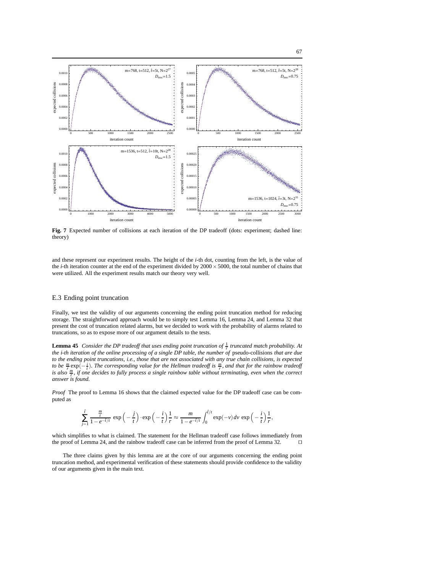

**Fig. 7** Expected number of collisions at each iteration of the DP tradeoff (dots: experiment; dashed line: theory)

and these represent our experiment results. The height of the *i*-th dot, counting from the left, is the value of the *i*-th iteration counter at the end of the experiment divided by  $2000 \times 5000$ , the total number of chains that were utilized. All the experiment results match our theory very well.

# E.3 Ending point truncation

Finally, we test the validity of our arguments concerning the ending point truncation method for reducing storage. The straightforward approach would be to simply test Lemma 16, Lemma 24, and Lemma 32 that present the cost of truncation related alarms, but we decided to work with the probability of alarms related to truncations, so as to expose more of our argument details to the tests.

**Lemma 45** *Consider the DP tradeoff that uses ending point truncation of*  $\frac{1}{r}$  *truncated match probability. At the i-th iteration of the online processing of a single DP table, the number of* pseudo-collisions *that are due to the ending point truncations, i.e., those that are not associated with any true chain collisions, is expected* to be  $\frac{m}{r} \exp(-\frac{i}{f})$ . The corresponding value for the Hellman tradeoff is  $\frac{m}{r}$ , and that for the rainbow tradeoff is  $\frac{m}{r}$ , if one decides to fully process a single rainbow table without terminating, even whe *answer is found.*

*Proof* The proof to Lemma 16 shows that the claimed expected value for the DP tradeoff case can be computed as

$$
\sum_{j=1}^{\hat t}\frac{\frac{m}{t}}{1-e^{-\hat t/t}}\,\exp\Big(-\frac{j}{t}\Big)\cdot\exp\Big(-\frac{i}{t}\Big)\frac{1}{r}\approx \frac{m}{1-e^{-\hat t/t}}\int_0^{\hat t/t}\exp(-v)\,dv\,\exp\Big(-\frac{i}{t}\Big)\frac{1}{r},
$$

which simplifies to what is claimed. The statement for the Hellman tradeoff case follows immediately from the proof of Lemma 24, and the rainbow tradeoff case can be inferred from the proof of Lemma 32. □

The three claims given by this lemma are at the core of our arguments concerning the ending point truncation method, and experimental verification of these statements should provide confidence to the validity of our arguments given in the main text.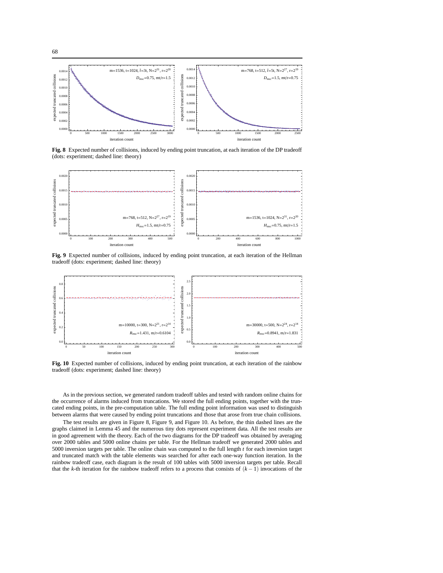

**Fig. 8** Expected number of collisions, induced by ending point truncation, at each iteration of the DP tradeoff (dots: experiment; dashed line: theory)



**Fig. 9** Expected number of collisions, induced by ending point truncation, at each iteration of the Hellman tradeoff (dots: experiment; dashed line: theory)



**Fig. 10** Expected number of collisions, induced by ending point truncation, at each iteration of the rainbow tradeoff (dots: experiment; dashed line: theory)

As in the previous section, we generated random tradeoff tables and tested with random online chains for the occurrence of alarms induced from truncations. We stored the full ending points, together with the truncated ending points, in the pre-computation table. The full ending point information was used to distinguish between alarms that were caused by ending point truncations and those that arose from true chain collisions.

The test results are given in Figure 8, Figure 9, and Figure 10. As before, the thin dashed lines are the graphs claimed in Lemma 45 and the numerous tiny dots represent experiment data. All the test results are in good agreement with the theory. Each of the two diagrams for the DP tradeoff was obtained by averaging over 2000 tables and 5000 online chains per table. For the Hellman tradeoff we generated 2000 tables and 5000 inversion targets per table. The online chain was computed to the full length *t* for each inversion target and truncated match with the table elements was searched for after each one-way function iteration. In the rainbow tradeoff case, each diagram is the result of 100 tables with 5000 inversion targets per table. Recall that the *k*-th iteration for the rainbow tradeoff refers to a process that consists of (*k* − 1) invocations of the